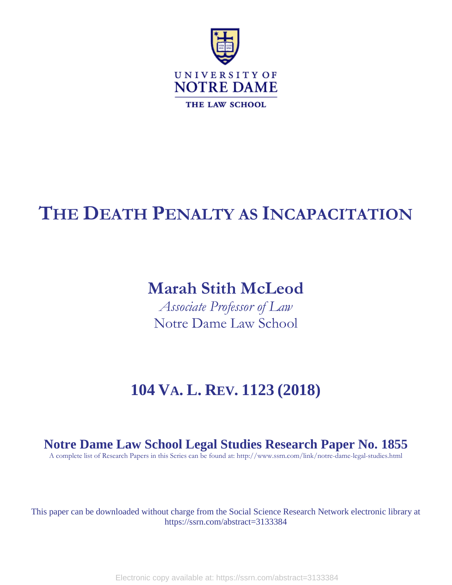

# **THE DEATH PENALTY AS INCAPACITATION**

# **Marah Stith McLeod**

*Associate Professor of Law* Notre Dame Law School

# **104 VA. L. REV. 1123 (2018)**

# **Notre Dame Law School Legal Studies Research Paper No. 1855**

A complete list of Research Papers in this Series can be found at: <http://www.ssrn.com/link/notre-dame-legal-studies.html>

This paper can be downloaded without charge from the Social Science Research Network electronic library at https://ssrn.com/abstract=3133384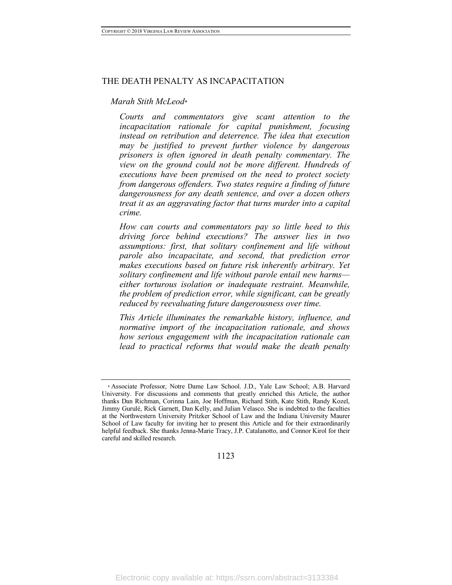# THE DEATH PENALTY AS INCAPACITATION

# *Marah Stith McLeod*\*

*Courts and commentators give scant attention to the incapacitation rationale for capital punishment, focusing instead on retribution and deterrence. The idea that execution may be justified to prevent further violence by dangerous prisoners is often ignored in death penalty commentary. The view on the ground could not be more different. Hundreds of executions have been premised on the need to protect society from dangerous offenders. Two states require a finding of future dangerousness for any death sentence, and over a dozen others treat it as an aggravating factor that turns murder into a capital crime.*

*How can courts and commentators pay so little heed to this driving force behind executions? The answer lies in two assumptions: first, that solitary confinement and life without parole also incapacitate, and second, that prediction error makes executions based on future risk inherently arbitrary. Yet solitary confinement and life without parole entail new harms either torturous isolation or inadequate restraint. Meanwhile, the problem of prediction error, while significant, can be greatly reduced by reevaluating future dangerousness over time.*

*This Article illuminates the remarkable history, influence, and normative import of the incapacitation rationale, and shows how serious engagement with the incapacitation rationale can*  lead to practical reforms that would make the death penalty

1123

<sup>\*</sup> Associate Professor, Notre Dame Law School. J.D., Yale Law School; A.B. Harvard University. For discussions and comments that greatly enriched this Article, the author thanks Dan Richman, Corinna Lain, Joe Hoffman, Richard Stith, Kate Stith, Randy Kozel, Jimmy Gurulé, Rick Garnett, Dan Kelly, and Julian Velasco. She is indebted to the faculties at the Northwestern University Pritzker School of Law and the Indiana University Maurer School of Law faculty for inviting her to present this Article and for their extraordinarily helpful feedback. She thanks Jenna-Marie Tracy, J.P. Catalanotto, and Connor Kirol for their careful and skilled research.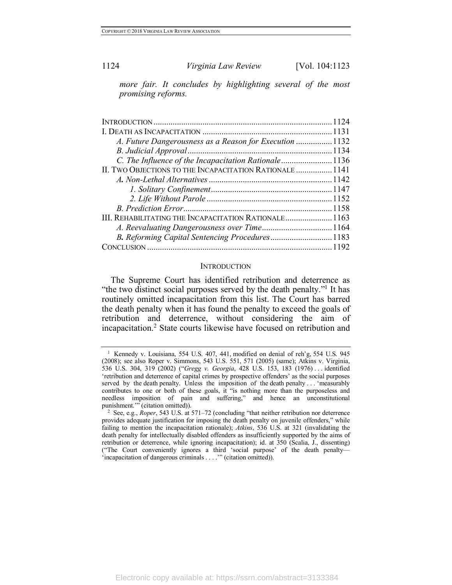*more fair. It concludes by highlighting several of the most promising reforms.*

| A. Future Dangerousness as a Reason for Execution  1132  |  |
|----------------------------------------------------------|--|
|                                                          |  |
| C. The Influence of the Incapacitation Rationale1136     |  |
| II. TWO OBJECTIONS TO THE INCAPACITATION RATIONALE  1141 |  |
|                                                          |  |
|                                                          |  |
|                                                          |  |
|                                                          |  |
| III. REHABILITATING THE INCAPACITATION RATIONALE 1163    |  |
|                                                          |  |
| B. Reforming Capital Sentencing Procedures1183           |  |
|                                                          |  |

#### **INTRODUCTION**

The Supreme Court has identified retribution and deterrence as "the two distinct social purposes served by the death penalty."1 It has routinely omitted incapacitation from this list. The Court has barred the death penalty when it has found the penalty to exceed the goals of retribution and deterrence, without considering the aim of incapacitation.2 State courts likewise have focused on retribution and

<sup>&</sup>lt;sup>1</sup> Kennedy v. Louisiana, 554 U.S. 407, 441, modified on denial of reh'g, 554 U.S. 945 (2008); see also Roper v. Simmons, 543 U.S. 551, 571 (2005) (same); Atkins v. Virginia, 536 U.S. 304, 319 (2002) ("*Gregg v. Georgia*, 428 U.S. 153, 183 (1976) . . . identified 'retribution and deterrence of capital crimes by prospective offenders' as the social purposes served by the death penalty. Unless the imposition of the death penalty . . . 'measurably contributes to one or both of these goals, it "is nothing more than the purposeless and needless imposition of pain and suffering," and hence an unconstitutional punishment.'" (citation omitted)).<br><sup>2</sup> See, e.g., *Roper*, 543 U.S. at 571–72 (concluding "that neither retribution nor deterrence

provides adequate justification for imposing the death penalty on juvenile offenders," while failing to mention the incapacitation rationale); *Atkins*, 536 U.S. at 321 (invalidating the death penalty for intellectually disabled offenders as insufficiently supported by the aims of retribution or deterrence, while ignoring incapacitation); id. at 350 (Scalia, J., dissenting) ("The Court conveniently ignores a third 'social purpose' of the death penalty— 'incapacitation of dangerous criminals . . . .'" (citation omitted)).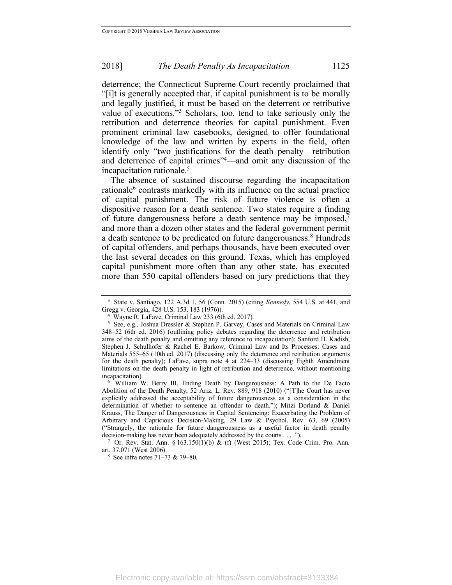deterrence; the Connecticut Supreme Court recently proclaimed that "[i]t is generally accepted that, if capital punishment is to be morally and legally justified, it must be based on the deterrent or retributive value of executions."3 Scholars, too, tend to take seriously only the retribution and deterrence theories for capital punishment. Even prominent criminal law casebooks, designed to offer foundational knowledge of the law and written by experts in the field, often identify only "two justifications for the death penalty—retribution and deterrence of capital crimes"4 —and omit any discussion of the incapacitation rationale.<sup>5</sup>

The absence of sustained discourse regarding the incapacitation rationale $6$  contrasts markedly with its influence on the actual practice of capital punishment. The risk of future violence is often a dispositive reason for a death sentence. Two states require a finding of future dangerousness before a death sentence may be imposed,7 and more than a dozen other states and the federal government permit a death sentence to be predicated on future dangerousness.<sup>8</sup> Hundreds of capital offenders, and perhaps thousands, have been executed over the last several decades on this ground. Texas, which has employed capital punishment more often than any other state, has executed more than 550 capital offenders based on jury predictions that they

<sup>7</sup> Or. Rev. Stat. Ann. § 163.150(1)(b) & (f) (West 2015); Tex. Code Crim. Pro. Ann. art. 37.071 (West 2006).

<sup>8</sup> See infra notes 71–73 & 79–80.

<sup>3</sup> State v. Santiago, 122 A.3d 1, 56 (Conn. 2015) (citing *Kennedy*, 554 U.S. at 441, and Gregg v. Georgia, 428 U.S. 153, 183 (1976)). 4 Wayne R. LaFave, Criminal Law 233 (6th ed. 2017).

<sup>5</sup> See, e.g., Joshua Dressler & Stephen P. Garvey, Cases and Materials on Criminal Law 348–52 (6th ed. 2016) (outlining policy debates regarding the deterrence and retribution aims of the death penalty and omitting any reference to incapacitation); Sanford H. Kadish, Stephen J. Schulhofer & Rachel E. Barkow, Criminal Law and Its Processes: Cases and Materials 555–65 (10th ed. 2017) (discussing only the deterrence and retribution arguments for the death penalty); LaFave, supra note 4 at 224–33 (discussing Eighth Amendment limitations on the death penalty in light of retribution and deterrence, without mentioning incapacitation). 6 William W. Berry III, Ending Death by Dangerousness: A Path to the De Facto

Abolition of the Death Penalty, 52 Ariz. L. Rev. 889, 918 (2010) ("[T]he Court has never explicitly addressed the acceptability of future dangerousness as a consideration in the determination of whether to sentence an offender to death."); Mitzi Dorland & Daniel Krauss, The Danger of Dangerousness in Capital Sentencing: Exacerbating the Problem of Arbitrary and Capricious Decision-Making, 29 Law & Psychol. Rev. 63, 69 (2005) ("Strangely, the rationale for future dangerousness as a useful factor in death penalty decision-making has never been adequately addressed by the courts . . . .").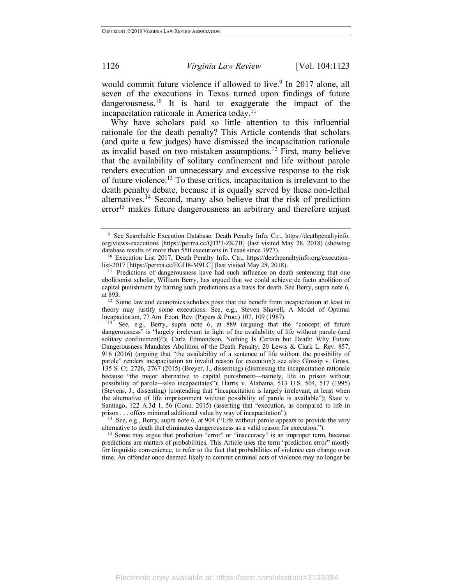would commit future violence if allowed to live.<sup>9</sup> In 2017 alone, all seven of the executions in Texas turned upon findings of future dangerousness. <sup>10</sup> It is hard to exaggerate the impact of the incapacitation rationale in America today.<sup>11</sup>

Why have scholars paid so little attention to this influential rationale for the death penalty? This Article contends that scholars (and quite a few judges) have dismissed the incapacitation rationale as invalid based on two mistaken assumptions.12 First, many believe that the availability of solitary confinement and life without parole renders execution an unnecessary and excessive response to the risk of future violence.13 To these critics, incapacitation is irrelevant to the death penalty debate, because it is equally served by these non-lethal alternatives.<sup>14</sup> Second, many also believe that the risk of prediction error<sup>15</sup> makes future dangerousness an arbitrary and therefore unjust

<sup>12</sup> Some law and economics scholars posit that the benefit from incapacitation at least in theory may justify some executions. See, e.g., Steven Shavell, A Model of Optimal Incapacitation, 77 Am. Econ. Rev. (Papers & Proc.) 107, 109 (1987).

<sup>9</sup> See Searchable Execution Database, Death Penalty Info. Ctr., https://deathpenaltyinfo. org/views-executions [https://perma.cc/QTP3-ZK7B] (last visited May 28, 2018) (showing database results of more than 550 executions in Texas since 1977).

<sup>&</sup>lt;sup>10</sup> Execution List 2017, Death Penalty Info. Ctr., https://deathpenaltyinfo.org/executionlist-2017 [https://perma.cc/EGH8-M9LC] (last visited May 28, 2018).

<sup>&</sup>lt;sup>11</sup> Predictions of dangerousness have had such influence on death sentencing that one abolitionist scholar, William Berry, has argued that we could achieve de facto abolition of capital punishment by barring such predictions as a basis for death. See Berry, supra note 6,

<sup>&</sup>lt;sup>13</sup> See, e.g., Berry, supra note 6, at 889 (arguing that the "concept of future dangerousness" is "largely irrelevant in light of the availability of life without parole (and solitary confinement)"); Carla Edmondson, Nothing Is Certain but Death: Why Future Dangerousness Mandates Abolition of the Death Penalty, 20 Lewis & Clark L. Rev. 857, 916 (2016) (arguing that "the availability of a sentence of life without the possibility of parole" renders incapacitation an invalid reason for execution); see also Glossip v. Gross, 135 S. Ct. 2726, 2767 (2015) (Breyer, J., dissenting) (dismissing the incapacitation rationale because "the major alternative to capital punishment—namely, life in prison without possibility of parole—also incapacitates"); Harris v. Alabama, 513 U.S. 504, 517 (1995) (Stevens, J., dissenting) (contending that "incapacitation is largely irrelevant, at least when the alternative of life imprisonment without possibility of parole is available"); State v. Santiago, 122 A.3d 1, 56 (Conn. 2015) (asserting that "execution, as compared to life in prison . . . offers minimal additional value by way of incapacitation").

<sup>&</sup>lt;sup>14</sup> See, e.g., Berry, supra note 6, at 904 ("Life without parole appears to provide the very alternative to death that eliminates dangerousness as a valid reason for execution.").

<sup>&</sup>lt;sup>15</sup> Some may argue that prediction "error" or "inaccuracy" is an improper term, because predictions are matters of probabilities. This Article uses the term "prediction error" mostly for linguistic convenience, to refer to the fact that probabilities of violence can change over time. An offender once deemed likely to commit criminal acts of violence may no longer be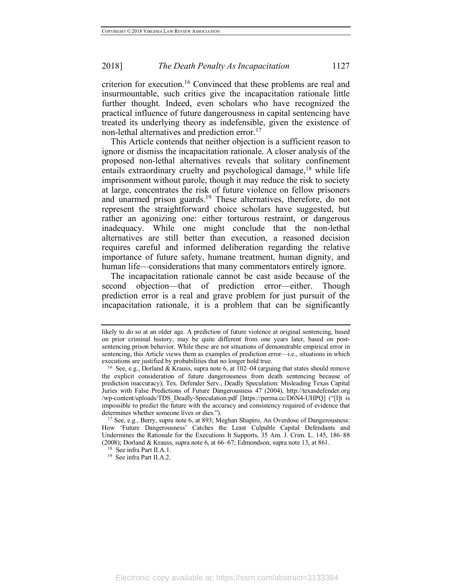criterion for execution.16 Convinced that these problems are real and insurmountable, such critics give the incapacitation rationale little further thought. Indeed, even scholars who have recognized the practical influence of future dangerousness in capital sentencing have treated its underlying theory as indefensible, given the existence of non-lethal alternatives and prediction error.<sup>17</sup>

This Article contends that neither objection is a sufficient reason to ignore or dismiss the incapacitation rationale. A closer analysis of the proposed non-lethal alternatives reveals that solitary confinement entails extraordinary cruelty and psychological damage,<sup>18</sup> while life imprisonment without parole, though it may reduce the risk to society at large, concentrates the risk of future violence on fellow prisoners and unarmed prison guards.<sup>19</sup> These alternatives, therefore, do not represent the straightforward choice scholars have suggested, but rather an agonizing one: either torturous restraint, or dangerous inadequacy. While one might conclude that the non-lethal alternatives are still better than execution, a reasoned decision requires careful and informed deliberation regarding the relative importance of future safety, humane treatment, human dignity, and human life—considerations that many commentators entirely ignore.

The incapacitation rationale cannot be cast aside because of the second objection—that of prediction error—either. Though prediction error is a real and grave problem for just pursuit of the incapacitation rationale, it is a problem that can be significantly

likely to do so at an older age. A prediction of future violence at original sentencing, based on prior criminal history, may be quite different from one years later, based on postsentencing prison behavior. While these are not situations of demonstrable empirical error in sentencing, this Article views them as examples of prediction error—i.e., situations in which executions are justified by probabilities that no longer hold true.

<sup>&</sup>lt;sup>16</sup> See, e.g., Dorland & Krauss, supra note 6, at  $102-04$  (arguing that states should remove the explicit consideration of future dangerousness from death sentencing because of prediction inaccuracy); Tex. Defender Serv., Deadly Speculation: Misleading Texas Capital Juries with False Predictions of Future Dangerousness 47 (2004), http://texasdefender.org /wp-content/uploads/TDS\_Deadly-Speculation.pdf [https://perma.cc/D6N4-UHPQ] ("[I]t is impossible to predict the future with the accuracy and consistency required of evidence that determines whether someone lives or dies.").

<sup>&</sup>lt;sup>17</sup> See, e.g., Berry, supra note 6, at 893; Meghan Shapiro, An Overdose of Dangerousness: How 'Future Dangerousness' Catches the Least Culpable Capital Defendants and Undermines the Rationale for the Executions It Supports, 35 Am. J. Crim. L. 145, 186–88 (2008); Dorland & Krauss, supra note 6, at 66–67; Edmondson, supra note 13, at 861. <sup>18</sup> See infra Part II.A.1.

<sup>19</sup> See infra Part II.A.2.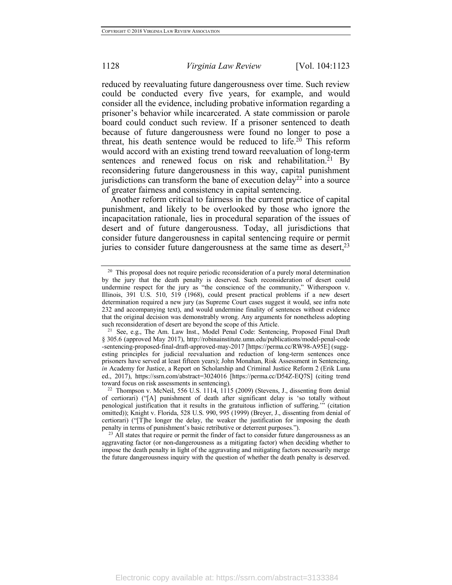reduced by reevaluating future dangerousness over time. Such review could be conducted every five years, for example, and would consider all the evidence, including probative information regarding a prisoner's behavior while incarcerated. A state commission or parole board could conduct such review. If a prisoner sentenced to death because of future dangerousness were found no longer to pose a threat, his death sentence would be reduced to life.<sup>20</sup> This reform would accord with an existing trend toward reevaluation of long-term sentences and renewed focus on risk and rehabilitation.<sup>21</sup> By reconsidering future dangerousness in this way, capital punishment jurisdictions can transform the bane of execution delay<sup>22</sup> into a source of greater fairness and consistency in capital sentencing.

Another reform critical to fairness in the current practice of capital punishment, and likely to be overlooked by those who ignore the incapacitation rationale, lies in procedural separation of the issues of desert and of future dangerousness. Today, all jurisdictions that consider future dangerousness in capital sentencing require or permit juries to consider future dangerousness at the same time as desert, $2<sup>3</sup>$ 

<sup>23</sup> All states that require or permit the finder of fact to consider future dangerousness as an aggravating factor (or non-dangerousness as a mitigating factor) when deciding whether to impose the death penalty in light of the aggravating and mitigating factors necessarily merge the future dangerousness inquiry with the question of whether the death penalty is deserved.

<sup>&</sup>lt;sup>20</sup> This proposal does not require periodic reconsideration of a purely moral determination by the jury that the death penalty is deserved. Such reconsideration of desert could undermine respect for the jury as "the conscience of the community," Witherspoon v. Illinois, 391 U.S. 510, 519 (1968), could present practical problems if a new desert determination required a new jury (as Supreme Court cases suggest it would, see infra note 232 and accompanying text), and would undermine finality of sentences without evidence that the original decision was demonstrably wrong. Any arguments for nonetheless adopting such reconsideration of desert are beyond the scope of this Article.

<sup>21</sup> See, e.g., The Am. Law Inst., Model Penal Code: Sentencing, Proposed Final Draft § 305.6 (approved May 2017), http://robinainstitute.umn.edu/publications/model-penal-code -sentencing-proposed-final-draft-approved-may-2017 [https://perma.cc/RW98-A95E] (suggesting principles for judicial reevaluation and reduction of long-term sentences once prisoners have served at least fifteen years); John Monahan, Risk Assessment in Sentencing, *in* Academy for Justice, a Report on Scholarship and Criminal Justice Reform 2 (Erik Luna ed., 2017), https://ssrn.com/abstract=3024016 [https://perma.cc/D54Z-EQ7S] (citing trend toward focus on risk assessments in sentencing).

<sup>&</sup>lt;sup>22</sup> Thompson v. McNeil, 556 U.S. 1114, 1115 (2009) (Stevens, J., dissenting from denial of certiorari) ("[A] punishment of death after significant delay is 'so totally without penological justification that it results in the gratuitous infliction of suffering.'" (citation omitted)); Knight v. Florida, 528 U.S. 990, 995 (1999) (Breyer, J., dissenting from denial of certiorari) ("[T]he longer the delay, the weaker the justification for imposing the death penalty in terms of punishment's basic retributive or deterrent purposes.").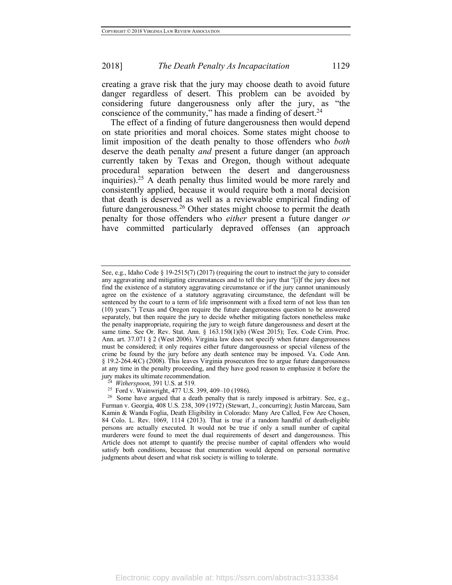creating a grave risk that the jury may choose death to avoid future danger regardless of desert. This problem can be avoided by considering future dangerousness only after the jury, as "the conscience of the community," has made a finding of desert. $24$ 

The effect of a finding of future dangerousness then would depend on state priorities and moral choices. Some states might choose to limit imposition of the death penalty to those offenders who *both*  deserve the death penalty *and* present a future danger (an approach currently taken by Texas and Oregon, though without adequate procedural separation between the desert and dangerousness inquiries). <sup>25</sup> A death penalty thus limited would be more rarely and consistently applied, because it would require both a moral decision that death is deserved as well as a reviewable empirical finding of future dangerousness.<sup>26</sup> Other states might choose to permit the death penalty for those offenders who *either* present a future danger *or*  have committed particularly depraved offenses (an approach

- 
- 

See, e.g., Idaho Code § 19-2515(7) (2017) (requiring the court to instruct the jury to consider any aggravating and mitigating circumstances and to tell the jury that "[i]f the jury does not find the existence of a statutory aggravating circumstance or if the jury cannot unanimously agree on the existence of a statutory aggravating circumstance, the defendant will be sentenced by the court to a term of life imprisonment with a fixed term of not less than ten (10) years.") Texas and Oregon require the future dangerousness question to be answered separately, but then require the jury to decide whether mitigating factors nonetheless make the penalty inappropriate, requiring the jury to weigh future dangerousness and desert at the same time. See Or. Rev. Stat. Ann. § 163.150(1)(b) (West 2015); Tex. Code Crim. Proc. Ann. art. 37.071 § 2 (West 2006). Virginia law does not specify when future dangerousness must be considered; it only requires either future dangerousness or special vileness of the crime be found by the jury before any death sentence may be imposed. Va. Code Ann. § 19.2-264.4(C) (2008). This leaves Virginia prosecutors free to argue future dangerousness at any time in the penalty proceeding, and they have good reason to emphasize it before the jury makes its ultimate recommendation.<br><sup>24</sup> Witherspoon, 391 U.S. at 519.

<sup>&</sup>lt;sup>25</sup> Ford v. Wainwright, 477 U.S. 399, 409–10 (1986). <sup>26</sup> Some have argued that a death penalty that is rarely imposed is arbitrary. See, e.g., Furman v. Georgia, 408 U.S. 238, 309 (1972) (Stewart, J., concurring); Justin Marceau, Sam Kamin & Wanda Foglia, Death Eligibility in Colorado: Many Are Called, Few Are Chosen, 84 Colo. L. Rev. 1069, 1114 (2013). That is true if a random handful of death-eligible persons are actually executed. It would not be true if only a small number of capital murderers were found to meet the dual requirements of desert and dangerousness. This Article does not attempt to quantify the precise number of capital offenders who would satisfy both conditions, because that enumeration would depend on personal normative judgments about desert and what risk society is willing to tolerate.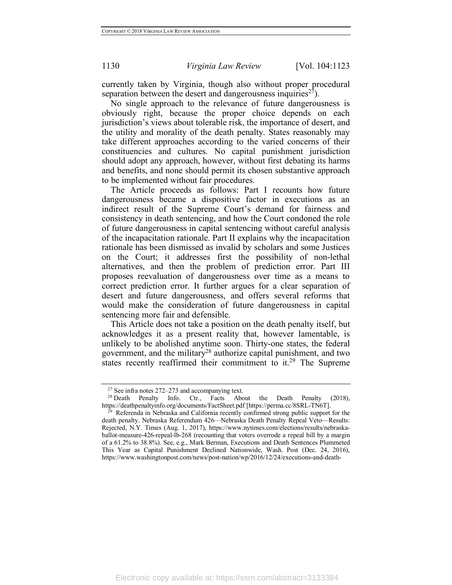currently taken by Virginia, though also without proper procedural separation between the desert and dangerousness inquiries<sup>27</sup>).

No single approach to the relevance of future dangerousness is obviously right, because the proper choice depends on each jurisdiction's views about tolerable risk, the importance of desert, and the utility and morality of the death penalty. States reasonably may take different approaches according to the varied concerns of their constituencies and cultures. No capital punishment jurisdiction should adopt any approach, however, without first debating its harms and benefits, and none should permit its chosen substantive approach to be implemented without fair procedures.

The Article proceeds as follows: Part I recounts how future dangerousness became a dispositive factor in executions as an indirect result of the Supreme Court's demand for fairness and consistency in death sentencing, and how the Court condoned the role of future dangerousness in capital sentencing without careful analysis of the incapacitation rationale. Part II explains why the incapacitation rationale has been dismissed as invalid by scholars and some Justices on the Court; it addresses first the possibility of non-lethal alternatives, and then the problem of prediction error. Part III proposes reevaluation of dangerousness over time as a means to correct prediction error. It further argues for a clear separation of desert and future dangerousness, and offers several reforms that would make the consideration of future dangerousness in capital sentencing more fair and defensible.

This Article does not take a position on the death penalty itself, but acknowledges it as a present reality that, however lamentable, is unlikely to be abolished anytime soon. Thirty-one states, the federal government, and the military<sup>28</sup> authorize capital punishment, and two states recently reaffirmed their commitment to it.<sup>29</sup> The Supreme

<sup>27</sup> See infra notes 272–273 and accompanying text.

 $^{28}$  Death Penalty Info. Ctr., Facts About the Death Penalty (2018), https://deathpenaltyinfo.org/documents/FactSheet.pdf [https://perma.cc/8SRL-TN6T].

Referenda in Nebraska and California recently confirmed strong public support for the death penalty. Nebraska Referendum 426—Nebraska Death Penalty Repeal Veto—Results: Rejected, N.Y. Times (Aug. 1, 2017), https://www.nytimes.com/elections/results/nebraskaballot-measure-426-repeal-lb-268 (recounting that voters overrode a repeal bill by a margin of a 61.2% to 38.8%). See, e.g., Mark Berman, Executions and Death Sentences Plummeted This Year as Capital Punishment Declined Nationwide, Wash. Post (Dec. 24, 2016), https://www.washingtonpost.com/news/post-nation/wp/2016/12/24/executions-and-death-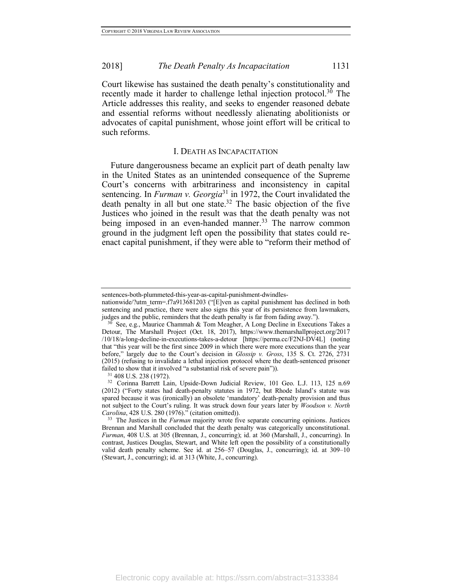Court likewise has sustained the death penalty's constitutionality and recently made it harder to challenge lethal injection protocol.<sup>30</sup> The Article addresses this reality, and seeks to engender reasoned debate and essential reforms without needlessly alienating abolitionists or advocates of capital punishment, whose joint effort will be critical to such reforms.

# I. DEATH AS INCAPACITATION

Future dangerousness became an explicit part of death penalty law in the United States as an unintended consequence of the Supreme Court's concerns with arbitrariness and inconsistency in capital sentencing. In *Furman v. Georgia*<sup>31</sup> in 1972, the Court invalidated the death penalty in all but one state.<sup>32</sup> The basic objection of the five Justices who joined in the result was that the death penalty was not being imposed in an even-handed manner.<sup>33</sup> The narrow common ground in the judgment left open the possibility that states could reenact capital punishment, if they were able to "reform their method of

 $31$  408 U.S. 238 (1972).

sentences-both-plummeted-this-year-as-capital-punishment-dwindles-

nationwide/?utm\_term=.f7a913681203 ("[E]ven as capital punishment has declined in both sentencing and practice, there were also signs this year of its persistence from lawmakers, judges and the public, reminders that the death penalty is far from fading away.").

See, e.g., Maurice Chammah & Tom Meagher, A Long Decline in Executions Takes a Detour, The Marshall Project (Oct. 18, 2017), https://www.themarshallproject.org/2017 /10/18/a-long-decline-in-executions-takes-a-detour [https://perma.cc/F2NJ-DV4L] (noting that "this year will be the first since 2009 in which there were more executions than the year before," largely due to the Court's decision in *Glossip v. Gross*, 135 S. Ct. 2726, 2731 (2015) (refusing to invalidate a lethal injection protocol where the death-sentenced prisoner failed to show that it involved "a substantial risk of severe pain")).

<sup>&</sup>lt;sup>32</sup> Corinna Barrett Lain, Upside-Down Judicial Review, 101 Geo. L.J. 113, 125 n.69 (2012) ("Forty states had death-penalty statutes in 1972, but Rhode Island's statute was spared because it was (ironically) an obsolete 'mandatory' death-penalty provision and thus not subject to the Court's ruling. It was struck down four years later by *Woodson v. North Carolina*, 428 U.S. 280 (1976)." (citation omitted)).

<sup>&</sup>lt;sup>33</sup> The Justices in the *Furman* majority wrote five separate concurring opinions. Justices Brennan and Marshall concluded that the death penalty was categorically unconstitutional. *Furman*, 408 U.S. at 305 (Brennan, J., concurring); id. at 360 (Marshall, J., concurring). In contrast, Justices Douglas, Stewart, and White left open the possibility of a constitutionally valid death penalty scheme. See id. at 256–57 (Douglas, J., concurring); id. at 309–10 (Stewart, J., concurring); id. at 313 (White, J., concurring).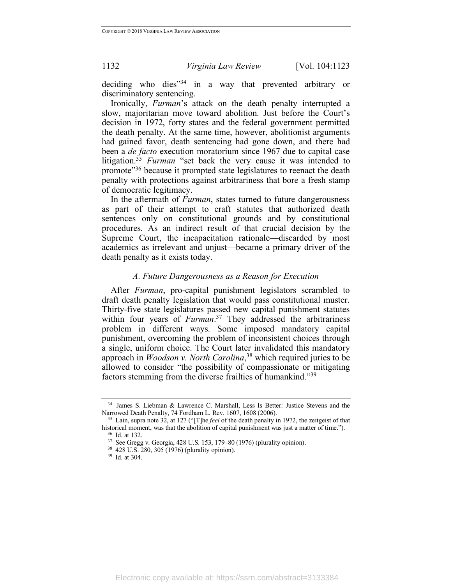deciding who dies"34 in a way that prevented arbitrary or discriminatory sentencing.

Ironically, *Furman*'s attack on the death penalty interrupted a slow, majoritarian move toward abolition. Just before the Court's decision in 1972, forty states and the federal government permitted the death penalty. At the same time, however, abolitionist arguments had gained favor, death sentencing had gone down, and there had been a *de facto* execution moratorium since 1967 due to capital case litigation.35 *Furman* "set back the very cause it was intended to promote"36 because it prompted state legislatures to reenact the death penalty with protections against arbitrariness that bore a fresh stamp of democratic legitimacy.

In the aftermath of *Furman*, states turned to future dangerousness as part of their attempt to craft statutes that authorized death sentences only on constitutional grounds and by constitutional procedures. As an indirect result of that crucial decision by the Supreme Court, the incapacitation rationale—discarded by most academics as irrelevant and unjust—became a primary driver of the death penalty as it exists today.

#### *A. Future Dangerousness as a Reason for Execution*

After *Furman*, pro-capital punishment legislators scrambled to draft death penalty legislation that would pass constitutional muster. Thirty-five state legislatures passed new capital punishment statutes within four years of *Furman*. <sup>37</sup> They addressed the arbitrariness problem in different ways. Some imposed mandatory capital punishment, overcoming the problem of inconsistent choices through a single, uniform choice. The Court later invalidated this mandatory approach in *Woodson v. North Carolina*, <sup>38</sup> which required juries to be allowed to consider "the possibility of compassionate or mitigating factors stemming from the diverse frailties of humankind."<sup>39</sup>

 $34$  James S. Liebman & Lawrence C. Marshall, Less Is Better: Justice Stevens and the Narrowed Death Penalty, 74 Fordham L. Rev. 1607, 1608 (2006).

<sup>&</sup>lt;sup>35</sup> Lain, supra note 32, at 127 ("[T]he *feel* of the death penalty in 1972, the zeitgeist of that historical moment, was that the abolition of capital punishment was just a matter of time."). <sup>36</sup> Id. at 132.

<sup>37</sup> See Gregg v. Georgia, 428 U.S. 153, 179–80 (1976) (plurality opinion).

<sup>38</sup> 428 U.S. 280, 305 (1976) (plurality opinion). 39 Id. at 304.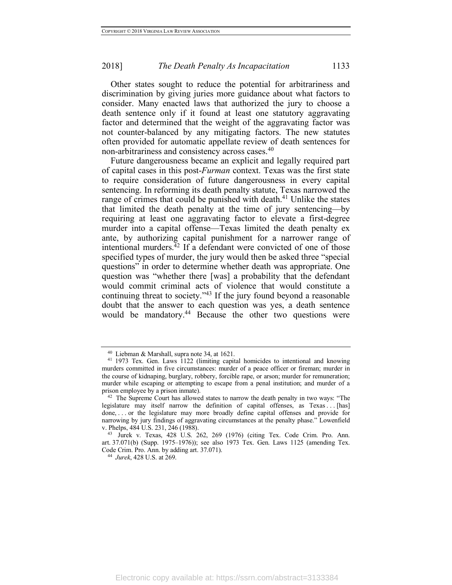Other states sought to reduce the potential for arbitrariness and discrimination by giving juries more guidance about what factors to consider. Many enacted laws that authorized the jury to choose a death sentence only if it found at least one statutory aggravating factor and determined that the weight of the aggravating factor was not counter-balanced by any mitigating factors. The new statutes often provided for automatic appellate review of death sentences for non-arbitrariness and consistency across cases.40

Future dangerousness became an explicit and legally required part of capital cases in this post-*Furman* context. Texas was the first state to require consideration of future dangerousness in every capital sentencing. In reforming its death penalty statute, Texas narrowed the range of crimes that could be punished with death.<sup>41</sup> Unlike the states that limited the death penalty at the time of jury sentencing—by requiring at least one aggravating factor to elevate a first-degree murder into a capital offense—Texas limited the death penalty ex ante, by authorizing capital punishment for a narrower range of intentional murders.42 If a defendant were convicted of one of those specified types of murder, the jury would then be asked three "special questions" in order to determine whether death was appropriate. One question was "whether there [was] a probability that the defendant would commit criminal acts of violence that would constitute a continuing threat to society."43 If the jury found beyond a reasonable doubt that the answer to each question was yes, a death sentence would be mandatory.<sup>44</sup> Because the other two questions were

<sup>40</sup> Liebman & Marshall, supra note 34, at 1621.

<sup>&</sup>lt;sup>41</sup> 1973 Tex. Gen. Laws 1122 (limiting capital homicides to intentional and knowing murders committed in five circumstances: murder of a peace officer or fireman; murder in the course of kidnaping, burglary, robbery, forcible rape, or arson; murder for remuneration; murder while escaping or attempting to escape from a penal institution; and murder of a prison employee by a prison inmate).

 $42$  The Supreme Court has allowed states to narrow the death penalty in two ways: "The legislature may itself narrow the definition of capital offenses, as Texas . . . [has] done, . . . or the legislature may more broadly define capital offenses and provide for narrowing by jury findings of aggravating circumstances at the penalty phase." Lowenfield v. Phelps, 484 U.S. 231, 246 (1988).

<sup>&</sup>lt;sup>43</sup> Jurek v. Texas, 428 U.S. 262, 269 (1976) (citing Tex. Code Crim. Pro. Ann. art. 37.071(b) (Supp. 1975–1976)); see also 1973 Tex. Gen. Laws 1125 (amending Tex. Code Crim. Pro. Ann. by adding art. 37.071). 44 *Jurek*, 428 U.S. at 269.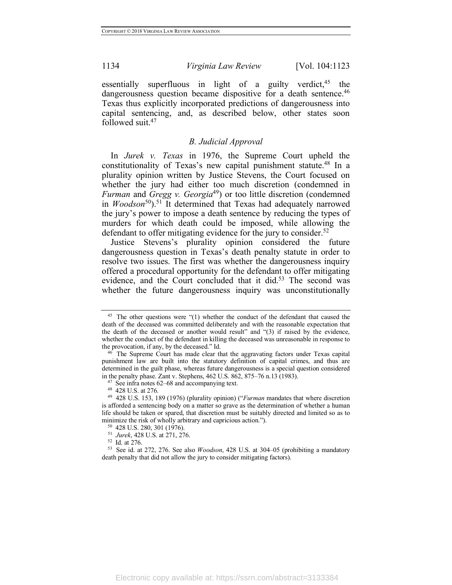essentially superfluous in light of a guilty verdict,  $45$  the dangerousness question became dispositive for a death sentence.<sup>46</sup> Texas thus explicitly incorporated predictions of dangerousness into capital sentencing, and, as described below, other states soon followed suit.<sup>47</sup>

# *B. Judicial Approval*

In *Jurek v. Texas* in 1976, the Supreme Court upheld the constitutionality of Texas's new capital punishment statute.48 In a plurality opinion written by Justice Stevens, the Court focused on whether the jury had either too much discretion (condemned in *Furman* and *Gregg v. Georgia*49) or too little discretion (condemned in *Woodson*50).51 It determined that Texas had adequately narrowed the jury's power to impose a death sentence by reducing the types of murders for which death could be imposed, while allowing the defendant to offer mitigating evidence for the jury to consider.<sup>52</sup>

Justice Stevens's plurality opinion considered the future dangerousness question in Texas's death penalty statute in order to resolve two issues. The first was whether the dangerousness inquiry offered a procedural opportunity for the defendant to offer mitigating evidence, and the Court concluded that it did.<sup>53</sup> The second was whether the future dangerousness inquiry was unconstitutionally

<sup>&</sup>lt;sup>45</sup> The other questions were "(1) whether the conduct of the defendant that caused the death of the deceased was committed deliberately and with the reasonable expectation that the death of the deceased or another would result" and "(3) if raised by the evidence, whether the conduct of the defendant in killing the deceased was unreasonable in response to the provocation, if any, by the deceased." Id.

 $46$  The Supreme Court has made clear that the aggravating factors under Texas capital punishment law are built into the statutory definition of capital crimes, and thus are determined in the guilt phase, whereas future dangerousness is a special question considered in the penalty phase. Zant v. Stephens, 462 U.S. 862, 875–76 n.13 (1983). 47 See infra notes 62–68 and accompanying text.

<sup>48</sup> 428 U.S. at 276.

<sup>49</sup> 428 U.S. 153, 189 (1976) (plurality opinion) ("*Furman* mandates that where discretion is afforded a sentencing body on a matter so grave as the determination of whether a human life should be taken or spared, that discretion must be suitably directed and limited so as to minimize the risk of wholly arbitrary and capricious action.").

<sup>50</sup> 428 U.S. 280, 301 (1976).

<sup>51</sup> *Jurek*, 428 U.S. at 271, 276.

<sup>52</sup> Id. at 276. 53 See id. at 272, 276. See also *Woodson*, 428 U.S. at 304–05 (prohibiting a mandatory death penalty that did not allow the jury to consider mitigating factors).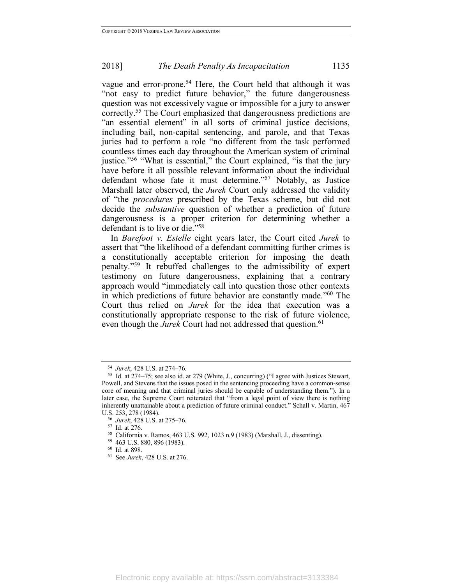vague and error-prone.<sup>54</sup> Here, the Court held that although it was "not easy to predict future behavior," the future dangerousness question was not excessively vague or impossible for a jury to answer correctly.55 The Court emphasized that dangerousness predictions are "an essential element" in all sorts of criminal justice decisions, including bail, non-capital sentencing, and parole, and that Texas juries had to perform a role "no different from the task performed countless times each day throughout the American system of criminal justice."56 "What is essential," the Court explained, "is that the jury have before it all possible relevant information about the individual defendant whose fate it must determine."57 Notably, as Justice Marshall later observed, the *Jurek* Court only addressed the validity of "the *procedures* prescribed by the Texas scheme, but did not decide the *substantive* question of whether a prediction of future dangerousness is a proper criterion for determining whether a defendant is to live or die."58

In *Barefoot v. Estelle* eight years later, the Court cited *Jurek* to assert that "the likelihood of a defendant committing further crimes is a constitutionally acceptable criterion for imposing the death penalty."59 It rebuffed challenges to the admissibility of expert testimony on future dangerousness, explaining that a contrary approach would "immediately call into question those other contexts in which predictions of future behavior are constantly made."60 The Court thus relied on *Jurek* for the idea that execution was a constitutionally appropriate response to the risk of future violence, even though the *Jurek* Court had not addressed that question.<sup>61</sup>

<sup>54</sup> *Jurek*, 428 U.S. at 274–76.

<sup>55</sup> Id. at 274–75; see also id. at 279 (White, J., concurring) ("I agree with Justices Stewart, Powell, and Stevens that the issues posed in the sentencing proceeding have a common-sense core of meaning and that criminal juries should be capable of understanding them."). In a later case, the Supreme Court reiterated that "from a legal point of view there is nothing inherently unattainable about a prediction of future criminal conduct." Schall v. Martin, 467

U.S. 253, 278 (1984). 56 *Jurek*, 428 U.S. at 275–76.

<sup>57</sup> Id. at 276.

<sup>58</sup> California v. Ramos, 463 U.S. 992, 1023 n.9 (1983) (Marshall, J., dissenting).

<sup>59</sup> 463 U.S. 880, 896 (1983). 60 Id. at 898. 61 See *Jurek*, 428 U.S. at 276.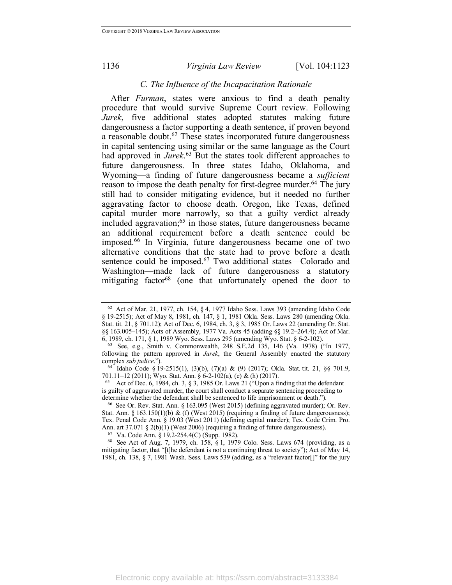### *C. The Influence of the Incapacitation Rationale*

After *Furman*, states were anxious to find a death penalty procedure that would survive Supreme Court review. Following *Jurek*, five additional states adopted statutes making future dangerousness a factor supporting a death sentence, if proven beyond a reasonable doubt.62 These states incorporated future dangerousness in capital sentencing using similar or the same language as the Court had approved in *Jurek*. <sup>63</sup> But the states took different approaches to future dangerousness. In three states—Idaho, Oklahoma, and Wyoming—a finding of future dangerousness became a *sufficient*  reason to impose the death penalty for first-degree murder.<sup>64</sup> The jury still had to consider mitigating evidence, but it needed no further aggravating factor to choose death. Oregon, like Texas, defined capital murder more narrowly, so that a guilty verdict already included aggravation; <sup>65</sup> in those states, future dangerousness became an additional requirement before a death sentence could be imposed.66 In Virginia, future dangerousness became one of two alternative conditions that the state had to prove before a death sentence could be imposed.<sup>67</sup> Two additional states—Colorado and Washington—made lack of future dangerousness a statutory mitigating factor<sup>68</sup> (one that unfortunately opened the door to

 65 Act of Dec. 6, 1984, ch. 3, § 3, 1985 Or. Laws 21 ("Upon a finding that the defendant is guilty of aggravated murder, the court shall conduct a separate sentencing proceeding to determine whether the defendant shall be sentenced to life imprisonment or death.").

<sup>66</sup> See Or. Rev. Stat. Ann. § 163.095 (West 2015) (defining aggravated murder); Or. Rev. Stat. Ann. § 163.150(1)(b) & (f) (West 2015) (requiring a finding of future dangerousness); Tex. Penal Code Ann. § 19.03 (West 2011) (defining capital murder); Tex. Code Crim. Pro. Ann. art 37.071 § 2(b)(1) (West 2006) (requiring a finding of future dangerousness). <sup>67</sup> Va. Code Ann. § 19.2-254.4(C) (Supp. 1982).

<sup>68</sup> See Act of Aug. 7, 1979, ch. 158, § 1, 1979 Colo. Sess. Laws 674 (providing, as a mitigating factor, that "[t]he defendant is not a continuing threat to society"); Act of May 14, 1981, ch. 138, § 7, 1981 Wash. Sess. Laws 539 (adding, as a "relevant factor[]" for the jury

<sup>62</sup> Act of Mar. 21, 1977, ch. 154, § 4, 1977 Idaho Sess. Laws 393 (amending Idaho Code § 19-2515); Act of May 8, 1981, ch. 147, § 1, 1981 Okla. Sess. Laws 280 (amending Okla. Stat. tit. 21, § 701.12); Act of Dec. 6, 1984, ch. 3, § 3, 1985 Or. Laws 22 (amending Or. Stat. §§ 163.005–145); Acts of Assembly, 1977 Va. Acts 45 (adding §§ 19.2–264.4); Act of Mar.

<sup>6, 1989,</sup> ch. 171, § 1, 1989 Wyo. Sess. Laws 295 (amending Wyo. Stat. § 6-2-102). 63 See, e.g., Smith v. Commonwealth, 248 S.E.2d 135, 146 (Va. 1978) ("In 1977, following the pattern approved in *Jurek*, the General Assembly enacted the statutory complex *sub judice*.").

 $64$  Idaho Code § 19-2515(1), (3)(b), (7)(a) & (9) (2017); Okla. Stat. tit. 21, §§ 701.9, 701.11–12 (2011); Wyo. Stat. Ann. § 6-2-102(a), (e) & (h) (2017).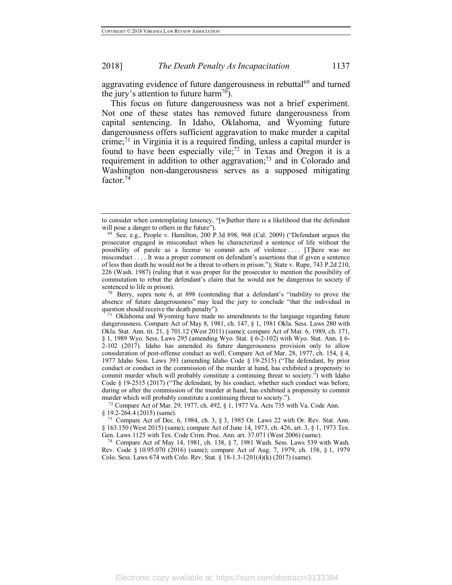aggravating evidence of future dangerousness in rebuttal<sup>69</sup> and turned the jury's attention to future harm<sup>70</sup>).

This focus on future dangerousness was not a brief experiment. Not one of these states has removed future dangerousness from capital sentencing. In Idaho, Oklahoma, and Wyoming future dangerousness offers sufficient aggravation to make murder a capital crime;71 in Virginia it is a required finding, unless a capital murder is found to have been especially vile;<sup>72</sup> in Texas and Oregon it is a requirement in addition to other aggravation;<sup>73</sup> and in Colorado and Washington non-dangerousness serves as a supposed mitigating factor.74

<sup>70</sup> Berry, supra note 6, at 898 (contending that a defendant's "inability to prove the absence of future dangerousness" may lead the jury to conclude "that the individual in question should receive the death penalty").<br><sup>71</sup> Oklahoma and Wyoming have made no amendments to the language regarding future

dangerousness. Compare Act of May 8, 1981, ch. 147, § 1, 1981 Okla. Sess. Laws 280 with Okla. Stat. Ann. tit. 21, § 701.12 (West 2011) (same); compare Act of Mar. 6, 1989, ch. 171, § 1, 1989 Wyo. Sess. Laws 295 (amending Wyo. Stat. § 6-2-102) with Wyo. Stat. Ann. § 6- 2-102 (2017). Idaho has amended its future dangerousness provision only to allow consideration of post-offense conduct as well. Compare Act of Mar. 28, 1977, ch. 154, § 4, 1977 Idaho Sess. Laws 393 (amending Idaho Code § 19-2515) ("The defendant, by prior conduct or conduct in the commission of the murder at hand, has exhibited a propensity to commit murder which will probably constitute a continuing threat to society.") with Idaho Code § 19-2515 (2017) ("The defendant, by his conduct, whether such conduct was before, during or after the commission of the murder at hand, has exhibited a propensity to commit murder which will probably constitute a continuing threat to society.").<br><sup>72</sup> Compare Act of Mar. 29, 1977, ch. 492, § 1, 1977 Va. Acts 735 with Va. Code Ann.

§ 19.2-264.4 (2015) (same). <sup>73</sup> Compare Act of Dec. 6, 1984, ch. 3, § 3, 1985 Or. Laws 22 with Or. Rev. Stat. Ann.

§ 163.150 (West 2015) (same); compare Act of June 14, 1973, ch. 426, art. 3, § 1, 1973 Tex. Gen. Laws 1125 with Tex. Code Crim. Proc. Ann. art. 37.071 (West 2006) (same).

<sup>74</sup> Compare Act of May 14, 1981, ch. 138,  $\S$  7, 1981 Wash. Sess. Laws 539 with Wash. Rev. Code § 10.95.070 (2016) (same); compare Act of Aug. 7, 1979, ch. 158, § 1, 1979 Colo. Sess. Laws 674 with Colo. Rev. Stat. § 18-1.3-1201(4)(k) (2017) (same).

to consider when contemplating leniency, "[w]hether there is a likelihood that the defendant will pose a danger to others in the future").<br><sup>69</sup> See, e.g., People v. Hamilton, 200 P.3d 898, 968 (Cal. 2009) ("Defendant argues the

prosecutor engaged in misconduct when he characterized a sentence of life without the possibility of parole as a license to commit acts of violence .... [T]here was no misconduct . . . . It was a proper comment on defendant's assertions that if given a sentence of less than death he would not be a threat to others in prison."); State v. Rupe, 743 P.2d 210, 226 (Wash. 1987) (ruling that it was proper for the prosecutor to mention the possibility of commutation to rebut the defendant's claim that he would not be dangerous to society if sentenced to life in prison).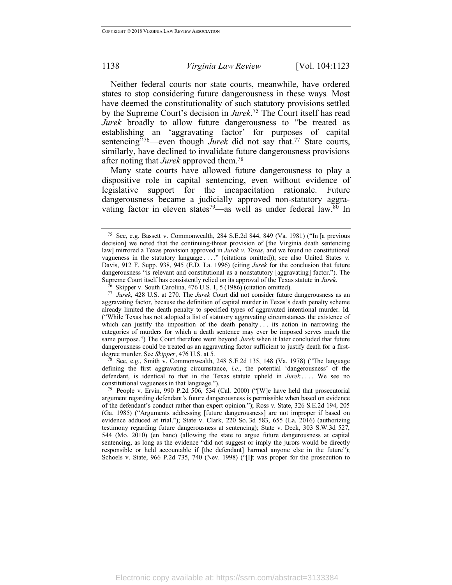Neither federal courts nor state courts, meanwhile, have ordered states to stop considering future dangerousness in these ways*.* Most have deemed the constitutionality of such statutory provisions settled by the Supreme Court's decision in *Jurek*. <sup>75</sup> The Court itself has read *Jurek* broadly to allow future dangerousness to "be treated as establishing an 'aggravating factor' for purposes of capital sentencing"<sup>76</sup>—even though *Jurek* did not say that.<sup>77</sup> State courts, similarly, have declined to invalidate future dangerousness provisions after noting that *Jurek* approved them.78

Many state courts have allowed future dangerousness to play a dispositive role in capital sentencing, even without evidence of legislative support for the incapacitation rationale. Future dangerousness became a judicially approved non-statutory aggravating factor in eleven states<sup>79</sup>—as well as under federal law.<sup>80</sup> In

defining the first aggravating circumstance, *i.e.*, the potential 'dangerousness' of the defendant, is identical to that in the Texas statute upheld in *Jurek* . . . . We see no constitutional vagueness in that language.").

<sup>75</sup> See, e.g. Bassett v. Commonwealth, 284 S.E.2d 844, 849 (Va. 1981) ("In [a previous decision] we noted that the continuing-threat provision of [the Virginia death sentencing law] mirrored a Texas provision approved in *Jurek v. Texas*, and we found no constitutional vagueness in the statutory language . . . ." (citations omitted)); see also United States v. Davis, 912 F. Supp. 938, 945 (E.D. La. 1996) (citing *Jurek* for the conclusion that future dangerousness "is relevant and constitutional as a nonstatutory [aggravating] factor."). The Supreme Court itself has consistently relied on its approval of the Texas statute in *Jurek*.

<sup>76</sup> Skipper v. South Carolina, 476 U.S. 1, 5 (1986) (citation omitted). 77 *Jurek*, 428 U.S. at 270. The *Jurek* Court did not consider future dangerousness as an aggravating factor, because the definition of capital murder in Texas's death penalty scheme already limited the death penalty to specified types of aggravated intentional murder. Id. ("While Texas has not adopted a list of statutory aggravating circumstances the existence of which can justify the imposition of the death penalty ... its action in narrowing the categories of murders for which a death sentence may ever be imposed serves much the same purpose.") The Court therefore went beyond *Jurek* when it later concluded that future dangerousness could be treated as an aggravating factor sufficient to justify death for a firstdegree murder. See *Skipper*, 476 U.S. at 5.<br><sup>78</sup> See, e.g., Smith v. Commonwealth, 248 S.E.2d 135, 148 (Va. 1978) ("The language

<sup>79</sup> People v. Ervin, 990 P.2d 506, 534 (Cal. 2000) ("[W]e have held that prosecutorial argument regarding defendant's future dangerousness is permissible when based on evidence of the defendant's conduct rather than expert opinion."); Ross v. State, 326 S.E.2d 194, 205 (Ga. 1985) ("Arguments addressing [future dangerousness] are not improper if based on evidence adduced at trial."); State v. Clark, 220 So. 3d 583, 655 (La. 2016) (authorizing testimony regarding future dangerousness at sentencing); State v. Deck, 303 S.W.3d 527, 544 (Mo. 2010) (en banc) (allowing the state to argue future dangerousness at capital sentencing, as long as the evidence "did not suggest or imply the jurors would be directly responsible or held accountable if [the defendant] harmed anyone else in the future"); Schoels v. State, 966 P.2d 735, 740 (Nev. 1998) ("[I]t was proper for the prosecution to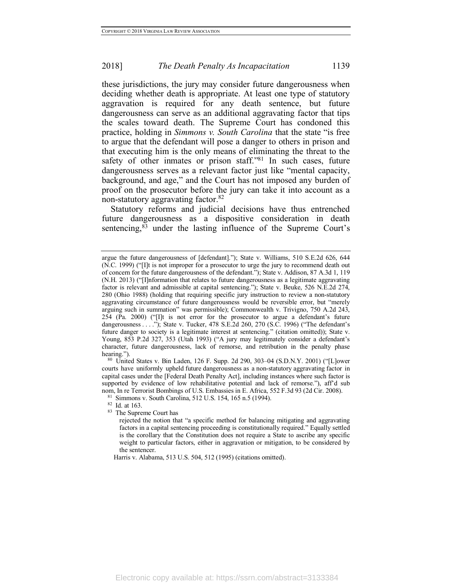these jurisdictions, the jury may consider future dangerousness when deciding whether death is appropriate. At least one type of statutory aggravation is required for any death sentence, but future dangerousness can serve as an additional aggravating factor that tips the scales toward death. The Supreme Court has condoned this practice, holding in *Simmons v. South Carolina* that the state "is free to argue that the defendant will pose a danger to others in prison and that executing him is the only means of eliminating the threat to the safety of other inmates or prison staff."<sup>81</sup> In such cases, future dangerousness serves as a relevant factor just like "mental capacity, background, and age," and the Court has not imposed any burden of proof on the prosecutor before the jury can take it into account as a non-statutory aggravating factor.<sup>82</sup>

Statutory reforms and judicial decisions have thus entrenched future dangerousness as a dispositive consideration in death sentencing,83 under the lasting influence of the Supreme Court's

<sup>80</sup> United States v. Bin Laden, 126 F. Supp. 2d 290, 303–04 (S.D.N.Y. 2001) ("[L]ower courts have uniformly upheld future dangerousness as a non-statutory aggravating factor in capital cases under the [Federal Death Penalty Act], including instances where such factor is supported by evidence of low rehabilitative potential and lack of remorse."), aff'd sub nom, In re Terrorist Bombings of U.S. Embassies in E. Africa, 552 F.3d 93 (2d Cir. 2008).

argue the future dangerousness of [defendant]."); State v. Williams, 510 S.E.2d 626, 644 (N.C. 1999) ("[I]t is not improper for a prosecutor to urge the jury to recommend death out of concern for the future dangerousness of the defendant."); State v. Addison, 87 A.3d 1, 119 (N.H. 2013) ("[I]nformation that relates to future dangerousness as a legitimate aggravating factor is relevant and admissible at capital sentencing."); State v. Beuke, 526 N.E.2d 274, 280 (Ohio 1988) (holding that requiring specific jury instruction to review a non-statutory aggravating circumstance of future dangerousness would be reversible error, but "merely arguing such in summation" was permissible); Commonwealth v. Trivigno, 750 A.2d 243, 254 (Pa. 2000) ("[I]t is not error for the prosecutor to argue a defendant's future dangerousness . . . ."); State v. Tucker, 478 S.E.2d 260, 270 (S.C. 1996) ("The defendant's future danger to society is a legitimate interest at sentencing." (citation omitted)); State v. Young, 853 P.2d 327, 353 (Utah 1993) ("A jury may legitimately consider a defendant's character, future dangerousness, lack of remorse, and retribution in the penalty phase hearing.").

<sup>81</sup> Simmons v. South Carolina, 512 U.S. 154, 165 n.5 (1994). 82 Id. at 163.

<sup>83</sup> The Supreme Court has

rejected the notion that "a specific method for balancing mitigating and aggravating factors in a capital sentencing proceeding is constitutionally required." Equally settled is the corollary that the Constitution does not require a State to ascribe any specific weight to particular factors, either in aggravation or mitigation, to be considered by the sentencer.

Harris v. Alabama, 513 U.S. 504, 512 (1995) (citations omitted).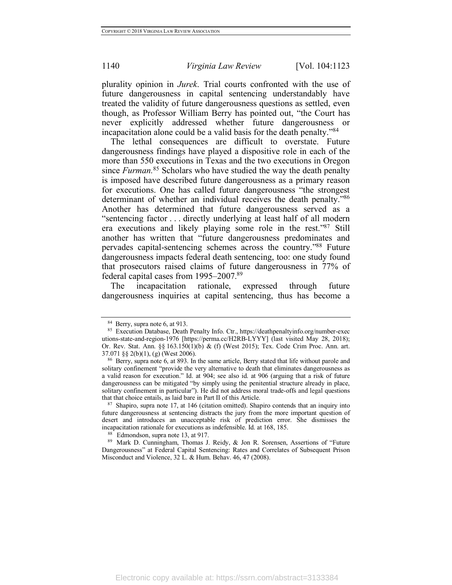plurality opinion in *Jurek*. Trial courts confronted with the use of future dangerousness in capital sentencing understandably have treated the validity of future dangerousness questions as settled, even though, as Professor William Berry has pointed out, "the Court has never explicitly addressed whether future dangerousness or incapacitation alone could be a valid basis for the death penalty."84

The lethal consequences are difficult to overstate. Future dangerousness findings have played a dispositive role in each of the more than 550 executions in Texas and the two executions in Oregon since *Furman.*<sup>85</sup> Scholars who have studied the way the death penalty is imposed have described future dangerousness as a primary reason for executions. One has called future dangerousness "the strongest determinant of whether an individual receives the death penalty."86 Another has determined that future dangerousness served as a "sentencing factor . . . directly underlying at least half of all modern era executions and likely playing some role in the rest."87 Still another has written that "future dangerousness predominates and pervades capital-sentencing schemes across the country."88 Future dangerousness impacts federal death sentencing, too: one study found that prosecutors raised claims of future dangerousness in 77% of federal capital cases from 1995–2007.89

The incapacitation rationale, expressed through future dangerousness inquiries at capital sentencing, thus has become a

<sup>84</sup> Berry, supra note 6, at 913.

<sup>85</sup> Execution Database, Death Penalty Info. Ctr., https://deathpenaltyinfo.org/number-exec utions-state-and-region-1976 [https://perma.cc/H2RB-LYYY] (last visited May 28, 2018); Or. Rev. Stat. Ann. §§ 163.150(1)(b) & (f) (West 2015); Tex. Code Crim Proc. Ann. art. 37.071 §§ 2(b)(1), (g) (West 2006).

<sup>&</sup>lt;sup>86</sup> Berry, supra note 6, at 893. In the same article, Berry stated that life without parole and solitary confinement "provide the very alternative to death that eliminates dangerousness as a valid reason for execution." Id. at 904; see also id. at 906 (arguing that a risk of future dangerousness can be mitigated "by simply using the penitential structure already in place, solitary confinement in particular"). He did not address moral trade-offs and legal questions that that choice entails, as laid bare in Part II of this Article.

<sup>87</sup> Shapiro, supra note 17, at 146 (citation omitted). Shapiro contends that an inquiry into future dangerousness at sentencing distracts the jury from the more important question of desert and introduces an unacceptable risk of prediction error. She dismisses the incapacitation rationale for executions as indefensible. Id. at 168, 185.<br><sup>88</sup> Edmondson, supra note 13, at 917.

<sup>89</sup> Mark D. Cunningham, Thomas J. Reidy, & Jon R. Sorensen, Assertions of "Future Dangerousness" at Federal Capital Sentencing: Rates and Correlates of Subsequent Prison Misconduct and Violence, 32 L. & Hum. Behav. 46, 47 (2008).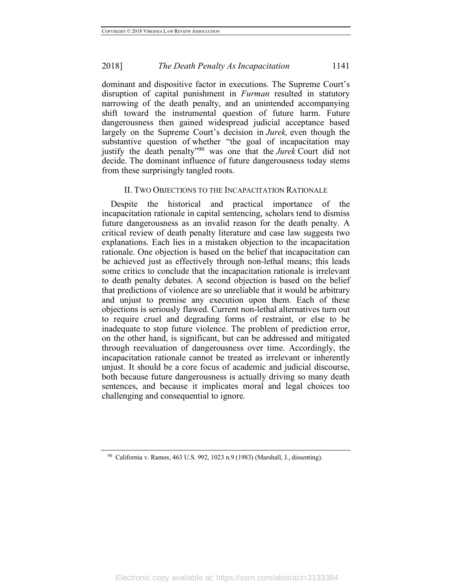dominant and dispositive factor in executions. The Supreme Court's disruption of capital punishment in *Furman* resulted in statutory narrowing of the death penalty, and an unintended accompanying shift toward the instrumental question of future harm. Future dangerousness then gained widespread judicial acceptance based largely on the Supreme Court's decision in *Jurek,* even though the substantive question of whether "the goal of incapacitation may justify the death penalty"90 was one that the *Jurek* Court did not decide. The dominant influence of future dangerousness today stems from these surprisingly tangled roots.

#### II. TWO OBJECTIONS TO THE INCAPACITATION RATIONALE

Despite the historical and practical importance of the incapacitation rationale in capital sentencing, scholars tend to dismiss future dangerousness as an invalid reason for the death penalty. A critical review of death penalty literature and case law suggests two explanations. Each lies in a mistaken objection to the incapacitation rationale. One objection is based on the belief that incapacitation can be achieved just as effectively through non-lethal means; this leads some critics to conclude that the incapacitation rationale is irrelevant to death penalty debates. A second objection is based on the belief that predictions of violence are so unreliable that it would be arbitrary and unjust to premise any execution upon them. Each of these objections is seriously flawed. Current non-lethal alternatives turn out to require cruel and degrading forms of restraint, or else to be inadequate to stop future violence. The problem of prediction error, on the other hand, is significant, but can be addressed and mitigated through reevaluation of dangerousness over time. Accordingly, the incapacitation rationale cannot be treated as irrelevant or inherently unjust. It should be a core focus of academic and judicial discourse, both because future dangerousness is actually driving so many death sentences, and because it implicates moral and legal choices too challenging and consequential to ignore.

<sup>90</sup> California v. Ramos, 463 U.S. 992, 1023 n.9 (1983) (Marshall, J., dissenting).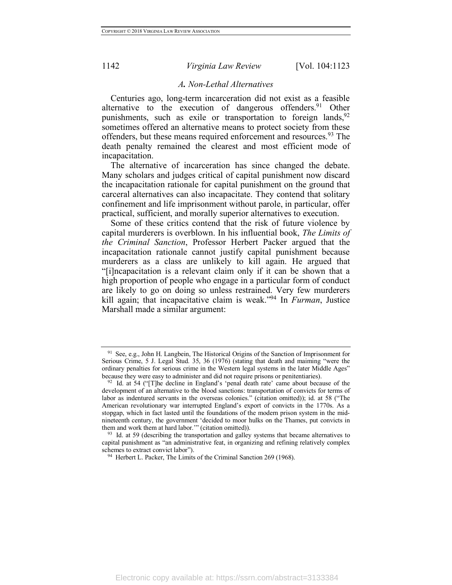#### *A. Non-Lethal Alternatives*

Centuries ago, long-term incarceration did not exist as a feasible alternative to the execution of dangerous offenders.<sup>91</sup> Other punishments, such as exile or transportation to foreign lands,  $92$ sometimes offered an alternative means to protect society from these offenders, but these means required enforcement and resources.<sup>93</sup> The death penalty remained the clearest and most efficient mode of incapacitation.

The alternative of incarceration has since changed the debate. Many scholars and judges critical of capital punishment now discard the incapacitation rationale for capital punishment on the ground that carceral alternatives can also incapacitate. They contend that solitary confinement and life imprisonment without parole, in particular, offer practical, sufficient, and morally superior alternatives to execution.

Some of these critics contend that the risk of future violence by capital murderers is overblown. In his influential book, *The Limits of the Criminal Sanction*, Professor Herbert Packer argued that the incapacitation rationale cannot justify capital punishment because murderers as a class are unlikely to kill again. He argued that "[i]ncapacitation is a relevant claim only if it can be shown that a high proportion of people who engage in a particular form of conduct are likely to go on doing so unless restrained. Very few murderers kill again; that incapacitative claim is weak."94 In *Furman*, Justice Marshall made a similar argument:

<sup>&</sup>lt;sup>91</sup> See, e.g., John H. Langbein, The Historical Origins of the Sanction of Imprisonment for Serious Crime, 5 J. Legal Stud. 35, 36 (1976) (stating that death and maiming "were the ordinary penalties for serious crime in the Western legal systems in the later Middle Ages" because they were easy to administer and did not require prisons or penitentiaries).

 $92$  Id. at 54 ("The decline in England's 'penal death rate' came about because of the development of an alternative to the blood sanctions: transportation of convicts for terms of labor as indentured servants in the overseas colonies." (citation omitted)); id. at 58 ("The American revolutionary war interrupted England's export of convicts in the 1770s. As a stopgap, which in fact lasted until the foundations of the modern prison system in the midnineteenth century, the government 'decided to moor hulks on the Thames, put convicts in them and work them at hard labor.'" (citation omitted)).

<sup>&</sup>lt;sup>93</sup> Id. at 59 (describing the transportation and galley systems that became alternatives to capital punishment as "an administrative feat, in organizing and refining relatively complex schemes to extract convict labor").

<sup>&</sup>lt;sup>94</sup> Herbert L. Packer, The Limits of the Criminal Sanction 269 (1968).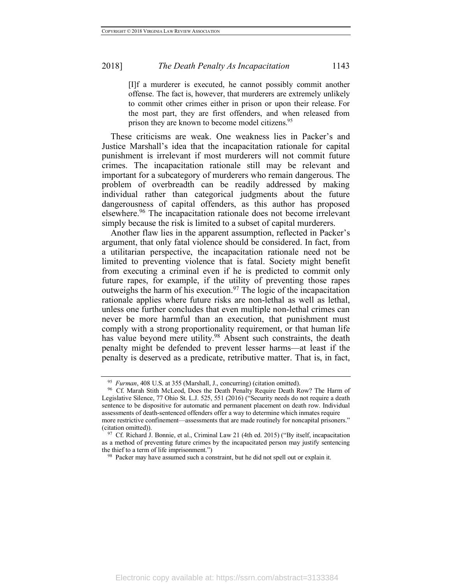[I]f a murderer is executed, he cannot possibly commit another offense. The fact is, however, that murderers are extremely unlikely to commit other crimes either in prison or upon their release. For the most part, they are first offenders, and when released from prison they are known to become model citizens.<sup>95</sup>

These criticisms are weak. One weakness lies in Packer's and Justice Marshall's idea that the incapacitation rationale for capital punishment is irrelevant if most murderers will not commit future crimes. The incapacitation rationale still may be relevant and important for a subcategory of murderers who remain dangerous. The problem of overbreadth can be readily addressed by making individual rather than categorical judgments about the future dangerousness of capital offenders, as this author has proposed elsewhere.96 The incapacitation rationale does not become irrelevant simply because the risk is limited to a subset of capital murderers.

Another flaw lies in the apparent assumption, reflected in Packer's argument, that only fatal violence should be considered. In fact, from a utilitarian perspective, the incapacitation rationale need not be limited to preventing violence that is fatal. Society might benefit from executing a criminal even if he is predicted to commit only future rapes, for example, if the utility of preventing those rapes outweighs the harm of his execution.<sup>97</sup> The logic of the incapacitation rationale applies where future risks are non-lethal as well as lethal, unless one further concludes that even multiple non-lethal crimes can never be more harmful than an execution, that punishment must comply with a strong proportionality requirement, or that human life has value beyond mere utility.<sup>98</sup> Absent such constraints, the death penalty might be defended to prevent lesser harms—at least if the penalty is deserved as a predicate, retributive matter. That is, in fact,

<sup>&</sup>lt;sup>95</sup> *Furman*, 408 U.S. at 355 (Marshall, J., concurring) (citation omitted). <sup>96</sup> Cf. Marah Stith McLeod, Does the Death Penalty Require Death Row? The Harm of Legislative Silence, 77 Ohio St. L.J. 525, 551 (2016) ("Security needs do not require a death sentence to be dispositive for automatic and permanent placement on death row. Individual assessments of death-sentenced offenders offer a way to determine which inmates require more restrictive confinement—assessments that are made routinely for noncapital prisoners." (citation omitted)).

<sup>&</sup>lt;sup>97</sup> Cf. Richard J. Bonnie, et al., Criminal Law 21 (4th ed. 2015) ("By itself, incapacitation as a method of preventing future crimes by the incapacitated person may justify sentencing the thief to a term of life imprisonment.")

<sup>&</sup>lt;sup>98</sup> Packer may have assumed such a constraint, but he did not spell out or explain it.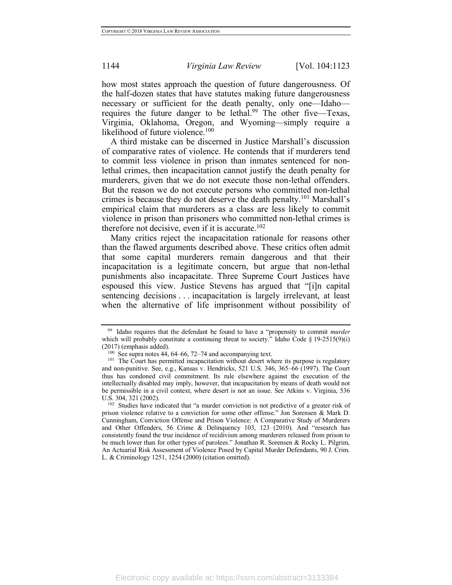how most states approach the question of future dangerousness. Of the half-dozen states that have statutes making future dangerousness necessary or sufficient for the death penalty, only one—Idaho requires the future danger to be lethal.<sup>99</sup> The other five—Texas, Virginia, Oklahoma, Oregon, and Wyoming—simply require a likelihood of future violence.<sup>100</sup>

A third mistake can be discerned in Justice Marshall's discussion of comparative rates of violence. He contends that if murderers tend to commit less violence in prison than inmates sentenced for nonlethal crimes, then incapacitation cannot justify the death penalty for murderers, given that we do not execute those non-lethal offenders. But the reason we do not execute persons who committed non-lethal crimes is because they do not deserve the death penalty.101 Marshall's empirical claim that murderers as a class are less likely to commit violence in prison than prisoners who committed non-lethal crimes is therefore not decisive, even if it is accurate. 102

Many critics reject the incapacitation rationale for reasons other than the flawed arguments described above. These critics often admit that some capital murderers remain dangerous and that their incapacitation is a legitimate concern, but argue that non-lethal punishments also incapacitate. Three Supreme Court Justices have espoused this view. Justice Stevens has argued that "[i]n capital sentencing decisions . . . incapacitation is largely irrelevant, at least when the alternative of life imprisonment without possibility of

<sup>99</sup> Idaho requires that the defendant be found to have a "propensity to commit *murder*  which will probably constitute a continuing threat to society." Idaho Code  $\S$  19-2515(9)(i) (2017) (emphasis added).  $100$  See supra notes 44, 64–66, 72–74 and accompanying text.

<sup>&</sup>lt;sup>101</sup> The Court has permitted incapacitation without desert where its purpose is regulatory and non-punitive. See, e.g., Kansas v. Hendricks, 521 U.S. 346, 365–66 (1997). The Court thus has condoned civil commitment. Its rule elsewhere against the execution of the intellectually disabled may imply, however, that incapacitation by means of death would not be permissible in a civil context, where desert is not an issue. See Atkins v. Virginia, 536 U.S. 304, 321 (2002).

<sup>&</sup>lt;sup>102</sup> Studies have indicated that "a murder conviction is not predictive of a greater risk of prison violence relative to a conviction for some other offense." Jon Sorensen & Mark D. Cunningham, Conviction Offense and Prison Violence: A Comparative Study of Murderers and Other Offenders, 56 Crime & Delinquency 103, 123 (2010). And "research has consistently found the true incidence of recidivism among murderers released from prison to be much lower than for other types of parolees." Jonathan R. Sorensen & Rocky L. Pilgrim, An Actuarial Risk Assessment of Violence Posed by Capital Murder Defendants, 90 J. Crim. L. & Criminology 1251, 1254 (2000) (citation omitted).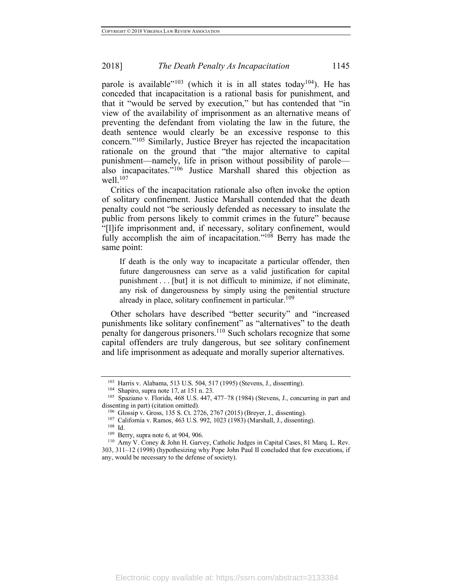parole is available"<sup>103</sup> (which it is in all states today<sup>104</sup>). He has conceded that incapacitation is a rational basis for punishment, and that it "would be served by execution," but has contended that "in view of the availability of imprisonment as an alternative means of preventing the defendant from violating the law in the future, the death sentence would clearly be an excessive response to this concern."105 Similarly, Justice Breyer has rejected the incapacitation rationale on the ground that "the major alternative to capital punishment—namely, life in prison without possibility of parole also incapacitates."106 Justice Marshall shared this objection as well.<sup>107</sup>

Critics of the incapacitation rationale also often invoke the option of solitary confinement. Justice Marshall contended that the death penalty could not "be seriously defended as necessary to insulate the public from persons likely to commit crimes in the future" because "[l]ife imprisonment and, if necessary, solitary confinement, would fully accomplish the aim of incapacitation."<sup>108</sup> Berry has made the same point:

If death is the only way to incapacitate a particular offender, then future dangerousness can serve as a valid justification for capital punishment . . . [but] it is not difficult to minimize, if not eliminate, any risk of dangerousness by simply using the penitential structure already in place, solitary confinement in particular.<sup>109</sup>

Other scholars have described "better security" and "increased punishments like solitary confinement" as "alternatives" to the death penalty for dangerous prisoners.110 Such scholars recognize that some capital offenders are truly dangerous, but see solitary confinement and life imprisonment as adequate and morally superior alternatives.

<sup>&</sup>lt;sup>103</sup> Harris v. Alabama, 513 U.S. 504, 517 (1995) (Stevens, J., dissenting). <sup>104</sup> Shapiro, supra note 17, at 151 n. 23.

<sup>&</sup>lt;sup>105</sup> Spaziano v. Florida, 468 U.S. 447, 477-78 (1984) (Stevens, J., concurring in part and dissenting in part) (citation omitted).

<sup>106</sup> Glossip v. Gross, 135 S. Ct. 2726, 2767 (2015) (Breyer, J., dissenting).

<sup>107</sup> California v. Ramos, 463 U.S. 992, 1023 (1983) (Marshall, J., dissenting).

<sup>108</sup> Id.

<sup>109</sup> Berry, supra note 6, at 904, 906.

<sup>110</sup> Amy V. Coney & John H. Garvey, Catholic Judges in Capital Cases, 81 Marq. L. Rev. 303, 311–12 (1998) (hypothesizing why Pope John Paul II concluded that few executions, if any, would be necessary to the defense of society).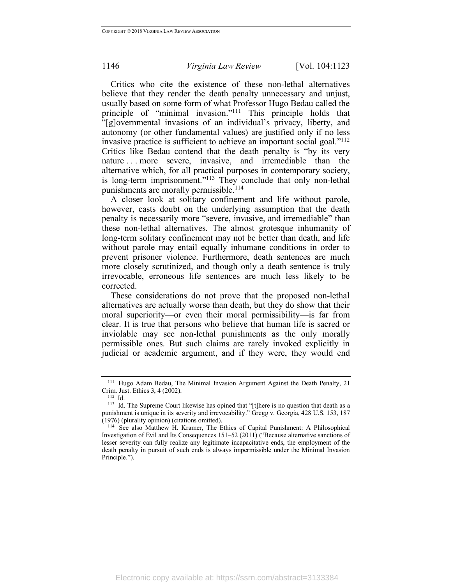Critics who cite the existence of these non-lethal alternatives believe that they render the death penalty unnecessary and unjust, usually based on some form of what Professor Hugo Bedau called the principle of "minimal invasion."111 This principle holds that "[g]overnmental invasions of an individual's privacy, liberty, and autonomy (or other fundamental values) are justified only if no less invasive practice is sufficient to achieve an important social goal."112 Critics like Bedau contend that the death penalty is "by its very nature . . . more severe, invasive, and irremediable than the alternative which, for all practical purposes in contemporary society, is long-term imprisonment."113 They conclude that only non-lethal punishments are morally permissible.<sup>114</sup>

A closer look at solitary confinement and life without parole, however, casts doubt on the underlying assumption that the death penalty is necessarily more "severe, invasive, and irremediable" than these non-lethal alternatives. The almost grotesque inhumanity of long-term solitary confinement may not be better than death, and life without parole may entail equally inhumane conditions in order to prevent prisoner violence. Furthermore, death sentences are much more closely scrutinized, and though only a death sentence is truly irrevocable, erroneous life sentences are much less likely to be corrected.

These considerations do not prove that the proposed non-lethal alternatives are actually worse than death, but they do show that their moral superiority—or even their moral permissibility—is far from clear. It is true that persons who believe that human life is sacred or inviolable may see non-lethal punishments as the only morally permissible ones. But such claims are rarely invoked explicitly in judicial or academic argument, and if they were, they would end

<sup>111</sup> Hugo Adam Bedau, The Minimal Invasion Argument Against the Death Penalty, 21 Crim. Just. Ethics 3, 4 (2002).<br><sup>112</sup> Id.

<sup>&</sup>lt;sup>112</sup> Id.<br><sup>113</sup> Id. The Supreme Court likewise has opined that "[t]here is no question that death as a punishment is unique in its severity and irrevocability." Gregg v. Georgia, 428 U.S. 153, 187 (1976) (plurality opinion) (citations omitted).

<sup>114</sup> See also Matthew H. Kramer, The Ethics of Capital Punishment: A Philosophical Investigation of Evil and Its Consequences 151–52 (2011) ("Because alternative sanctions of lesser severity can fully realize any legitimate incapacitative ends, the employment of the death penalty in pursuit of such ends is always impermissible under the Minimal Invasion Principle.").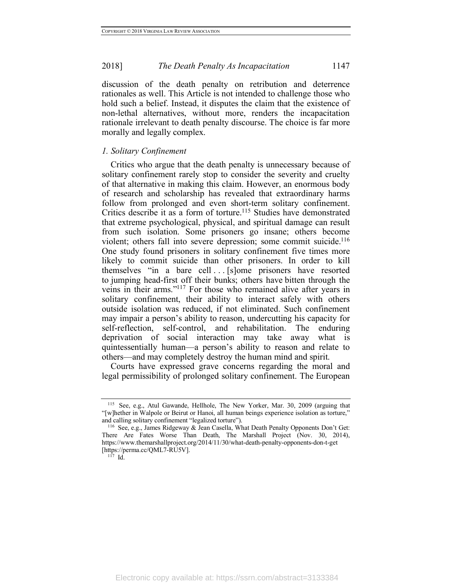discussion of the death penalty on retribution and deterrence rationales as well. This Article is not intended to challenge those who hold such a belief. Instead, it disputes the claim that the existence of non-lethal alternatives, without more, renders the incapacitation rationale irrelevant to death penalty discourse. The choice is far more morally and legally complex.

# *1. Solitary Confinement*

Critics who argue that the death penalty is unnecessary because of solitary confinement rarely stop to consider the severity and cruelty of that alternative in making this claim. However, an enormous body of research and scholarship has revealed that extraordinary harms follow from prolonged and even short-term solitary confinement. Critics describe it as a form of torture.<sup>115</sup> Studies have demonstrated that extreme psychological, physical, and spiritual damage can result from such isolation. Some prisoners go insane; others become violent; others fall into severe depression; some commit suicide.<sup>116</sup> One study found prisoners in solitary confinement five times more likely to commit suicide than other prisoners. In order to kill themselves "in a bare cell . . . [s]ome prisoners have resorted to jumping head-first off their bunks; others have bitten through the veins in their arms."117 For those who remained alive after years in solitary confinement, their ability to interact safely with others outside isolation was reduced, if not eliminated. Such confinement may impair a person's ability to reason, undercutting his capacity for self-reflection, self-control, and rehabilitation. The enduring deprivation of social interaction may take away what is quintessentially human—a person's ability to reason and relate to others—and may completely destroy the human mind and spirit.

Courts have expressed grave concerns regarding the moral and legal permissibility of prolonged solitary confinement. The European

 $117$  Id.

<sup>115</sup> See, e.g., Atul Gawande, Hellhole, The New Yorker, Mar. 30, 2009 (arguing that "[w]hether in Walpole or Beirut or Hanoi, all human beings experience isolation as torture," and calling solitary confinement "legalized torture").<br><sup>116</sup> See, e.g., James Ridgeway & Jean Casella, What Death Penalty Opponents Don't Get:

There Are Fates Worse Than Death, The Marshall Project (Nov. 30, 2014), https://www.themarshallproject.org/2014/11/30/what-death-penalty-opponents-don-t-get [https://perma.cc/QML7-RU5V].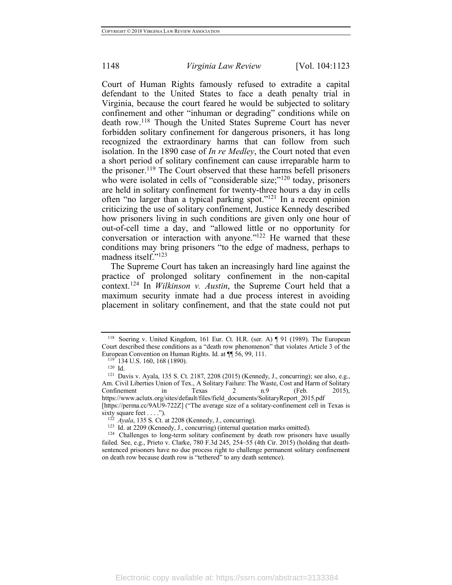Court of Human Rights famously refused to extradite a capital defendant to the United States to face a death penalty trial in Virginia, because the court feared he would be subjected to solitary confinement and other "inhuman or degrading" conditions while on death row.118 Though the United States Supreme Court has never forbidden solitary confinement for dangerous prisoners, it has long recognized the extraordinary harms that can follow from such isolation. In the 1890 case of *In re Medley*, the Court noted that even a short period of solitary confinement can cause irreparable harm to the prisoner.<sup>119</sup> The Court observed that these harms befell prisoners who were isolated in cells of "considerable size;"<sup>120</sup> today, prisoners are held in solitary confinement for twenty-three hours a day in cells often "no larger than a typical parking spot."121 In a recent opinion criticizing the use of solitary confinement, Justice Kennedy described how prisoners living in such conditions are given only one hour of out-of-cell time a day, and "allowed little or no opportunity for conversation or interaction with anyone."<sup>122</sup> He warned that these conditions may bring prisoners "to the edge of madness, perhaps to madness itself."123

The Supreme Court has taken an increasingly hard line against the practice of prolonged solitary confinement in the non-capital context.124 In *Wilkinson v. Austin*, the Supreme Court held that a maximum security inmate had a due process interest in avoiding placement in solitary confinement, and that the state could not put

<sup>118</sup> Soering v. United Kingdom, 161 Eur. Ct. H.R. (ser. A) ¶ 91 (1989). The European Court described these conditions as a "death row phenomenon" that violates Article 3 of the European Convention on Human Rights. Id. at  $\P$  56, 99, 111.<br><sup>119</sup> 134 U.S. 160, 168 (1890).

<sup>120</sup> Id.

<sup>121</sup> Davis v. Ayala, 135 S. Ct. 2187, 2208 (2015) (Kennedy, J., concurring); see also, e.g., Am. Civil Liberties Union of Tex., A Solitary Failure: The Waste, Cost and Harm of Solitary Confinement in Texas 2 n.9 (Feb. 2015), https://www.aclutx.org/sites/default/files/field\_documents/SolitaryReport\_2015.pdf [https://perma.cc/9AU9-722Z] ("The average size of a solitary-confinement cell in Texas is sixty square feet . . . .").<br> $^{122}$  Ayala, 135 S. Ct. at 2208 (Kennedy, J., concurring).

<sup>&</sup>lt;sup>123</sup> Id. at 2209 (Kennedy, J., concurring) (internal quotation marks omitted).

<sup>&</sup>lt;sup>124</sup> Challenges to long-term solitary confinement by death row prisoners have usually failed. See, e.g., Prieto v. Clarke, 780 F.3d 245, 254–55 (4th Cir. 2015) (holding that deathsentenced prisoners have no due process right to challenge permanent solitary confinement on death row because death row is "tethered" to any death sentence).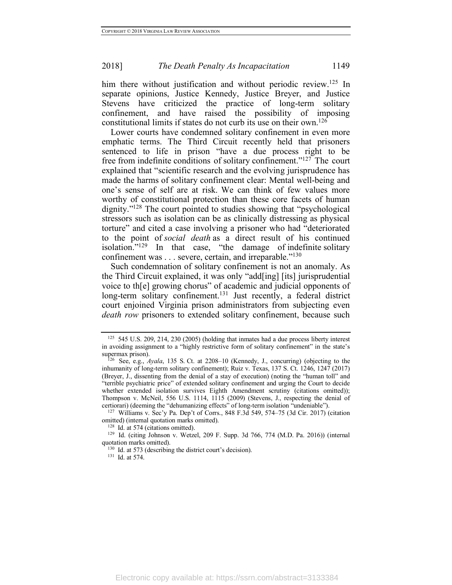him there without justification and without periodic review.<sup>125</sup> In separate opinions, Justice Kennedy, Justice Breyer, and Justice Stevens have criticized the practice of long-term solitary confinement, and have raised the possibility of imposing constitutional limits if states do not curb its use on their own.126

Lower courts have condemned solitary confinement in even more emphatic terms. The Third Circuit recently held that prisoners sentenced to life in prison "have a due process right to be free from indefinite conditions of solitary confinement."127 The court explained that "scientific research and the evolving jurisprudence has made the harms of solitary confinement clear: Mental well-being and one's sense of self are at risk. We can think of few values more worthy of constitutional protection than these core facets of human dignity."128 The court pointed to studies showing that "psychological stressors such as isolation can be as clinically distressing as physical torture" and cited a case involving a prisoner who had "deteriorated to the point of *social death* as a direct result of his continued isolation."129 In that case, "the damage of indefinite solitary confinement was . . . severe, certain, and irreparable."130

Such condemnation of solitary confinement is not an anomaly. As the Third Circuit explained, it was only "add[ing] [its] jurisprudential voice to th[e] growing chorus" of academic and judicial opponents of long-term solitary confinement.<sup>131</sup> Just recently, a federal district court enjoined Virginia prison administrators from subjecting even *death row* prisoners to extended solitary confinement, because such

<sup>125</sup> 545 U.S. 209, 214, 230 (2005) (holding that inmates had a due process liberty interest in avoiding assignment to a "highly restrictive form of solitary confinement" in the state's supermax prison).

<sup>126</sup> See, e.g., *Ayala*, 135 S. Ct. at 2208–10 (Kennedy, J., concurring) (objecting to the inhumanity of long-term solitary confinement); Ruiz v. Texas, 137 S. Ct. 1246, 1247 (2017) (Breyer, J., dissenting from the denial of a stay of execution) (noting the "human toll" and "terrible psychiatric price" of extended solitary confinement and urging the Court to decide whether extended isolation survives Eighth Amendment scrutiny (citations omitted)); Thompson v. McNeil, 556 U.S. 1114, 1115 (2009) (Stevens, J., respecting the denial of certiorari) (deeming the "dehumanizing effects" of long-term isolation "undeniable").

<sup>127</sup> Williams v. Sec'y Pa. Dep't of Corrs., 848 F.3d 549, 574–75 (3d Cir. 2017) (citation omitted) (internal quotation marks omitted).

<sup>&</sup>lt;sup>128</sup> Id. at 574 (citations omitted).

 $^{129}$  Id. (citing Johnson v. Wetzel, 209 F. Supp. 3d 766, 774 (M.D. Pa. 2016)) (internal quotation marks omitted).

 $130$  Id. at 573 (describing the district court's decision).

<sup>131</sup> Id. at 574.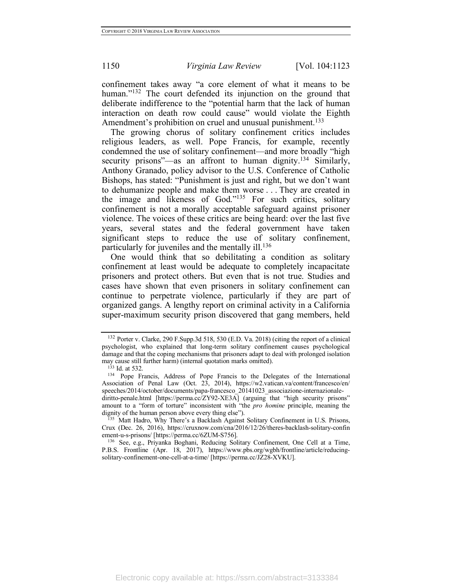confinement takes away "a core element of what it means to be human."<sup>132</sup> The court defended its injunction on the ground that deliberate indifference to the "potential harm that the lack of human interaction on death row could cause" would violate the Eighth Amendment's prohibition on cruel and unusual punishment.<sup>133</sup>

The growing chorus of solitary confinement critics includes religious leaders, as well. Pope Francis, for example, recently condemned the use of solitary confinement—and more broadly "high security prisons"—as an affront to human dignity.<sup>134</sup> Similarly, Anthony Granado, policy advisor to the U.S. Conference of Catholic Bishops, has stated: "Punishment is just and right, but we don't want to dehumanize people and make them worse . . . They are created in the image and likeness of God."135 For such critics, solitary confinement is not a morally acceptable safeguard against prisoner violence. The voices of these critics are being heard: over the last five years, several states and the federal government have taken significant steps to reduce the use of solitary confinement, particularly for juveniles and the mentally ill.<sup>136</sup>

One would think that so debilitating a condition as solitary confinement at least would be adequate to completely incapacitate prisoners and protect others. But even that is not true. Studies and cases have shown that even prisoners in solitary confinement can continue to perpetrate violence, particularly if they are part of organized gangs. A lengthy report on criminal activity in a California super-maximum security prison discovered that gang members, held

<sup>132</sup> Porter v. Clarke, 290 F.Supp.3d 518, 530 (E.D. Va. 2018) (citing the report of a clinical psychologist, who explained that long-term solitary confinement causes psychological damage and that the coping mechanisms that prisoners adapt to deal with prolonged isolation may cause still further harm) (internal quotation marks omitted).

<sup>&</sup>lt;sup>133</sup> Id. at 532.<br><sup>134</sup> Pope Francis, Address of Pope Francis to the Delegates of the International Association of Penal Law (Oct. 23, 2014), https://w2.vatican.va/content/francesco/en/ speeches/2014/october/documents/papa-francesco\_20141023\_associazione-internazionalediritto-penale.html [https://perma.cc/ZY92-XE3A] (arguing that "high security prisons" amount to a "form of torture" inconsistent with "the *pro homine* principle, meaning the dignity of the human person above every thing else").

<sup>135</sup> Matt Hadro, Why There's a Backlash Against Solitary Confinement in U.S. Prisons, Crux (Dec. 26, 2016), https://cruxnow.com/cna/2016/12/26/theres-backlash-solitary-confin

<sup>&</sup>lt;sup>136</sup> See, e.g., Priyanka Boghani, Reducing Solitary Confinement, One Cell at a Time, P.B.S. Frontline (Apr. 18, 2017), https://www.pbs.org/wgbh/frontline/article/reducingsolitary-confinement-one-cell-at-a-time/ [https://perma.cc/JZ28-XVKU].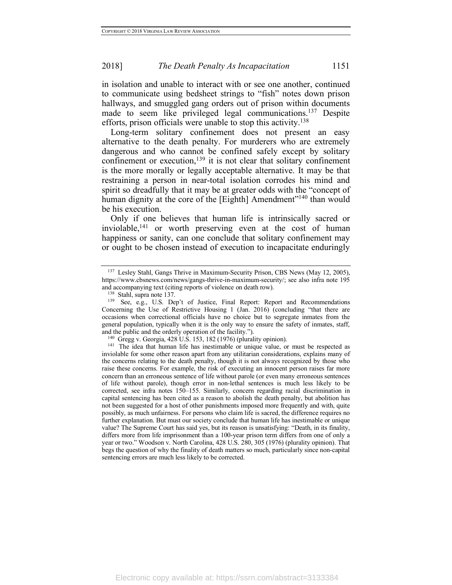in isolation and unable to interact with or see one another, continued to communicate using bedsheet strings to "fish" notes down prison hallways, and smuggled gang orders out of prison within documents made to seem like privileged legal communications.<sup>137</sup> Despite efforts, prison officials were unable to stop this activity.138

Long-term solitary confinement does not present an easy alternative to the death penalty. For murderers who are extremely dangerous and who cannot be confined safely except by solitary confinement or execution, $139$  it is not clear that solitary confinement is the more morally or legally acceptable alternative. It may be that restraining a person in near-total isolation corrodes his mind and spirit so dreadfully that it may be at greater odds with the "concept of human dignity at the core of the [Eighth] Amendment"<sup>140</sup> than would be his execution.

Only if one believes that human life is intrinsically sacred or inviolable,<sup>141</sup> or worth preserving even at the cost of human happiness or sanity, can one conclude that solitary confinement may or ought to be chosen instead of execution to incapacitate enduringly

<sup>137</sup> Lesley Stahl, Gangs Thrive in Maximum-Security Prison, CBS News (May 12, 2005), https://www.cbsnews.com/news/gangs-thrive-in-maximum-security/; see also infra note 195 and accompanying text (citing reports of violence on death row).

<sup>&</sup>lt;sup>138</sup> Stahl, supra note 137.<br><sup>139</sup> See, e.g., U.S. Dep't of Justice, Final Report: Report and Recommendations Concerning the Use of Restrictive Housing 1 (Jan. 2016) (concluding "that there are occasions when correctional officials have no choice but to segregate inmates from the general population, typically when it is the only way to ensure the safety of inmates, staff, and the public and the orderly operation of the facility.").

<sup>140</sup> Gregg v. Georgia, 428 U.S. 153, 182 (1976) (plurality opinion).

<sup>&</sup>lt;sup>141</sup> The idea that human life has inestimable or unique value, or must be respected as inviolable for some other reason apart from any utilitarian considerations, explains many of the concerns relating to the death penalty, though it is not always recognized by those who raise these concerns. For example, the risk of executing an innocent person raises far more concern than an erroneous sentence of life without parole (or even many erroneous sentences of life without parole), though error in non-lethal sentences is much less likely to be corrected, see infra notes 150–155. Similarly, concern regarding racial discrimination in capital sentencing has been cited as a reason to abolish the death penalty, but abolition has not been suggested for a host of other punishments imposed more frequently and with, quite possibly, as much unfairness. For persons who claim life is sacred, the difference requires no further explanation. But must our society conclude that human life has inestimable or unique value? The Supreme Court has said yes, but its reason is unsatisfying: "Death, in its finality, differs more from life imprisonment than a 100-year prison term differs from one of only a year or two." Woodson v. North Carolina, 428 U.S. 280, 305 (1976) (plurality opinion). That begs the question of why the finality of death matters so much, particularly since non-capital sentencing errors are much less likely to be corrected.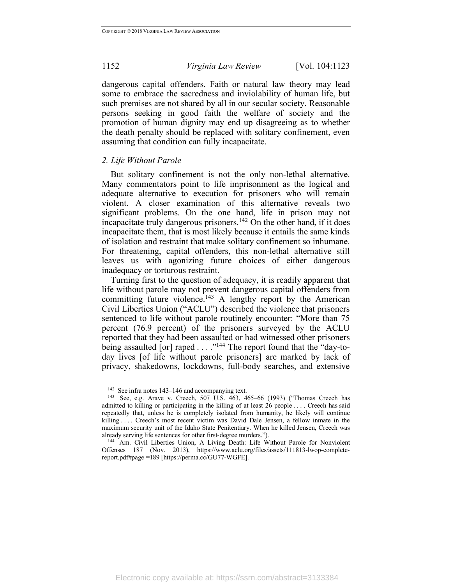dangerous capital offenders. Faith or natural law theory may lead some to embrace the sacredness and inviolability of human life, but such premises are not shared by all in our secular society. Reasonable persons seeking in good faith the welfare of society and the promotion of human dignity may end up disagreeing as to whether the death penalty should be replaced with solitary confinement, even assuming that condition can fully incapacitate.

#### *2. Life Without Parole*

But solitary confinement is not the only non-lethal alternative. Many commentators point to life imprisonment as the logical and adequate alternative to execution for prisoners who will remain violent. A closer examination of this alternative reveals two significant problems. On the one hand, life in prison may not incapacitate truly dangerous prisoners.<sup>142</sup> On the other hand, if it does incapacitate them, that is most likely because it entails the same kinds of isolation and restraint that make solitary confinement so inhumane. For threatening, capital offenders, this non-lethal alternative still leaves us with agonizing future choices of either dangerous inadequacy or torturous restraint.

Turning first to the question of adequacy, it is readily apparent that life without parole may not prevent dangerous capital offenders from committing future violence.<sup>143</sup> A lengthy report by the American Civil Liberties Union ("ACLU") described the violence that prisoners sentenced to life without parole routinely encounter: "More than 75 percent (76.9 percent) of the prisoners surveyed by the ACLU reported that they had been assaulted or had witnessed other prisoners being assaulted [or] raped . . . . "<sup>144</sup> The report found that the "day-today lives [of life without parole prisoners] are marked by lack of privacy, shakedowns, lockdowns, full-body searches, and extensive

Electronic copy available at: https://ssrn.com/abstract=3133384

<sup>&</sup>lt;sup>142</sup> See infra notes 143–146 and accompanying text.  $143$  See, e.g. Arave v. Creech, 507 U.S. 463, 465–66 (1993) ("Thomas Creech has admitted to killing or participating in the killing of at least 26 people . . . . Creech has said repeatedly that, unless he is completely isolated from humanity, he likely will continue killing . . . . Creech's most recent victim was David Dale Jensen, a fellow inmate in the maximum security unit of the Idaho State Penitentiary. When he killed Jensen, Creech was already serving life sentences for other first-degree murders.").

<sup>&</sup>lt;sup>144</sup> Am. Civil Liberties Union, A Living Death: Life Without Parole for Nonviolent Offenses 187 (Nov. 2013), https://www.aclu.org/files/assets/111813-lwop-completereport.pdf#page =189 [https://perma.cc/GU77-WGFE].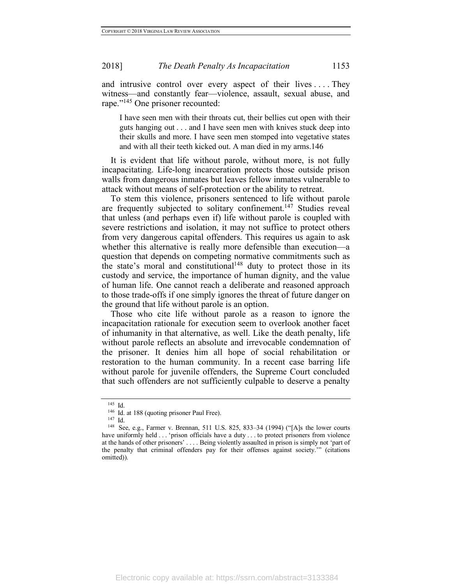and intrusive control over every aspect of their lives . . . . They witness—and constantly fear—violence, assault, sexual abuse, and rape."145 One prisoner recounted:

I have seen men with their throats cut, their bellies cut open with their guts hanging out . . . and I have seen men with knives stuck deep into their skulls and more. I have seen men stomped into vegetative states and with all their teeth kicked out. A man died in my arms.146

It is evident that life without parole, without more, is not fully incapacitating. Life-long incarceration protects those outside prison walls from dangerous inmates but leaves fellow inmates vulnerable to attack without means of self-protection or the ability to retreat.

To stem this violence, prisoners sentenced to life without parole are frequently subjected to solitary confinement.147 Studies reveal that unless (and perhaps even if) life without parole is coupled with severe restrictions and isolation, it may not suffice to protect others from very dangerous capital offenders. This requires us again to ask whether this alternative is really more defensible than execution—a question that depends on competing normative commitments such as the state's moral and constitutional<sup>148</sup> duty to protect those in its custody and service, the importance of human dignity, and the value of human life. One cannot reach a deliberate and reasoned approach to those trade-offs if one simply ignores the threat of future danger on the ground that life without parole is an option.

Those who cite life without parole as a reason to ignore the incapacitation rationale for execution seem to overlook another facet of inhumanity in that alternative, as well. Like the death penalty, life without parole reflects an absolute and irrevocable condemnation of the prisoner. It denies him all hope of social rehabilitation or restoration to the human community. In a recent case barring life without parole for juvenile offenders, the Supreme Court concluded that such offenders are not sufficiently culpable to deserve a penalty

Electronic copy available at: https://ssrn.com/abstract=3133384

<sup>&</sup>lt;sup>145</sup> Id. 146 Id. at 188 (quoting prisoner Paul Free).<br><sup>147</sup> Id

<sup>&</sup>lt;sup>148</sup> See, e.g., Farmer v. Brennan, 511 U.S. 825, 833–34 (1994) ("[A]s the lower courts have uniformly held . . . 'prison officials have a duty . . . to protect prisoners from violence at the hands of other prisoners' . . . . Being violently assaulted in prison is simply not 'part of the penalty that criminal offenders pay for their offenses against society.'" (citations omitted)).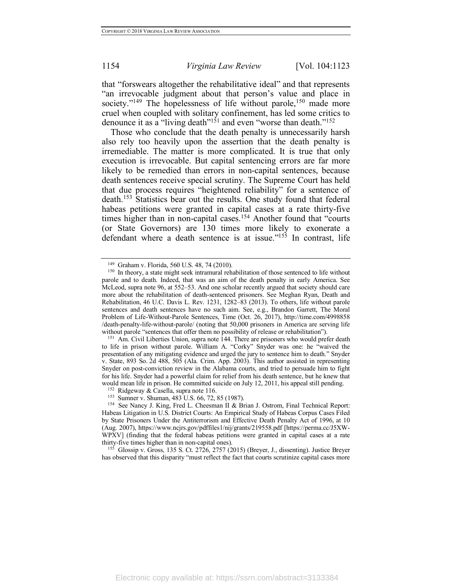that "forswears altogether the rehabilitative ideal" and that represents "an irrevocable judgment about that person's value and place in society."<sup>149</sup> The hopelessness of life without parole,<sup>150</sup> made more cruel when coupled with solitary confinement, has led some critics to denounce it as a "living death"<sup>151</sup> and even "worse than death."<sup>152</sup>

Those who conclude that the death penalty is unnecessarily harsh also rely too heavily upon the assertion that the death penalty is irremediable. The matter is more complicated. It is true that only execution is irrevocable. But capital sentencing errors are far more likely to be remedied than errors in non-capital sentences, because death sentences receive special scrutiny. The Supreme Court has held that due process requires "heightened reliability" for a sentence of death.153 Statistics bear out the results. One study found that federal habeas petitions were granted in capital cases at a rate thirty-five times higher than in non-capital cases.<sup>154</sup> Another found that "courts (or State Governors) are 130 times more likely to exonerate a defendant where a death sentence is at issue." $15\overline{5}$  In contrast, life

to life in prison without parole. William A. "Corky" Snyder was one: he "waived the presentation of any mitigating evidence and urged the jury to sentence him to death." Snyder v. State, 893 So. 2d 488, 505 (Ala. Crim. App. 2003). This author assisted in representing Snyder on post-conviction review in the Alabama courts, and tried to persuade him to fight for his life. Snyder had a powerful claim for relief from his death sentence, but he knew that would mean life in prison. He committed suicide on July 12, 2011, his appeal still pending.<br><sup>152</sup> Ridgeway & Casella, supra note 116.

 $155$  Glossip v. Gross, 135 S. Ct. 2726, 2757 (2015) (Breyer, J., dissenting). Justice Breyer has observed that this disparity "must reflect the fact that courts scrutinize capital cases more

<sup>&</sup>lt;sup>149</sup> Graham v. Florida, 560 U.S. 48, 74 (2010).<br><sup>150</sup> In theory, a state might seek intramural rehabilitation of those sentenced to life without parole and to death. Indeed, that was an aim of the death penalty in early America. See McLeod, supra note 96, at 552–53. And one scholar recently argued that society should care more about the rehabilitation of death-sentenced prisoners. See Meghan Ryan, Death and Rehabilitation, 46 U.C. Davis L. Rev. 1231, 1282–83 (2013). To others, life without parole sentences and death sentences have no such aim. See, e.g., Brandon Garrett, The Moral Problem of Life-Without-Parole Sentences, Time (Oct. 26, 2017), http://time.com/4998858 /death-penalty-life-without-parole/ (noting that 50,000 prisoners in America are serving life without parole "sentences that offer them no possibility of release or rehabilitation").<br><sup>151</sup> Am. Civil Liberties Union, supra note 144. There are prisoners who would prefer death

<sup>&</sup>lt;sup>153</sup> Sumner v. Shuman, 483 U.S. 66, 72, 85 (1987).<br><sup>154</sup> See Nancy J. King, Fred L. Cheesman II & Brian J. Ostrom, Final Technical Report: Habeas Litigation in U.S. District Courts: An Empirical Study of Habeas Corpus Cases Filed by State Prisoners Under the Antiterrorism and Effective Death Penalty Act of 1996, at 10 (Aug. 2007), https://www.ncjrs.gov/pdffiles1/nij/grants/219558.pdf [https://perma.cc/J5XW-WPXV] (finding that the federal habeas petitions were granted in capital cases at a rate thirty-five times higher than in non-capital ones).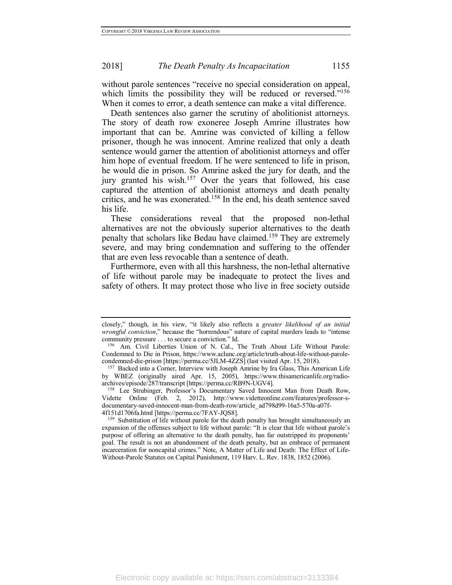without parole sentences "receive no special consideration on appeal, which limits the possibility they will be reduced or reversed."<sup>156</sup> When it comes to error, a death sentence can make a vital difference.

Death sentences also garner the scrutiny of abolitionist attorneys. The story of death row exoneree Joseph Amrine illustrates how important that can be. Amrine was convicted of killing a fellow prisoner, though he was innocent. Amrine realized that only a death sentence would garner the attention of abolitionist attorneys and offer him hope of eventual freedom. If he were sentenced to life in prison, he would die in prison. So Amrine asked the jury for death, and the jury granted his wish.157 Over the years that followed, his case captured the attention of abolitionist attorneys and death penalty critics, and he was exonerated.158 In the end, his death sentence saved his life.

These considerations reveal that the proposed non-lethal alternatives are not the obviously superior alternatives to the death penalty that scholars like Bedau have claimed.159 They are extremely severe, and may bring condemnation and suffering to the offender that are even less revocable than a sentence of death.

Furthermore, even with all this harshness, the non-lethal alternative of life without parole may be inadequate to protect the lives and safety of others. It may protect those who live in free society outside

<sup>158</sup> Lee Strubinger, Professor's Documentary Saved Innocent Man from Death Row, Vidette Online (Feb. 2, 2012), http://www.videtteonline.com/features/professor-sdocumentary-saved-innocent-man-from-death-row/article\_ad798d99-16a5-570a-a07f-4f151d1706fa.html [https://perma.cc/7FAY-JQS8].

<sup>159</sup> Substitution of life without parole for the death penalty has brought simultaneously an expansion of the offenses subject to life without parole: "It is clear that life without parole's purpose of offering an alternative to the death penalty, has far outstripped its proponents' goal. The result is not an abandonment of the death penalty, but an embrace of permanent incarceration for noncapital crimes." Note, A Matter of Life and Death: The Effect of Life-Without-Parole Statutes on Capital Punishment, 119 Harv. L. Rev. 1838, 1852 (2006).

closely," though, in his view, "it likely also reflects a *greater likelihood of an initial wrongful conviction*," because the "horrendous" nature of capital murders leads to "intense community pressure . . . to secure a conviction." Id.

<sup>156</sup> Am. Civil Liberties Union of N. Cal., The Truth About Life Without Parole: Condemned to Die in Prison, https://www.aclunc.org/article/truth-about-life-without-parolecondemned-die-prison [https://perma.cc/5JLM-4ZZS] (last visited Apr. 15, 2018).

<sup>&</sup>lt;sup>157</sup> Backed into a Corner, Interview with Joseph Amrine by Ira Glass, This American Life by WBEZ (originally aired Apr. 15, 2005), https://www.thisamericanlife.org/radioarchives/episode/287/transcript [https://perma.cc/RB9N-UGV4].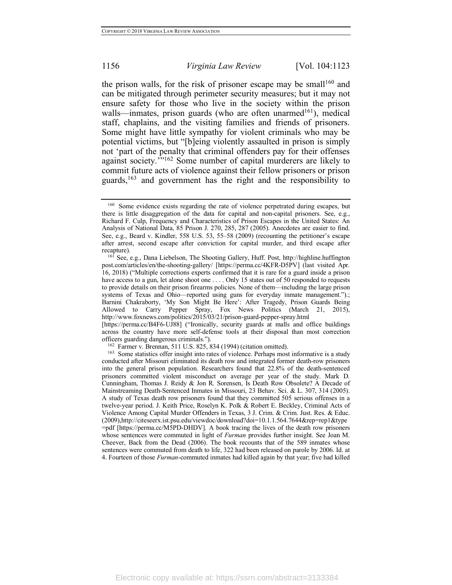the prison walls, for the risk of prisoner escape may be small<sup>160</sup> and can be mitigated through perimeter security measures; but it may not ensure safety for those who live in the society within the prison walls—inmates, prison guards (who are often unarmed<sup>161</sup>), medical staff, chaplains, and the visiting families and friends of prisoners. Some might have little sympathy for violent criminals who may be potential victims, but "[b]eing violently assaulted in prison is simply not 'part of the penalty that criminal offenders pay for their offenses against society.'"162 Some number of capital murderers are likely to commit future acts of violence against their fellow prisoners or prison guards,163 and government has the right and the responsibility to

[https://perma.cc/B4F6-UJ88] ("Ironically, security guards at malls and office buildings across the country have more self-defense tools at their disposal than most correction officers guarding dangerous criminals.").<br><sup>162</sup> Farmer v. Brennan, 511 U.S. 825, 834 (1994) (citation omitted).

<sup>160</sup> Some evidence exists regarding the rate of violence perpetrated during escapes, but there is little disaggregation of the data for capital and non-capital prisoners. See, e.g., Richard F. Culp, Frequency and Characteristics of Prison Escapes in the United States: An Analysis of National Data, 85 Prison J. 270, 285, 287 (2005). Anecdotes are easier to find. See, e.g., Beard v. Kindler, 558 U.S. 53, 55–58 (2009) (recounting the petitioner's escape after arrest, second escape after conviction for capital murder, and third escape after recapture).<br><sup>161</sup> See, e.g., Dana Liebelson, The Shooting Gallery, Huff. Post, http://highline.huffington

post.com/articles/en/the-shooting-gallery/ [https://perma.cc/4KFR-D5PV] (last visited Apr. 16, 2018) ("Multiple corrections experts confirmed that it is rare for a guard inside a prison have access to a gun, let alone shoot one . . . . Only 15 states out of 50 responded to requests to provide details on their prison firearms policies. None of them—including the large prison systems of Texas and Ohio—reported using guns for everyday inmate management.").; Barnini Chakraborty, 'My Son Might Be Here': After Tragedy, Prison Guards Being Allowed to Carry Pepper Spray, Fox News Politics (March 21, 2015), http://www.foxnews.com/politics/2015/03/21/prison-guard-pepper-spray.html

<sup>&</sup>lt;sup>163</sup> Some statistics offer insight into rates of violence. Perhaps most informative is a study conducted after Missouri eliminated its death row and integrated former death-row prisoners into the general prison population. Researchers found that 22.8% of the death-sentenced prisoners committed violent misconduct on average per year of the study. Mark D. Cunningham, Thomas J. Reidy & Jon R. Sorensen, Is Death Row Obsolete? A Decade of Mainstreaming Death-Sentenced Inmates in Missouri, 23 Behav. Sci. & L. 307, 314 (2005). A study of Texas death row prisoners found that they committed 505 serious offenses in a twelve-year period. J. Keith Price, Roselyn K. Polk & Robert E. Beckley, Criminal Acts of Violence Among Capital Murder Offenders in Texas, 3 J. Crim. & Crim. Just. Res. & Educ. (2009),http://citeseerx.ist.psu.edu/viewdoc/download?doi=10.1.1.564.7644&rep=rep1&type =pdf [https://perma.cc/M5PD-DHDV]. A book tracing the lives of the death row prisoners whose sentences were commuted in light of *Furman* provides further insight. See Joan M. Cheever, Back from the Dead (2006). The book recounts that of the 589 inmates whose sentences were commuted from death to life, 322 had been released on parole by 2006. Id. at 4. Fourteen of those *Furman*-commuted inmates had killed again by that year; five had killed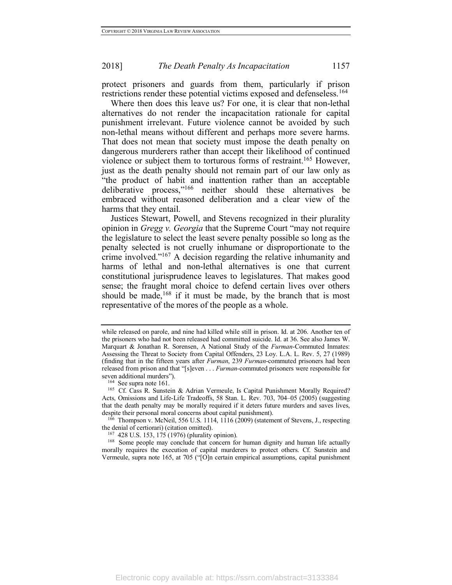protect prisoners and guards from them, particularly if prison restrictions render these potential victims exposed and defenseless.<sup>164</sup>

Where then does this leave us? For one, it is clear that non-lethal alternatives do not render the incapacitation rationale for capital punishment irrelevant. Future violence cannot be avoided by such non-lethal means without different and perhaps more severe harms. That does not mean that society must impose the death penalty on dangerous murderers rather than accept their likelihood of continued violence or subject them to torturous forms of restraint.165 However, just as the death penalty should not remain part of our law only as "the product of habit and inattention rather than an acceptable deliberative process,"166 neither should these alternatives be embraced without reasoned deliberation and a clear view of the harms that they entail.

Justices Stewart, Powell, and Stevens recognized in their plurality opinion in *Gregg v. Georgia* that the Supreme Court "may not require the legislature to select the least severe penalty possible so long as the penalty selected is not cruelly inhumane or disproportionate to the crime involved."167 A decision regarding the relative inhumanity and harms of lethal and non-lethal alternatives is one that current constitutional jurisprudence leaves to legislatures. That makes good sense; the fraught moral choice to defend certain lives over others should be made, $168$  if it must be made, by the branch that is most representative of the mores of the people as a whole.

<sup>164</sup> See supra note 161.

while released on parole, and nine had killed while still in prison. Id. at 206. Another ten of the prisoners who had not been released had committed suicide. Id. at 36. See also James W. Marquart & Jonathan R. Sorensen, A National Study of the *Furman*-Commuted Inmates: Assessing the Threat to Society from Capital Offenders, 23 Loy. L.A. L. Rev. 5, 27 (1989) (finding that in the fifteen years after *Furman*, 239 *Furman*-commuted prisoners had been released from prison and that "[s]even . . . *Furman-*commuted prisoners were responsible for seven additional murders").

<sup>&</sup>lt;sup>165</sup> Cf. Cass R. Sunstein & Adrian Vermeule, Is Capital Punishment Morally Required? Acts, Omissions and Life-Life Tradeoffs, 58 Stan. L. Rev. 703, 704–05 (2005) (suggesting that the death penalty may be morally required if it deters future murders and saves lives, despite their personal moral concerns about capital punishment).

<sup>&</sup>lt;sup>166</sup> Thompson v. McNeil, 556 U.S. 1114, 1116 (2009) (statement of Stevens, J., respecting the denial of certiorari) (citation omitted).

 $167$  428 U.S. 153, 175 (1976) (plurality opinion).

<sup>&</sup>lt;sup>168</sup> Some people may conclude that concern for human dignity and human life actually morally requires the execution of capital murderers to protect others. Cf. Sunstein and Vermeule, supra note 165, at 705 ("[O]n certain empirical assumptions, capital punishment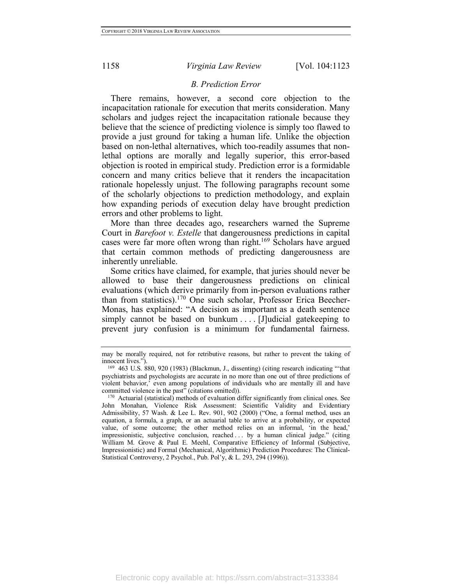## *B. Prediction Error*

There remains, however, a second core objection to the incapacitation rationale for execution that merits consideration. Many scholars and judges reject the incapacitation rationale because they believe that the science of predicting violence is simply too flawed to provide a just ground for taking a human life. Unlike the objection based on non-lethal alternatives, which too-readily assumes that nonlethal options are morally and legally superior, this error-based objection is rooted in empirical study. Prediction error is a formidable concern and many critics believe that it renders the incapacitation rationale hopelessly unjust. The following paragraphs recount some of the scholarly objections to prediction methodology, and explain how expanding periods of execution delay have brought prediction errors and other problems to light.

More than three decades ago, researchers warned the Supreme Court in *Barefoot v. Estelle* that dangerousness predictions in capital cases were far more often wrong than right.<sup>169</sup> Scholars have argued that certain common methods of predicting dangerousness are inherently unreliable.

Some critics have claimed, for example, that juries should never be allowed to base their dangerousness predictions on clinical evaluations (which derive primarily from in-person evaluations rather than from statistics).170 One such scholar, Professor Erica Beecher-Monas, has explained: "A decision as important as a death sentence simply cannot be based on bunkum ... [J]udicial gatekeeping to prevent jury confusion is a minimum for fundamental fairness.

may be morally required, not for retributive reasons, but rather to prevent the taking of innocent lives.").

<sup>169</sup> 463 U.S. 880, 920 (1983) (Blackmun, J., dissenting) (citing research indicating "'that psychiatrists and psychologists are accurate in no more than one out of three predictions of violent behavior,' even among populations of individuals who are mentally ill and have committed violence in the past" (citations omitted)).

<sup>&</sup>lt;sup>170</sup> Actuarial (statistical) methods of evaluation differ significantly from clinical ones. See John Monahan, Violence Risk Assessment: Scientific Validity and Evidentiary Admissibility, 57 Wash. & Lee L. Rev. 901, 902 (2000) ("One, a formal method, uses an equation, a formula, a graph, or an actuarial table to arrive at a probability, or expected value, of some outcome; the other method relies on an informal, 'in the head,' impressionistic, subjective conclusion, reached . . . by a human clinical judge." (citing William M. Grove & Paul E. Meehl, Comparative Efficiency of Informal (Subjective, Impressionistic) and Formal (Mechanical, Algorithmic) Prediction Procedures: The Clinical-Statistical Controversy, 2 Psychol., Pub. Pol'y, & L. 293, 294 (1996)).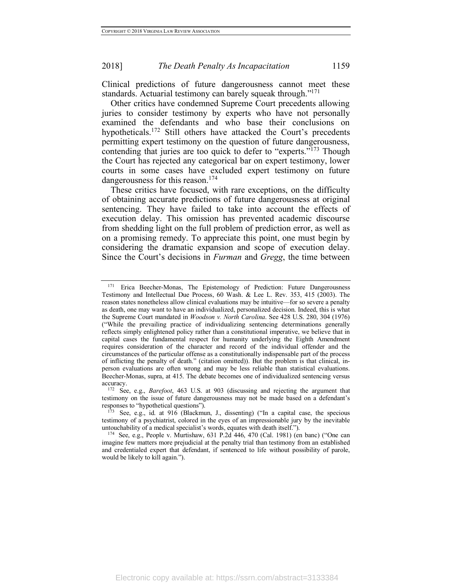Clinical predictions of future dangerousness cannot meet these standards. Actuarial testimony can barely squeak through."<sup>171</sup>

Other critics have condemned Supreme Court precedents allowing juries to consider testimony by experts who have not personally examined the defendants and who base their conclusions on hypotheticals.<sup>172</sup> Still others have attacked the Court's precedents permitting expert testimony on the question of future dangerousness, contending that juries are too quick to defer to "experts."<sup>173</sup> Though the Court has rejected any categorical bar on expert testimony, lower courts in some cases have excluded expert testimony on future dangerousness for this reason.<sup>174</sup>

These critics have focused, with rare exceptions, on the difficulty of obtaining accurate predictions of future dangerousness at original sentencing. They have failed to take into account the effects of execution delay. This omission has prevented academic discourse from shedding light on the full problem of prediction error, as well as on a promising remedy. To appreciate this point, one must begin by considering the dramatic expansion and scope of execution delay. Since the Court's decisions in *Furman* and *Gregg*, the time between

<sup>&</sup>lt;sup>171</sup> Erica Beecher-Monas, The Epistemology of Prediction: Future Dangerousness Testimony and Intellectual Due Process, 60 Wash. & Lee L. Rev. 353, 415 (2003). The reason states nonetheless allow clinical evaluations may be intuitive—for so severe a penalty as death, one may want to have an individualized, personalized decision. Indeed, this is what the Supreme Court mandated in *Woodson v. North Carolina*. See 428 U.S. 280, 304 (1976) ("While the prevailing practice of individualizing sentencing determinations generally reflects simply enlightened policy rather than a constitutional imperative, we believe that in capital cases the fundamental respect for humanity underlying the Eighth Amendment requires consideration of the character and record of the individual offender and the circumstances of the particular offense as a constitutionally indispensable part of the process of inflicting the penalty of death." (citation omitted)). But the problem is that clinical, inperson evaluations are often wrong and may be less reliable than statistical evaluations. Beecher-Monas, supra, at 415. The debate becomes one of individualized sentencing versus accuracy. 172 See, e.g., *Barefoot*, 463 U.S. at 903 (discussing and rejecting the argument that

testimony on the issue of future dangerousness may not be made based on a defendant's responses to "hypothetical questions").

 $1^{73}$  See, e.g., id. at 916 (Blackmun, J., dissenting) ("In a capital case, the specious testimony of a psychiatrist, colored in the eyes of an impressionable jury by the inevitable untouchability of a medical specialist's words, equates with death itself.").

<sup>174</sup> See, e.g., People v. Murtishaw, 631 P.2d 446, 470 (Cal. 1981) (en banc) ("One can imagine few matters more prejudicial at the penalty trial than testimony from an established and credentialed expert that defendant, if sentenced to life without possibility of parole, would be likely to kill again.").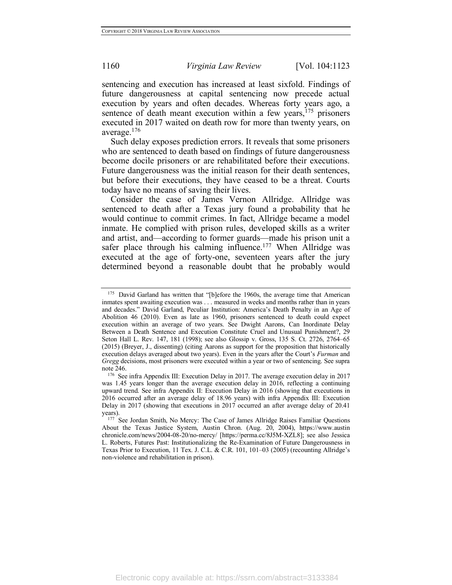sentencing and execution has increased at least sixfold. Findings of future dangerousness at capital sentencing now precede actual execution by years and often decades. Whereas forty years ago, a sentence of death meant execution within a few years, <sup>175</sup> prisoners executed in 2017 waited on death row for more than twenty years, on average.<sup>176</sup>

Such delay exposes prediction errors. It reveals that some prisoners who are sentenced to death based on findings of future dangerousness become docile prisoners or are rehabilitated before their executions. Future dangerousness was the initial reason for their death sentences, but before their executions, they have ceased to be a threat. Courts today have no means of saving their lives.

Consider the case of James Vernon Allridge. Allridge was sentenced to death after a Texas jury found a probability that he would continue to commit crimes. In fact, Allridge became a model inmate. He complied with prison rules, developed skills as a writer and artist, and—according to former guards—made his prison unit a safer place through his calming influence.<sup>177</sup> When Allridge was executed at the age of forty-one, seventeen years after the jury determined beyond a reasonable doubt that he probably would

<sup>175</sup> David Garland has written that "[b]efore the 1960s, the average time that American inmates spent awaiting execution was . . . measured in weeks and months rather than in years and decades." David Garland, Peculiar Institution: America's Death Penalty in an Age of Abolition 46 (2010). Even as late as 1960, prisoners sentenced to death could expect execution within an average of two years. See Dwight Aarons, Can Inordinate Delay Between a Death Sentence and Execution Constitute Cruel and Unusual Punishment?, 29 Seton Hall L. Rev. 147, 181 (1998); see also Glossip v. Gross, 135 S. Ct. 2726, 2764–65 (2015) (Breyer, J., dissenting) (citing Aarons as support for the proposition that historically execution delays averaged about two years). Even in the years after the Court's *Furman* and *Gregg* decisions, most prisoners were executed within a year or two of sentencing. See supra note 246.

<sup>&</sup>lt;sup>176</sup> See infra Appendix III: Execution Delay in 2017. The average execution delay in 2017 was 1.45 years longer than the average execution delay in 2016, reflecting a continuing upward trend. See infra Appendix II: Execution Delay in 2016 (showing that executions in 2016 occurred after an average delay of 18.96 years) with infra Appendix III: Execution Delay in 2017 (showing that executions in 2017 occurred an after average delay of 20.41 years).

<sup>&</sup>lt;sup>177</sup> See Jordan Smith, No Mercy: The Case of James Allridge Raises Familiar Questions About the Texas Justice System, Austin Chron. (Aug. 20, 2004), https://www.austin chronicle.com/news/2004-08-20/no-mercy/ [https://perma.cc/8J5M-XZL8]; see also Jessica L. Roberts, Futures Past: Institutionalizing the Re-Examination of Future Dangerousness in Texas Prior to Execution, 11 Tex. J. C.L. & C.R. 101, 101–03 (2005) (recounting Allridge's non-violence and rehabilitation in prison).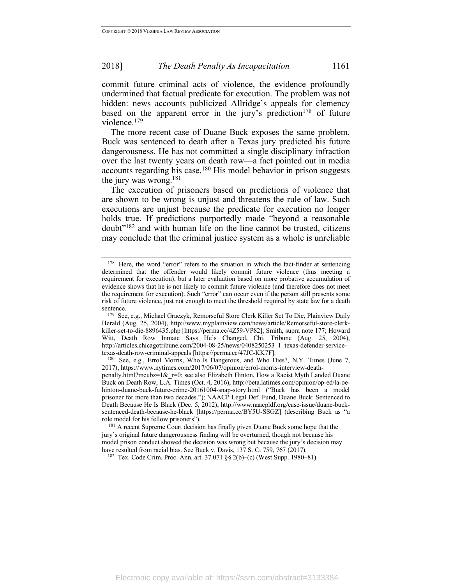commit future criminal acts of violence, the evidence profoundly undermined that factual predicate for execution. The problem was not hidden: news accounts publicized Allridge's appeals for clemency based on the apparent error in the jury's prediction<sup>178</sup> of future violence.179

The more recent case of Duane Buck exposes the same problem. Buck was sentenced to death after a Texas jury predicted his future dangerousness. He has not committed a single disciplinary infraction over the last twenty years on death row—a fact pointed out in media accounts regarding his case.<sup>180</sup> His model behavior in prison suggests the jury was wrong.181

The execution of prisoners based on predictions of violence that are shown to be wrong is unjust and threatens the rule of law. Such executions are unjust because the predicate for execution no longer holds true. If predictions purportedly made "beyond a reasonable doubt"<sup>182</sup> and with human life on the line cannot be trusted, citizens may conclude that the criminal justice system as a whole is unreliable

<sup>180</sup> See, e.g., Errol Morris, Who Is Dangerous, and Who Dies?, N.Y. Times (June 7, 2017), https://www.nytimes.com/2017/06/07/opinion/errol-morris-interview-deathpenalty.html?mcubz=1& $r=0$ ; see also Elizabeth Hinton, How a Racist Myth Landed Duane Buck on Death Row, L.A. Times (Oct. 4, 2016), http://beta.latimes.com/opinion/op-ed/la-oehinton-duane-buck-future-crime-20161004-snap-story.html ("Buck has been a model prisoner for more than two decades."); NAACP Legal Def. Fund, Duane Buck: Sentenced to Death Because He Is Black (Dec. 5, 2012), http://www.naacpldf.org/case-issue/duane-bucksentenced-death-because-he-black [https://perma.cc/BY5U-SSGZ] (describing Buck as "a role model for his fellow prisoners"). 181 A recent Supreme Court decision has finally given Duane Buck some hope that the

jury's original future dangerousness finding will be overturned, though not because his model prison conduct showed the decision was wrong but because the jury's decision may have resulted from racial bias. See Buck v. Davis, 137 S. Ct 759, 767 (2017).<br><sup>182</sup> Tex. Code Crim. Proc. Ann. art. 37.071 §§ 2(b)–(c) (West Supp. 1980–81).

<sup>&</sup>lt;sup>178</sup> Here, the word "error" refers to the situation in which the fact-finder at sentencing determined that the offender would likely commit future violence (thus meeting a requirement for execution), but a later evaluation based on more probative accumulation of evidence shows that he is not likely to commit future violence (and therefore does not meet the requirement for execution). Such "error" can occur even if the person still presents some risk of future violence, just not enough to meet the threshold required by state law for a death sentence.<br><sup>179</sup> See, e.g., Michael Graczyk, Remorseful Store Clerk Killer Set To Die, Plainview Daily

Herald (Aug. 25, 2004), http://www.myplainview.com/news/article/Remorseful-store-clerkkiller-set-to-die-8896435.php [https://perma.cc/4Z59-VP82]; Smith, supra note 177; Howard Witt, Death Row Inmate Says He's Changed, Chi. Tribune (Aug. 25, 2004), http://articles.chicagotribune.com/2004-08-25/news/0408250253\_1\_texas-defender-servicetexas-death-row-criminal-appeals [https://perma.cc/47JC-KK7F].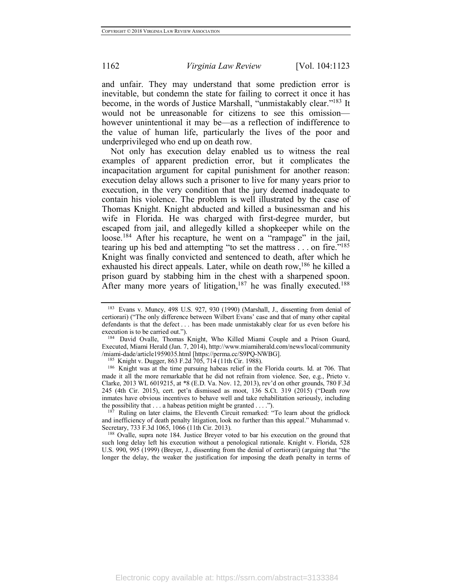and unfair. They may understand that some prediction error is inevitable, but condemn the state for failing to correct it once it has become, in the words of Justice Marshall, "unmistakably clear."183 It would not be unreasonable for citizens to see this omission however unintentional it may be—as a reflection of indifference to the value of human life, particularly the lives of the poor and underprivileged who end up on death row.

Not only has execution delay enabled us to witness the real examples of apparent prediction error, but it complicates the incapacitation argument for capital punishment for another reason: execution delay allows such a prisoner to live for many years prior to execution, in the very condition that the jury deemed inadequate to contain his violence. The problem is well illustrated by the case of Thomas Knight. Knight abducted and killed a businessman and his wife in Florida. He was charged with first-degree murder, but escaped from jail, and allegedly killed a shopkeeper while on the loose.<sup>184</sup> After his recapture, he went on a "rampage" in the jail, tearing up his bed and attempting "to set the mattress . . . on fire."185 Knight was finally convicted and sentenced to death, after which he exhausted his direct appeals. Later, while on death row,<sup>186</sup> he killed a prison guard by stabbing him in the chest with a sharpened spoon. After many more years of litigation,  $187$  he was finally executed.  $188$ 

Ruling on later claims, the Eleventh Circuit remarked: "To learn about the gridlock and inefficiency of death penalty litigation, look no further than this appeal." Muhammad v. Secretary, 733 F.3d 1065, 1066 (11th Cir. 2013).

 $188$  Ovalle, supra note 184. Justice Breyer voted to bar his execution on the ground that such long delay left his execution without a penological rationale. Knight v. Florida, 528 U.S. 990, 995 (1999) (Breyer, J., dissenting from the denial of certiorari) (arguing that "the longer the delay, the weaker the justification for imposing the death penalty in terms of

<sup>183</sup> Evans v. Muncy, 498 U.S. 927, 930 (1990) (Marshall, J., dissenting from denial of certiorari) ("The only difference between Wilbert Evans' case and that of many other capital defendants is that the defect . . . has been made unmistakably clear for us even before his execution is to be carried out.").

<sup>&</sup>lt;sup>184</sup> David Ovalle, Thomas Knight, Who Killed Miami Couple and a Prison Guard, Executed, Miami Herald (Jan. 7, 2014), http://www.miamiherald.com/news/local/community /miami-dade/article1959035.html [https://perma.cc/S9PQ-NWBG].

<sup>185</sup> Knight v. Dugger, 863 F.2d 705, 714 (11th Cir. 1988).

<sup>186</sup> Knight was at the time pursuing habeas relief in the Florida courts. Id. at 706. That made it all the more remarkable that he did not refrain from violence. See, e.g., Prieto v. Clarke, 2013 WL 6019215, at \*8 (E.D. Va. Nov. 12, 2013), rev'd on other grounds, 780 F.3d 245 (4th Cir. 2015), cert. pet'n dismissed as moot, 136 S.Ct. 319 (2015) ("Death row inmates have obvious incentives to behave well and take rehabilitation seriously, including the possibility that . . . a habeas petition might be granted . . . .").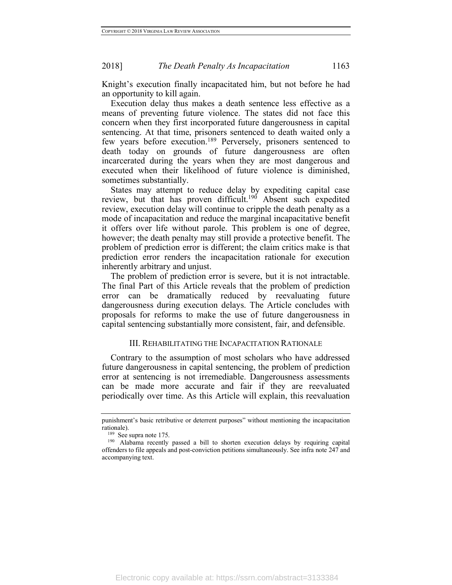Knight's execution finally incapacitated him, but not before he had an opportunity to kill again.

Execution delay thus makes a death sentence less effective as a means of preventing future violence. The states did not face this concern when they first incorporated future dangerousness in capital sentencing. At that time, prisoners sentenced to death waited only a few years before execution.189 Perversely, prisoners sentenced to death today on grounds of future dangerousness are often incarcerated during the years when they are most dangerous and executed when their likelihood of future violence is diminished, sometimes substantially.

States may attempt to reduce delay by expediting capital case review, but that has proven difficult.<sup>190</sup> Absent such expedited review, execution delay will continue to cripple the death penalty as a mode of incapacitation and reduce the marginal incapacitative benefit it offers over life without parole. This problem is one of degree, however; the death penalty may still provide a protective benefit. The problem of prediction error is different; the claim critics make is that prediction error renders the incapacitation rationale for execution inherently arbitrary and unjust.

The problem of prediction error is severe, but it is not intractable. The final Part of this Article reveals that the problem of prediction error can be dramatically reduced by reevaluating future dangerousness during execution delays. The Article concludes with proposals for reforms to make the use of future dangerousness in capital sentencing substantially more consistent, fair, and defensible.

## III. REHABILITATING THE INCAPACITATION RATIONALE

Contrary to the assumption of most scholars who have addressed future dangerousness in capital sentencing, the problem of prediction error at sentencing is not irremediable. Dangerousness assessments can be made more accurate and fair if they are reevaluated periodically over time. As this Article will explain, this reevaluation

punishment's basic retributive or deterrent purposes" without mentioning the incapacitation rationale).<br><sup>189</sup> See supra note 175.

<sup>&</sup>lt;sup>190</sup> Alabama recently passed a bill to shorten execution delays by requiring capital offenders to file appeals and post-conviction petitions simultaneously. See infra note 247 and accompanying text.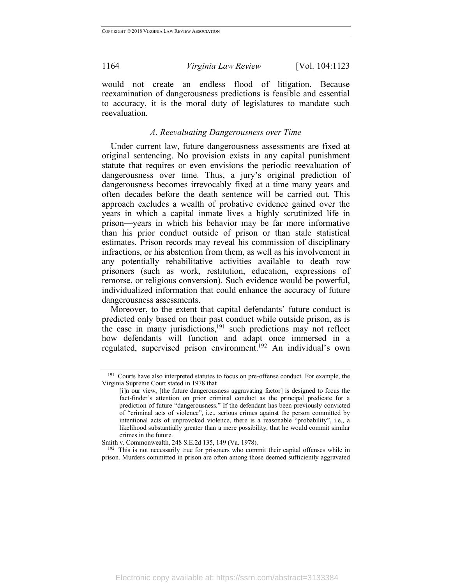would not create an endless flood of litigation. Because reexamination of dangerousness predictions is feasible and essential to accuracy, it is the moral duty of legislatures to mandate such reevaluation.

### *A. Reevaluating Dangerousness over Time*

Under current law, future dangerousness assessments are fixed at original sentencing. No provision exists in any capital punishment statute that requires or even envisions the periodic reevaluation of dangerousness over time. Thus, a jury's original prediction of dangerousness becomes irrevocably fixed at a time many years and often decades before the death sentence will be carried out. This approach excludes a wealth of probative evidence gained over the years in which a capital inmate lives a highly scrutinized life in prison—years in which his behavior may be far more informative than his prior conduct outside of prison or than stale statistical estimates. Prison records may reveal his commission of disciplinary infractions, or his abstention from them, as well as his involvement in any potentially rehabilitative activities available to death row prisoners (such as work, restitution, education, expressions of remorse, or religious conversion). Such evidence would be powerful, individualized information that could enhance the accuracy of future dangerousness assessments.

Moreover, to the extent that capital defendants' future conduct is predicted only based on their past conduct while outside prison, as is the case in many jurisdictions, $191$  such predictions may not reflect how defendants will function and adapt once immersed in a regulated, supervised prison environment.192 An individual's own

<sup>&</sup>lt;sup>191</sup> Courts have also interpreted statutes to focus on pre-offense conduct. For example, the Virginia Supreme Court stated in 1978 that

<sup>[</sup>i]n our view, [the future dangerousness aggravating factor] is designed to focus the fact-finder's attention on prior criminal conduct as the principal predicate for a prediction of future "dangerousness." If the defendant has been previously convicted of "criminal acts of violence", i.e., serious crimes against the person committed by intentional acts of unprovoked violence, there is a reasonable "probability", i.e., a likelihood substantially greater than a mere possibility, that he would commit similar crimes in the future.

Smith v. Commonwealth, 248 S.E.2d 135, 149 (Va. 1978).

<sup>&</sup>lt;sup>192</sup> This is not necessarily true for prisoners who commit their capital offenses while in prison. Murders committed in prison are often among those deemed sufficiently aggravated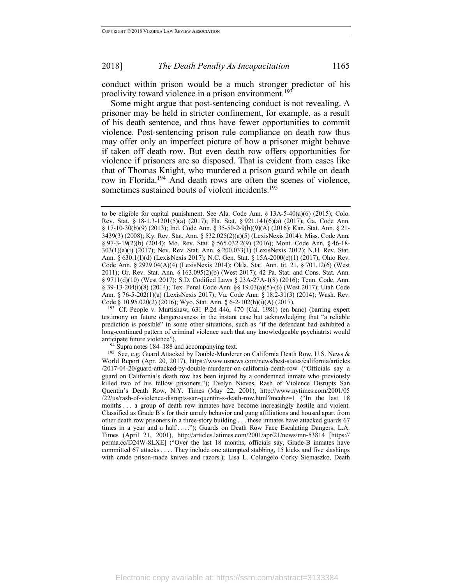conduct within prison would be a much stronger predictor of his proclivity toward violence in a prison environment.<sup>193</sup>

Some might argue that post-sentencing conduct is not revealing. A prisoner may be held in stricter confinement, for example, as a result of his death sentence, and thus have fewer opportunities to commit violence. Post-sentencing prison rule compliance on death row thus may offer only an imperfect picture of how a prisoner might behave if taken off death row. But even death row offers opportunities for violence if prisoners are so disposed. That is evident from cases like that of Thomas Knight, who murdered a prison guard while on death row in Florida.194 And death rows are often the scenes of violence, sometimes sustained bouts of violent incidents.<sup>195</sup>

<sup>193</sup> Cf. People v. Murtishaw, 631 P.2d 446, 470 (Cal. 1981) (en banc) (barring expert testimony on future dangerousness in the instant case but acknowledging that "a reliable prediction is possible" in some other situations, such as "if the defendant had exhibited a long-continued pattern of criminal violence such that any knowledgeable psychiatrist would anticipate future violence").<br> $^{194}$  Supra notes 184–188 and accompanying text.

to be eligible for capital punishment. See Ala. Code Ann. § 13A-5-40(a)(6) (2015); Colo. Rev. Stat. § 18-1.3-1201(5)(a) (2017); Fla. Stat. § 921.141(6)(a) (2017); Ga. Code Ann. § 17-10-30(b)(9) (2013); Ind. Code Ann. § 35-50-2-9(b)(9)(A) (2016); Kan. Stat. Ann. § 21- 3439(3) (2008); Ky. Rev. Stat. Ann. § 532.025(2)(a)(5) (LexisNexis 2014); Miss. Code Ann. § 97-3-19(2)(b) (2014); Mo. Rev. Stat. § 565.032.2(9) (2016); Mont. Code Ann. § 46-18-303(1)(a)(i) (2017); Nev. Rev. Stat. Ann. § 200.033(1) (LexisNexis 2012); N.H. Rev. Stat. Ann. § 630:1(I)(d) (LexisNexis 2017); N.C. Gen. Stat. § 15A-2000(e)(1) (2017); Ohio Rev. Code Ann. § 2929.04(A)(4) (LexisNexis 2014); Okla. Stat. Ann. tit. 21, § 701.12(6) (West 2011); Or. Rev. Stat. Ann. § 163.095(2)(b) (West 2017); 42 Pa. Stat. and Cons. Stat. Ann. § 9711(d)(10) (West 2017); S.D. Codified Laws § 23A-27A-1(8) (2016); Tenn. Code. Ann. § 39-13-204(i)(8) (2014); Tex. Penal Code Ann. §§ 19.03(a)(5)-(6) (West 2017); Utah Code Ann. § 76-5-202(1)(a) (LexisNexis 2017); Va. Code Ann. § 18.2-31(3) (2014); Wash. Rev. Code § 10.95.020(2) (2016); Wyo. Stat. Ann. § 6-2-102(h)(i)(A) (2017).

<sup>&</sup>lt;sup>195</sup> See, e.g, Guard Attacked by Double-Murderer on California Death Row, U.S. News & World Report (Apr. 20, 2017), https://www.usnews.com/news/best-states/california/articles /2017-04-20/guard-attacked-by-double-murderer-on-california-death-row ("Officials say a guard on California's death row has been injured by a condemned inmate who previously killed two of his fellow prisoners."); Evelyn Nieves, Rash of Violence Disrupts San Quentin's Death Row, N.Y. Times (May 22, 2001), http://www.nytimes.com/2001/05 /22/us/rash-of-violence-disrupts-san-quentin-s-death-row.html?mcubz=1 ("In the last 18 months . . . a group of death row inmates have become increasingly hostile and violent. Classified as Grade B's for their unruly behavior and gang affiliations and housed apart from other death row prisoners in a three-story building . . . these inmates have attacked guards 67 times in a year and a half . . . ."); Guards on Death Row Face Escalating Dangers, L.A. Times (April 21, 2001), http://articles.latimes.com/2001/apr/21/news/mn-53814 [https:// perma.cc/D24W-8LXE] ("Over the last 18 months, officials say, Grade-B inmates have committed 67 attacks . . . . They include one attempted stabbing, 15 kicks and five slashings with crude prison-made knives and razors.); Lisa L. Colangelo Corky Siemaszko, Death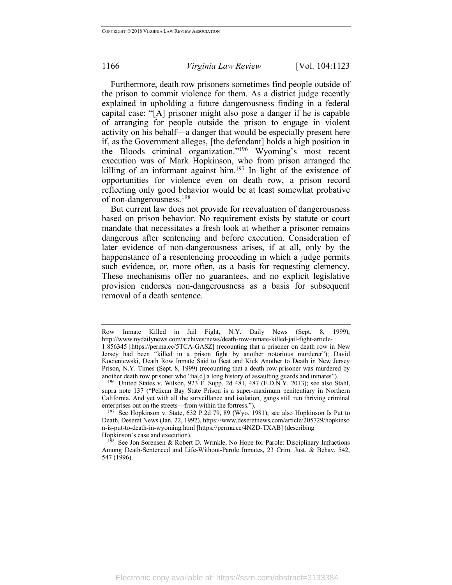Furthermore, death row prisoners sometimes find people outside of the prison to commit violence for them. As a district judge recently explained in upholding a future dangerousness finding in a federal capital case: "[A] prisoner might also pose a danger if he is capable of arranging for people outside the prison to engage in violent activity on his behalf—a danger that would be especially present here if, as the Government alleges, [the defendant] holds a high position in the Bloods criminal organization."196 Wyoming's most recent execution was of Mark Hopkinson, who from prison arranged the killing of an informant against him.<sup>197</sup> In light of the existence of opportunities for violence even on death row, a prison record reflecting only good behavior would be at least somewhat probative of non-dangerousness. 198

But current law does not provide for reevaluation of dangerousness based on prison behavior. No requirement exists by statute or court mandate that necessitates a fresh look at whether a prisoner remains dangerous after sentencing and before execution. Consideration of later evidence of non-dangerousness arises, if at all, only by the happenstance of a resentencing proceeding in which a judge permits such evidence, or, more often, as a basis for requesting clemency. These mechanisms offer no guarantees, and no explicit legislative provision endorses non-dangerousness as a basis for subsequent removal of a death sentence.

Row Inmate Killed in Jail Fight, N.Y. Daily News (Sept. 8, 1999), http://www.nydailynews.com/archives/news/death-row-inmate-killed-jail-fight-article-1.856345 [https://perma.cc/5TCA-GASZ] (recounting that a prisoner on death row in New Jersey had been "killed in a prison fight by another notorious murderer"); David Kocieniewski, Death Row Inmate Said to Beat and Kick Another to Death in New Jersey

Prison, N.Y. Times (Sept. 8, 1999) (recounting that a death row prisoner was murdered by another death row prisoner who "ha[d] a long history of assaulting guards and inmates"). <sup>196</sup> United States v. Wilson, 923 F. Supp. 2d 481, 487 (E.D.N.Y. 2013); see also Stahl, supra note 137 ("Pelican Bay State Prison is a super-maximum penitentiary in Northern California. And yet with all the surveillance and isolation, gangs still run thriving criminal

enterprises out on the streets—from within the fortress.").  $197$  See Hopkinson v. State, 632 P.2d 79, 89 (Wyo. 1981); see also Hopkinson Is Put to Death, Deseret News (Jan. 22, 1992), https://www.deseretnews.com/article/205729/hopkinso n-is-put-to-death-in-wyoming.html [https://perma.cc/4NZD-TXAB] (describing Hopkinson's case and execution).

<sup>198</sup> See Jon Sorensen & Robert D. Wrinkle, No Hope for Parole: Disciplinary Infractions Among Death-Sentenced and Life-Without-Parole Inmates, 23 Crim. Just. & Behav. 542, 547 (1996).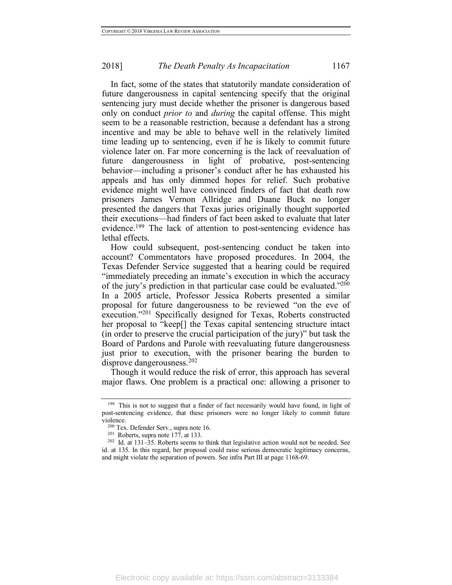In fact, some of the states that statutorily mandate consideration of future dangerousness in capital sentencing specify that the original sentencing jury must decide whether the prisoner is dangerous based only on conduct *prior to* and *during* the capital offense. This might seem to be a reasonable restriction, because a defendant has a strong incentive and may be able to behave well in the relatively limited time leading up to sentencing, even if he is likely to commit future violence later on. Far more concerning is the lack of reevaluation of future dangerousness in light of probative, post-sentencing behavior—including a prisoner's conduct after he has exhausted his appeals and has only dimmed hopes for relief. Such probative evidence might well have convinced finders of fact that death row prisoners James Vernon Allridge and Duane Buck no longer presented the dangers that Texas juries originally thought supported their executions—had finders of fact been asked to evaluate that later evidence.199 The lack of attention to post-sentencing evidence has lethal effects.

How could subsequent, post-sentencing conduct be taken into account? Commentators have proposed procedures. In 2004, the Texas Defender Service suggested that a hearing could be required "immediately preceding an inmate's execution in which the accuracy of the jury's prediction in that particular case could be evaluated."200 In a 2005 article, Professor Jessica Roberts presented a similar proposal for future dangerousness to be reviewed "on the eve of execution."201 Specifically designed for Texas, Roberts constructed her proposal to "keep[] the Texas capital sentencing structure intact (in order to preserve the crucial participation of the jury)" but task the Board of Pardons and Parole with reevaluating future dangerousness just prior to execution, with the prisoner bearing the burden to disprove dangerousness.<sup>202</sup>

Though it would reduce the risk of error, this approach has several major flaws. One problem is a practical one: allowing a prisoner to

<sup>199</sup> This is not to suggest that a finder of fact necessarily would have found, in light of post-sentencing evidence, that these prisoners were no longer likely to commit future

violence.<br><sup>200</sup> Tex. Defender Serv., supra note 16.

<sup>201</sup> Roberts, supra note 177, at 133.

<sup>202</sup> Id. at 131–35. Roberts seems to think that legislative action would not be needed. See id. at 135. In this regard, her proposal could raise serious democratic legitimacy concerns, and might violate the separation of powers. See infra Part III at page 1168-69.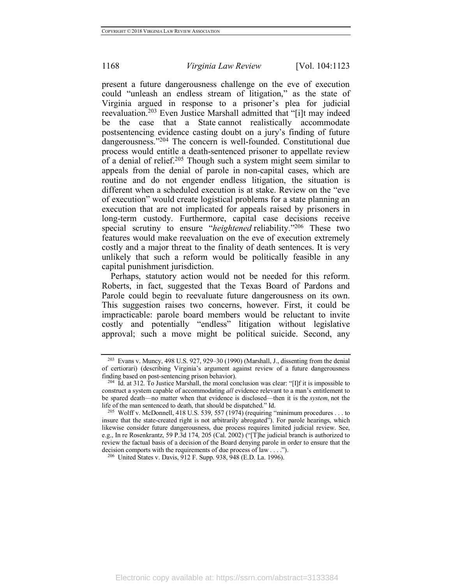present a future dangerousness challenge on the eve of execution could "unleash an endless stream of litigation," as the state of Virginia argued in response to a prisoner's plea for judicial reevaluation.203 Even Justice Marshall admitted that "[i]t may indeed be the case that a State cannot realistically accommodate postsentencing evidence casting doubt on a jury's finding of future dangerousness."204 The concern is well-founded. Constitutional due process would entitle a death-sentenced prisoner to appellate review of a denial of relief.205 Though such a system might seem similar to appeals from the denial of parole in non-capital cases, which are routine and do not engender endless litigation, the situation is different when a scheduled execution is at stake. Review on the "eve of execution" would create logistical problems for a state planning an execution that are not implicated for appeals raised by prisoners in long-term custody. Furthermore, capital case decisions receive special scrutiny to ensure "*heightened* reliability."206 These two features would make reevaluation on the eve of execution extremely costly and a major threat to the finality of death sentences. It is very unlikely that such a reform would be politically feasible in any capital punishment jurisdiction.

Perhaps, statutory action would not be needed for this reform. Roberts, in fact, suggested that the Texas Board of Pardons and Parole could begin to reevaluate future dangerousness on its own. This suggestion raises two concerns, however. First, it could be impracticable: parole board members would be reluctant to invite costly and potentially "endless" litigation without legislative approval; such a move might be political suicide. Second, any

<sup>203</sup> Evans v. Muncy, 498 U.S. 927, 929–30 (1990) (Marshall, J., dissenting from the denial of certiorari) (describing Virginia's argument against review of a future dangerousness finding based on post-sentencing prison behavior).

<sup>&</sup>lt;sup>204</sup> Id. at 312. To Justice Marshall, the moral conclusion was clear: "[I]f it is impossible to construct a system capable of accommodating *all* evidence relevant to a man's entitlement to be spared death—no matter when that evidence is disclosed—then it is the *system*, not the

<sup>&</sup>lt;sup>205</sup> Wolff v. McDonnell, 418 U.S. 539, 557 (1974) (requiring "minimum procedures . . . to insure that the state-created right is not arbitrarily abrogated"). For parole hearings, which likewise consider future dangerousness, due process requires limited judicial review. See, e.g., In re Rosenkrantz, 59 P.3d 174, 205 (Cal. 2002) ("[T]he judicial branch is authorized to review the factual basis of a decision of the Board denying parole in order to ensure that the decision comports with the requirements of due process of law . . . .").

<sup>206</sup> United States v. Davis, 912 F. Supp. 938, 948 (E.D. La. 1996).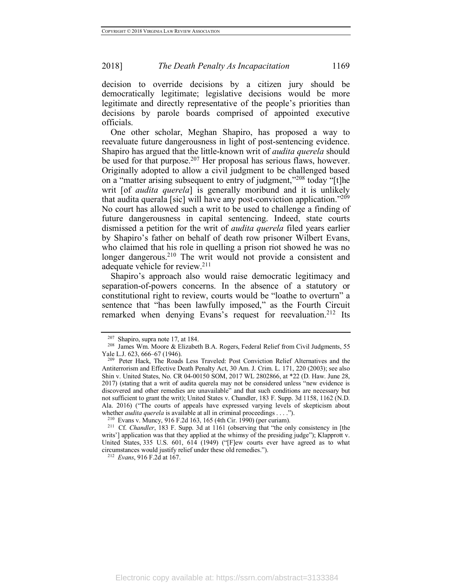decision to override decisions by a citizen jury should be democratically legitimate; legislative decisions would be more legitimate and directly representative of the people's priorities than decisions by parole boards comprised of appointed executive officials.

One other scholar, Meghan Shapiro, has proposed a way to reevaluate future dangerousness in light of post-sentencing evidence. Shapiro has argued that the little-known writ of *audita querela* should be used for that purpose.<sup>207</sup> Her proposal has serious flaws, however. Originally adopted to allow a civil judgment to be challenged based on a "matter arising subsequent to entry of judgment,"208 today "[t]he writ [of *audita querela*] is generally moribund and it is unlikely that audita querala [sic] will have any post-conviction application."209 No court has allowed such a writ to be used to challenge a finding of future dangerousness in capital sentencing. Indeed, state courts dismissed a petition for the writ of *audita querela* filed years earlier by Shapiro's father on behalf of death row prisoner Wilbert Evans, who claimed that his role in quelling a prison riot showed he was no longer dangerous.<sup>210</sup> The writ would not provide a consistent and adequate vehicle for review.211

Shapiro's approach also would raise democratic legitimacy and separation-of-powers concerns. In the absence of a statutory or constitutional right to review, courts would be "loathe to overturn" a sentence that "has been lawfully imposed," as the Fourth Circuit remarked when denying Evans's request for reevaluation.<sup>212</sup> Its

<sup>&</sup>lt;sup>207</sup> Shapiro, supra note 17, at 184.<br><sup>208</sup> James Wm. Moore & Elizabeth B.A. Rogers, Federal Relief from Civil Judgments, 55 Yale L.J. 623, 666-67 (1946).

<sup>209</sup> Peter Hack, The Roads Less Traveled: Post Conviction Relief Alternatives and the Antiterrorism and Effective Death Penalty Act, 30 Am. J. Crim. L. 171, 220 (2003); see also Shin v. United States, No. CR 04-00150 SOM, 2017 WL 2802866, at \*22 (D. Haw. June 28, 2017) (stating that a writ of audita querela may not be considered unless "new evidence is discovered and other remedies are unavailable" and that such conditions are necessary but not sufficient to grant the writ); United States v. Chandler, 183 F. Supp. 3d 1158, 1162 (N.D. Ala. 2016) ("The courts of appeals have expressed varying levels of skepticism about whether *audita querela* is available at all in criminal proceedings . . . .").

<sup>210</sup> Evans v. Muncy, 916 F.2d 163, 165 (4th Cir. 1990) (per curiam).

<sup>211</sup> Cf. *Chandler*, 183 F. Supp. 3d at 1161 (observing that "the only consistency in [the writs'] application was that they applied at the whimsy of the presiding judge"); Klapprott v. United States, 335 U.S. 601, 614 (1949) ("[F]ew courts ever have agreed as to what circumstances would justify relief under these old remedies."). 212 *Evans*, 916 F.2d at 167.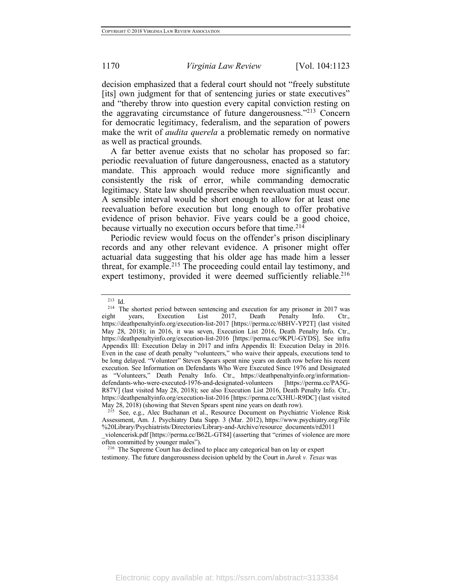decision emphasized that a federal court should not "freely substitute [its] own judgment for that of sentencing juries or state executives" and "thereby throw into question every capital conviction resting on the aggravating circumstance of future dangerousness."213 Concern for democratic legitimacy, federalism, and the separation of powers make the writ of *audita querela* a problematic remedy on normative as well as practical grounds.

A far better avenue exists that no scholar has proposed so far: periodic reevaluation of future dangerousness, enacted as a statutory mandate. This approach would reduce more significantly and consistently the risk of error, while commanding democratic legitimacy. State law should prescribe when reevaluation must occur. A sensible interval would be short enough to allow for at least one reevaluation before execution but long enough to offer probative evidence of prison behavior. Five years could be a good choice, because virtually no execution occurs before that time.<sup>214</sup>

Periodic review would focus on the offender's prison disciplinary records and any other relevant evidence. A prisoner might offer actuarial data suggesting that his older age has made him a lesser threat, for example.<sup>215</sup> The proceeding could entail lay testimony, and expert testimony, provided it were deemed sufficiently reliable.<sup>216</sup>

<sup>213</sup> Id.

<sup>&</sup>lt;sup>214</sup> The shortest period between sentencing and execution for any prisoner in 2017 was ght vears, Execution List  $2017$ , Death Penalty Info. Ctr., eight years, Execution https://deathpenaltyinfo.org/execution-list-2017 [https://perma.cc/6BHV-YP2T] (last visited May 28, 2018); in 2016, it was seven, Execution List 2016, Death Penalty Info. Ctr., https://deathpenaltyinfo.org/execution-list-2016 [https://perma.cc/9KPU-GYDS]. See infra Appendix III: Execution Delay in 2017 and infra Appendix II: Execution Delay in 2016. Even in the case of death penalty "volunteers," who waive their appeals, executions tend to be long delayed. "Volunteer" Steven Spears spent nine years on death row before his recent execution. See Information on Defendants Who Were Executed Since 1976 and Designated as "Volunteers," Death Penalty Info. Ctr., https://deathpenaltyinfo.org/information-<br>defendants-who-were-executed-1976-and-designated-volunteers [https://perma.cc/PA5Gdefendants-who-were-executed-1976-and-designated-volunteers R87V] (last visited May 28, 2018); see also Execution List 2016, Death Penalty Info. Ctr., https://deathpenaltyinfo.org/execution-list-2016 [https://perma.cc/X3HU-R9DC] (last visited May 28, 2018) (showing that Steven Spears spent nine years on death row).

<sup>215</sup> See, e.g., Alec Buchanan et al., Resource Document on Psychiatric Violence Risk Assessment, Am. J. Psychiatry Data Supp. 3 (Mar. 2012), https://www.psychiatry.org/File %20Library/Psychiatrists/Directories/Library-and-Archive/resource\_documents/rd2011 \_violencerisk.pdf [https://perma.cc/B62L-GT84] (asserting that "crimes of violence are more often committed by younger males").

<sup>216</sup> The Supreme Court has declined to place any categorical ban on lay or expert testimony. The future dangerousness decision upheld by the Court in *Jurek v. Texas* was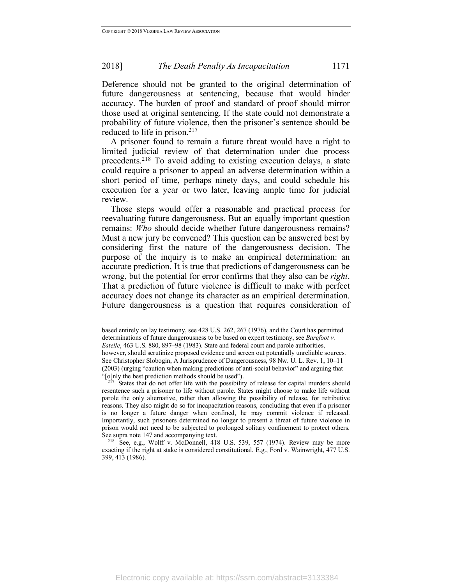Deference should not be granted to the original determination of future dangerousness at sentencing, because that would hinder accuracy. The burden of proof and standard of proof should mirror those used at original sentencing. If the state could not demonstrate a probability of future violence, then the prisoner's sentence should be reduced to life in prison.<sup>217</sup>

A prisoner found to remain a future threat would have a right to limited judicial review of that determination under due process precedents.218 To avoid adding to existing execution delays, a state could require a prisoner to appeal an adverse determination within a short period of time, perhaps ninety days, and could schedule his execution for a year or two later, leaving ample time for judicial review.

Those steps would offer a reasonable and practical process for reevaluating future dangerousness. But an equally important question remains: *Who* should decide whether future dangerousness remains? Must a new jury be convened? This question can be answered best by considering first the nature of the dangerousness decision. The purpose of the inquiry is to make an empirical determination: an accurate prediction. It is true that predictions of dangerousness can be wrong, but the potential for error confirms that they also can be *right*. That a prediction of future violence is difficult to make with perfect accuracy does not change its character as an empirical determination. Future dangerousness is a question that requires consideration of

 $218$  See, e.g., Wolff v. McDonnell, 418 U.S. 539, 557 (1974). Review may be more exacting if the right at stake is considered constitutional. E.g., Ford v. Wainwright, 477 U.S. 399, 413 (1986).

Electronic copy available at: https://ssrn.com/abstract=3133384

based entirely on lay testimony, see 428 U.S. 262, 267 (1976), and the Court has permitted determinations of future dangerousness to be based on expert testimony, see *Barefoot v. Estelle*, 463 U.S. 880, 897–98 (1983). State and federal court and parole authorities, however, should scrutinize proposed evidence and screen out potentially unreliable sources. See Christopher Slobogin, A Jurisprudence of Dangerousness, 98 Nw. U. L. Rev. 1, 10–11 (2003) (urging "caution when making predictions of anti-social behavior" and arguing that "[o]nly the best prediction methods should be used").

<sup>&</sup>lt;sup>217</sup> States that do not offer life with the possibility of release for capital murders should resentence such a prisoner to life without parole. States might choose to make life without parole the only alternative, rather than allowing the possibility of release, for retributive reasons. They also might do so for incapacitation reasons, concluding that even if a prisoner is no longer a future danger when confined, he may commit violence if released. Importantly, such prisoners determined no longer to present a threat of future violence in prison would not need to be subjected to prolonged solitary confinement to protect others.<br>See supra note 147 and accompanying text.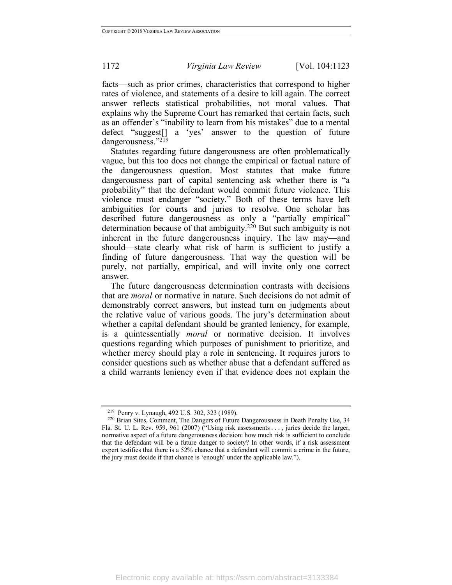facts—such as prior crimes, characteristics that correspond to higher rates of violence, and statements of a desire to kill again. The correct answer reflects statistical probabilities, not moral values. That explains why the Supreme Court has remarked that certain facts, such as an offender's "inability to learn from his mistakes" due to a mental defect "suggest[] a 'yes' answer to the question of future dangerousness."<sup>219</sup>

Statutes regarding future dangerousness are often problematically vague, but this too does not change the empirical or factual nature of the dangerousness question. Most statutes that make future dangerousness part of capital sentencing ask whether there is "a probability" that the defendant would commit future violence. This violence must endanger "society." Both of these terms have left ambiguities for courts and juries to resolve. One scholar has described future dangerousness as only a "partially empirical" determination because of that ambiguity.220 But such ambiguity is not inherent in the future dangerousness inquiry. The law may—and should—state clearly what risk of harm is sufficient to justify a finding of future dangerousness. That way the question will be purely, not partially, empirical, and will invite only one correct answer.

The future dangerousness determination contrasts with decisions that are *moral* or normative in nature. Such decisions do not admit of demonstrably correct answers, but instead turn on judgments about the relative value of various goods. The jury's determination about whether a capital defendant should be granted leniency, for example, is a quintessentially *moral* or normative decision. It involves questions regarding which purposes of punishment to prioritize, and whether mercy should play a role in sentencing. It requires jurors to consider questions such as whether abuse that a defendant suffered as a child warrants leniency even if that evidence does not explain the

<sup>&</sup>lt;sup>219</sup> Penry v. Lynaugh, 492 U.S. 302, 323 (1989).<br><sup>220</sup> Brian Sites, Comment, The Dangers of Future Dangerousness in Death Penalty Use, 34 Fla. St. U. L. Rev. 959, 961 (2007) ("Using risk assessments . . . , juries decide the larger, normative aspect of a future dangerousness decision: how much risk is sufficient to conclude that the defendant will be a future danger to society? In other words, if a risk assessment expert testifies that there is a 52% chance that a defendant will commit a crime in the future, the jury must decide if that chance is 'enough' under the applicable law.").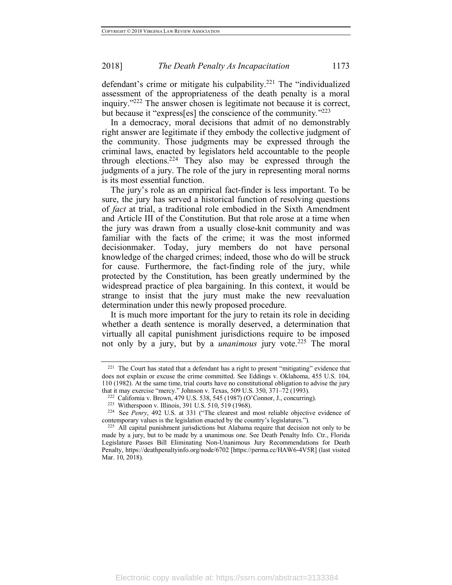defendant's crime or mitigate his culpability.221 The "individualized assessment of the appropriateness of the death penalty is a moral inquiry."222 The answer chosen is legitimate not because it is correct, but because it "express[es] the conscience of the community*.*"223

In a democracy, moral decisions that admit of no demonstrably right answer are legitimate if they embody the collective judgment of the community. Those judgments may be expressed through the criminal laws, enacted by legislators held accountable to the people through elections.<sup>224</sup> They also may be expressed through the judgments of a jury. The role of the jury in representing moral norms is its most essential function.

The jury's role as an empirical fact-finder is less important. To be sure, the jury has served a historical function of resolving questions of *fact* at trial, a traditional role embodied in the Sixth Amendment and Article III of the Constitution. But that role arose at a time when the jury was drawn from a usually close-knit community and was familiar with the facts of the crime; it was the most informed decisionmaker. Today, jury members do not have personal knowledge of the charged crimes; indeed, those who do will be struck for cause. Furthermore, the fact-finding role of the jury, while protected by the Constitution, has been greatly undermined by the widespread practice of plea bargaining. In this context, it would be strange to insist that the jury must make the new reevaluation determination under this newly proposed procedure.

It is much more important for the jury to retain its role in deciding whether a death sentence is morally deserved, a determination that virtually all capital punishment jurisdictions require to be imposed not only by a jury, but by a *unanimous* jury vote.<sup>225</sup> The moral

<sup>221</sup> The Court has stated that a defendant has a right to present "mitigating" evidence that does not explain or excuse the crime committed. See Eddings v. Oklahoma, 455 U.S. 104, 110 (1982). At the same time, trial courts have no constitutional obligation to advise the jury that it may exercise "mercy." Johnson v. Texas, 509 U.S.  $350$ ,  $371-72$  (1993).

 $t^{222}$  California v. Brown, 479 U.S. 538, 545 (1987) (O'Connor, J., concurring).

<sup>223</sup> Witherspoon v. Illinois, 391 U.S. 510, 519 (1968).

<sup>224</sup> See *Penry*, 492 U.S. at 331 ("The clearest and most reliable objective evidence of contemporary values is the legislation enacted by the country's legislatures."). 225 All capital punishment jurisdictions but Alabama require that decision not only to be

made by a jury, but to be made by a unanimous one. See Death Penalty Info. Ctr., Florida Legislature Passes Bill Eliminating Non-Unanimous Jury Recommendations for Death Penalty, https://deathpenaltyinfo.org/node/6702 [https://perma.cc/HAW6-4V5R] (last visited Mar. 10, 2018).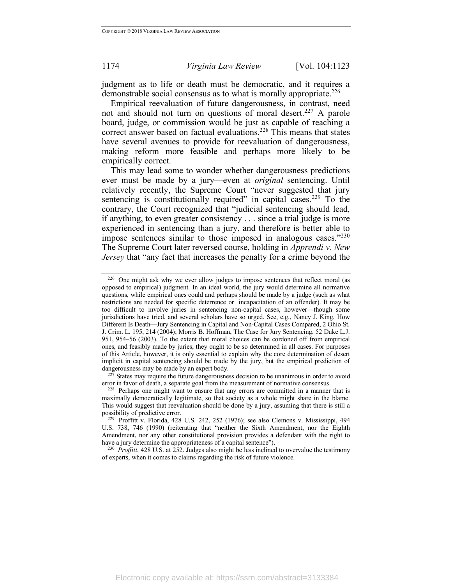judgment as to life or death must be democratic, and it requires a demonstrable social consensus as to what is morally appropriate.<sup>226</sup>

Empirical reevaluation of future dangerousness, in contrast, need not and should not turn on questions of moral desert.<sup>227</sup> A parole board, judge, or commission would be just as capable of reaching a correct answer based on factual evaluations.<sup>228</sup> This means that states have several avenues to provide for reevaluation of dangerousness, making reform more feasible and perhaps more likely to be empirically correct.

This may lead some to wonder whether dangerousness predictions ever must be made by a jury—even at *original* sentencing. Until relatively recently, the Supreme Court "never suggested that jury sentencing is constitutionally required" in capital cases.<sup>229</sup> To the contrary, the Court recognized that "judicial sentencing should lead, if anything, to even greater consistency . . . since a trial judge is more experienced in sentencing than a jury, and therefore is better able to impose sentences similar to those imposed in analogous cases."230 The Supreme Court later reversed course, holding in *Apprendi v. New Jersey* that "any fact that increases the penalty for a crime beyond the

 $227$  States may require the future dangerousness decision to be unanimous in order to avoid error in favor of death, a separate goal from the measurement of normative consensus.

of experts, when it comes to claims regarding the risk of future violence.

<sup>226</sup> One might ask why we ever allow judges to impose sentences that reflect moral (as opposed to empirical) judgment. In an ideal world, the jury would determine all normative questions, while empirical ones could and perhaps should be made by a judge (such as what restrictions are needed for specific deterrence or incapacitation of an offender). It may be too difficult to involve juries in sentencing non-capital cases, however—though some jurisdictions have tried, and several scholars have so urged. See, e.g., Nancy J. King, How Different Is Death—Jury Sentencing in Capital and Non-Capital Cases Compared, 2 Ohio St. J. Crim. L. 195, 214 (2004); Morris B. Hoffman, The Case for Jury Sentencing, 52 Duke L.J. 951, 954–56 (2003). To the extent that moral choices can be cordoned off from empirical ones, and feasibly made by juries, they ought to be so determined in all cases. For purposes of this Article, however, it is only essential to explain why the core determination of desert implicit in capital sentencing should be made by the jury, but the empirical prediction of dangerousness may be made by an expert body.

<sup>&</sup>lt;sup>228</sup> Perhaps one might want to ensure that any errors are committed in a manner that is maximally democratically legitimate, so that society as a whole might share in the blame. This would suggest that reevaluation should be done by a jury, assuming that there is still a possibility of predictive error.<br><sup>229</sup> Proffitt v. Florida, 428 U.S. 242, 252 (1976); see also Clemons v. Mississippi, 494

U.S. 738, 746 (1990) (reiterating that "neither the Sixth Amendment, nor the Eighth Amendment, nor any other constitutional provision provides a defendant with the right to have a jury determine the appropriateness of a capital sentence"). 230 *Proffitt*, 428 U.S. at 252. Judges also might be less inclined to overvalue the testimony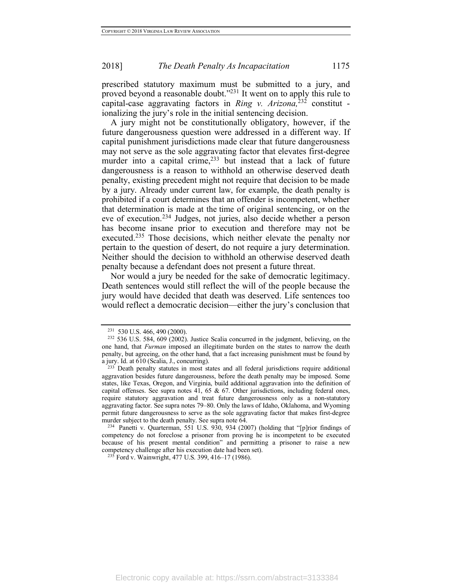prescribed statutory maximum must be submitted to a jury, and proved beyond a reasonable doubt."231 It went on to apply this rule to capital-case aggravating factors in *Ring v. Arizona,*<sup>232</sup> constitut ionalizing the jury's role in the initial sentencing decision.

A jury might not be constitutionally obligatory, however, if the future dangerousness question were addressed in a different way. If capital punishment jurisdictions made clear that future dangerousness may not serve as the sole aggravating factor that elevates first-degree murder into a capital crime, $233$  but instead that a lack of future dangerousness is a reason to withhold an otherwise deserved death penalty, existing precedent might not require that decision to be made by a jury. Already under current law, for example, the death penalty is prohibited if a court determines that an offender is incompetent, whether that determination is made at the time of original sentencing, or on the eve of execution. <sup>234</sup> Judges, not juries, also decide whether a person has become insane prior to execution and therefore may not be executed.235 Those decisions, which neither elevate the penalty nor pertain to the question of desert, do not require a jury determination. Neither should the decision to withhold an otherwise deserved death penalty because a defendant does not present a future threat.

Nor would a jury be needed for the sake of democratic legitimacy. Death sentences would still reflect the will of the people because the jury would have decided that death was deserved. Life sentences too would reflect a democratic decision—either the jury's conclusion that

 $231\,530\,$  U.S. 466, 490 (2000). Justice Scalia concurred in the judgment, believing, on the  $32\,536\,$  U.S. 584, 609 (2002). Justice Scalia concurred in the judgment, believing, on the one hand, that *Furman* imposed an illegitimate burden on the states to narrow the death penalty, but agreeing, on the other hand, that a fact increasing punishment must be found by a jury. Id. at 610 (Scalia, J., concurring).

<sup>233</sup> Death penalty statutes in most states and all federal jurisdictions require additional aggravation besides future dangerousness, before the death penalty may be imposed. Some states, like Texas, Oregon, and Virginia, build additional aggravation into the definition of capital offenses. See supra notes 41, 65 & 67. Other jurisdictions, including federal ones, require statutory aggravation and treat future dangerousness only as a non-statutory aggravating factor. See supra notes 79–80. Only the laws of Idaho, Oklahoma, and Wyoming permit future dangerousness to serve as the sole aggravating factor that makes first-degree murder subject to the death penalty. See supra note 64.<br><sup>234</sup> Panetti v. Quarterman, 551 U.S. 930, 934 (2007) (holding that "[p]rior findings of

competency do not foreclose a prisoner from proving he is incompetent to be executed because of his present mental condition" and permitting a prisoner to raise a new competency challenge after his execution date had been set). 235 Ford v. Wainwright, 477 U.S. 399, 416–17 (1986).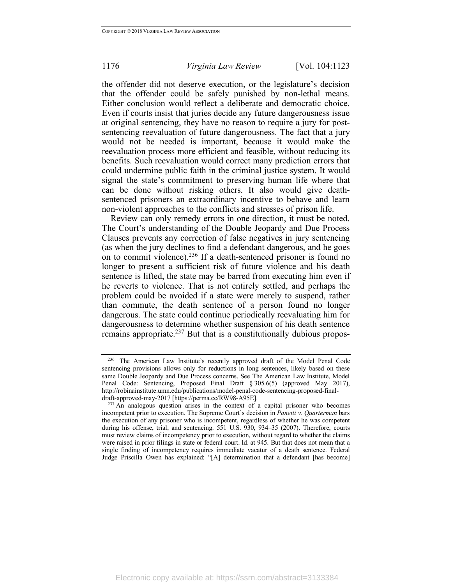the offender did not deserve execution, or the legislature's decision that the offender could be safely punished by non-lethal means. Either conclusion would reflect a deliberate and democratic choice. Even if courts insist that juries decide any future dangerousness issue at original sentencing, they have no reason to require a jury for postsentencing reevaluation of future dangerousness. The fact that a jury would not be needed is important, because it would make the reevaluation process more efficient and feasible, without reducing its benefits. Such reevaluation would correct many prediction errors that could undermine public faith in the criminal justice system. It would signal the state's commitment to preserving human life where that can be done without risking others. It also would give deathsentenced prisoners an extraordinary incentive to behave and learn non-violent approaches to the conflicts and stresses of prison life.

Review can only remedy errors in one direction, it must be noted. The Court's understanding of the Double Jeopardy and Due Process Clauses prevents any correction of false negatives in jury sentencing (as when the jury declines to find a defendant dangerous, and he goes on to commit violence).236 If a death-sentenced prisoner is found no longer to present a sufficient risk of future violence and his death sentence is lifted, the state may be barred from executing him even if he reverts to violence. That is not entirely settled, and perhaps the problem could be avoided if a state were merely to suspend, rather than commute, the death sentence of a person found no longer dangerous. The state could continue periodically reevaluating him for dangerousness to determine whether suspension of his death sentence remains appropriate.<sup>237</sup> But that is a constitutionally dubious propos-

<sup>236</sup> The American Law Institute's recently approved draft of the Model Penal Code sentencing provisions allows only for reductions in long sentences, likely based on these same Double Jeopardy and Due Process concerns. See The American Law Institute, Model Penal Code: Sentencing, Proposed Final Draft § 305.6(5) (approved May 2017), http://robinainstitute.umn.edu/publications/model-penal-code-sentencing-proposed-finaldraft-approved-may-2017 [https://perma.cc/RW98-A95E].

<sup>&</sup>lt;sup>237</sup> An analogous question arises in the context of a capital prisoner who becomes incompetent prior to execution. The Supreme Court's decision in *Panetti v. Quarterman* bars the execution of any prisoner who is incompetent, regardless of whether he was competent during his offense, trial, and sentencing. 551 U.S. 930, 934-35 (2007). Therefore, courts must review claims of incompetency prior to execution, without regard to whether the claims were raised in prior filings in state or federal court. Id. at 945. But that does not mean that a single finding of incompetency requires immediate vacatur of a death sentence. Federal Judge Priscilla Owen has explained: "[A] determination that a defendant [has become]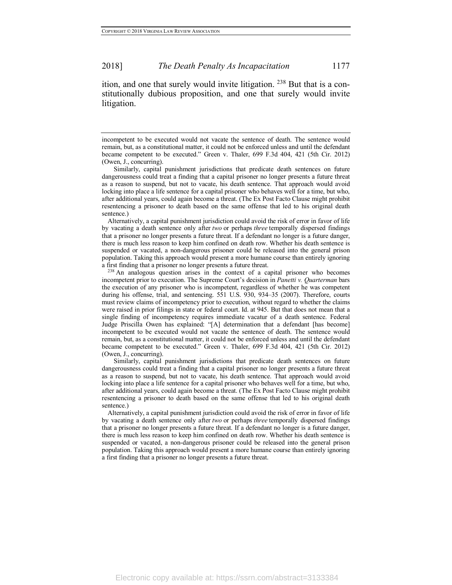ition, and one that surely would invite litigation. 238 But that is a constitutionally dubious proposition, and one that surely would invite litigation.

Alternatively, a capital punishment jurisdiction could avoid the risk of error in favor of life by vacating a death sentence only after *two* or perhaps *three* temporally dispersed findings that a prisoner no longer presents a future threat. If a defendant no longer is a future danger, there is much less reason to keep him confined on death row. Whether his death sentence is suspended or vacated, a non-dangerous prisoner could be released into the general prison population. Taking this approach would present a more humane course than entirely ignoring a first finding that a prisoner no longer presents a future threat.

<sup>238</sup> An analogous question arises in the context of a capital prisoner who becomes incompetent prior to execution. The Supreme Court's decision in *Panetti v. Quarterman* bars the execution of any prisoner who is incompetent, regardless of whether he was competent during his offense, trial, and sentencing. 551 U.S. 930, 934–35 (2007). Therefore, courts must review claims of incompetency prior to execution, without regard to whether the claims were raised in prior filings in state or federal court. Id. at 945. But that does not mean that a single finding of incompetency requires immediate vacatur of a death sentence. Federal Judge Priscilla Owen has explained: "[A] determination that a defendant [has become] incompetent to be executed would not vacate the sentence of death. The sentence would remain, but, as a constitutional matter, it could not be enforced unless and until the defendant became competent to be executed." Green v. Thaler, 699 F.3d 404, 421 (5th Cir. 2012) (Owen, J., concurring).

Similarly, capital punishment jurisdictions that predicate death sentences on future dangerousness could treat a finding that a capital prisoner no longer presents a future threat as a reason to suspend, but not to vacate, his death sentence. That approach would avoid locking into place a life sentence for a capital prisoner who behaves well for a time, but who, after additional years, could again become a threat. (The Ex Post Facto Clause might prohibit resentencing a prisoner to death based on the same offense that led to his original death sentence.)

Alternatively, a capital punishment jurisdiction could avoid the risk of error in favor of life by vacating a death sentence only after *two* or perhaps *three* temporally dispersed findings that a prisoner no longer presents a future threat. If a defendant no longer is a future danger, there is much less reason to keep him confined on death row. Whether his death sentence is suspended or vacated, a non-dangerous prisoner could be released into the general prison population. Taking this approach would present a more humane course than entirely ignoring a first finding that a prisoner no longer presents a future threat.

incompetent to be executed would not vacate the sentence of death. The sentence would remain, but, as a constitutional matter, it could not be enforced unless and until the defendant became competent to be executed." Green v. Thaler, 699 F.3d 404, 421 (5th Cir. 2012) (Owen, J., concurring).

Similarly, capital punishment jurisdictions that predicate death sentences on future dangerousness could treat a finding that a capital prisoner no longer presents a future threat as a reason to suspend, but not to vacate, his death sentence. That approach would avoid locking into place a life sentence for a capital prisoner who behaves well for a time, but who, after additional years, could again become a threat. (The Ex Post Facto Clause might prohibit resentencing a prisoner to death based on the same offense that led to his original death sentence.)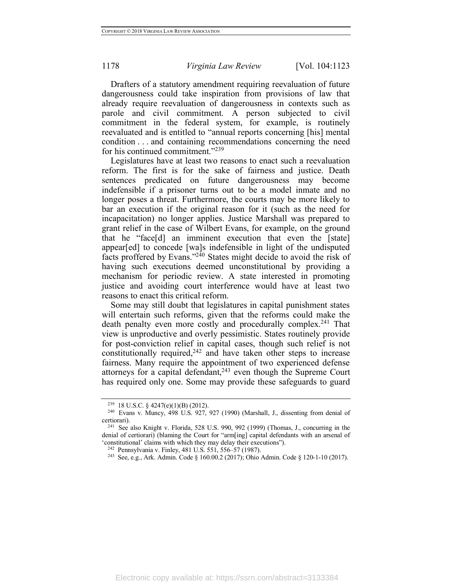Drafters of a statutory amendment requiring reevaluation of future dangerousness could take inspiration from provisions of law that already require reevaluation of dangerousness in contexts such as parole and civil commitment. A person subjected to civil commitment in the federal system, for example, is routinely reevaluated and is entitled to "annual reports concerning [his] mental condition . . . and containing recommendations concerning the need for his continued commitment."239

Legislatures have at least two reasons to enact such a reevaluation reform. The first is for the sake of fairness and justice. Death sentences predicated on future dangerousness may become indefensible if a prisoner turns out to be a model inmate and no longer poses a threat. Furthermore, the courts may be more likely to bar an execution if the original reason for it (such as the need for incapacitation) no longer applies. Justice Marshall was prepared to grant relief in the case of Wilbert Evans, for example, on the ground that he "face[d] an imminent execution that even the [state] appear[ed] to concede [wa]s indefensible in light of the undisputed facts proffered by Evans."240 States might decide to avoid the risk of having such executions deemed unconstitutional by providing a mechanism for periodic review. A state interested in promoting justice and avoiding court interference would have at least two reasons to enact this critical reform.

Some may still doubt that legislatures in capital punishment states will entertain such reforms, given that the reforms could make the death penalty even more costly and procedurally complex.<sup>241</sup> That view is unproductive and overly pessimistic. States routinely provide for post-conviction relief in capital cases, though such relief is not constitutionally required,<sup>242</sup> and have taken other steps to increase fairness. Many require the appointment of two experienced defense attorneys for a capital defendant,  $243$  even though the Supreme Court has required only one. Some may provide these safeguards to guard

<sup>239</sup> 18 U.S.C. § 4247(e)(1)(B) (2012).

<sup>&</sup>lt;sup>240</sup> Evans v. Muncy,  $\overline{498}$  U.S.  $\overline{927}$ ,  $\overline{927}$  (1990) (Marshall, J., dissenting from denial of certiorari).

<sup>241</sup> See also Knight v. Florida, 528 U.S. 990, 992 (1999) (Thomas, J., concurring in the denial of certiorari) (blaming the Court for "arm[ing] capital defendants with an arsenal of 'constitutional' claims with which they may delay their executions").

<sup>242</sup> Pennsylvania v. Finley, 481 U.S. 551, 556–57 (1987).

<sup>243</sup> See, e.g., Ark. Admin. Code § 160.00.2 (2017); Ohio Admin. Code § 120-1-10 (2017).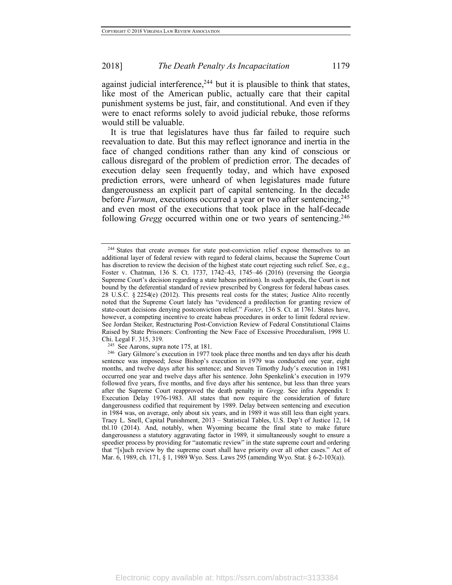against judicial interference,  $244$  but it is plausible to think that states, like most of the American public, actually care that their capital punishment systems be just, fair, and constitutional. And even if they were to enact reforms solely to avoid judicial rebuke, those reforms would still be valuable.

It is true that legislatures have thus far failed to require such reevaluation to date. But this may reflect ignorance and inertia in the face of changed conditions rather than any kind of conscious or callous disregard of the problem of prediction error. The decades of execution delay seen frequently today, and which have exposed prediction errors, were unheard of when legislatures made future dangerousness an explicit part of capital sentencing. In the decade before *Furman*, executions occurred a year or two after sentencing,<sup>245</sup> and even most of the executions that took place in the half-decade following *Gregg* occurred within one or two years of sentencing. 246

<sup>&</sup>lt;sup>244</sup> States that create avenues for state post-conviction relief expose themselves to an additional layer of federal review with regard to federal claims, because the Supreme Court has discretion to review the decision of the highest state court rejecting such relief. See, e.g., Foster v. Chatman, 136 S. Ct. 1737, 1742–43, 1745–46 (2016) (reversing the Georgia Supreme Court's decision regarding a state habeas petition). In such appeals, the Court is not bound by the deferential standard of review prescribed by Congress for federal habeas cases. 28 U.S.C. § 2254(e) (2012). This presents real costs for the states; Justice Alito recently noted that the Supreme Court lately has "evidenced a predilection for granting review of state-court decisions denying postconviction relief." *Foster*, 136 S. Ct. at 1761. States have, however, a competing incentive to create habeas procedures in order to limit federal review. See Jordan Steiker, Restructuring Post-Conviction Review of Federal Constitutional Claims Raised by State Prisoners: Confronting the New Face of Excessive Proceduralism, 1998 U. Chi. Legal F. 315, 319. 245 See Aarons, supra note 175, at 181.

<sup>&</sup>lt;sup>246</sup> Gary Gilmore's execution in 1977 took place three months and ten days after his death sentence was imposed; Jesse Bishop's execution in 1979 was conducted one year, eight months, and twelve days after his sentence; and Steven Timothy Judy's execution in 1981 occurred one year and twelve days after his sentence. John Spenkelink's execution in 1979 followed five years, five months, and five days after his sentence, but less than three years after the Supreme Court reapproved the death penalty in *Gregg*. See infra Appendix I: Execution Delay 1976-1983. All states that now require the consideration of future dangerousness codified that requirement by 1989. Delay between sentencing and execution in 1984 was, on average, only about six years, and in 1989 it was still less than eight years. Tracy L. Snell, Capital Punishment, 2013 – Statistical Tables, U.S. Dep't of Justice 12, 14 tbl.10 (2014). And, notably, when Wyoming became the final state to make future dangerousness a statutory aggravating factor in 1989, it simultaneously sought to ensure a speedier process by providing for "automatic review" in the state supreme court and ordering that "[s]uch review by the supreme court shall have priority over all other cases." Act of Mar. 6, 1989, ch. 171, § 1, 1989 Wyo. Sess. Laws 295 (amending Wyo. Stat. § 6-2-103(a)).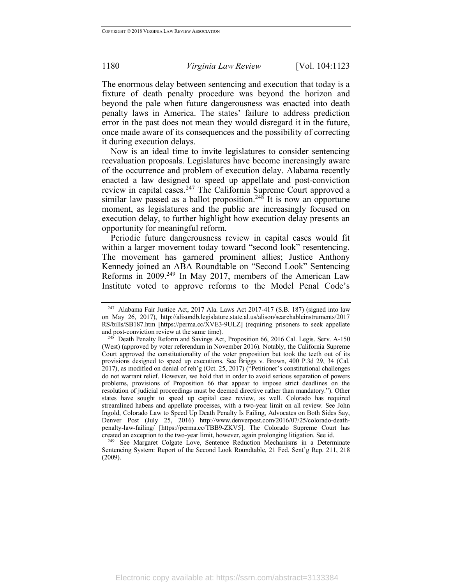The enormous delay between sentencing and execution that today is a fixture of death penalty procedure was beyond the horizon and beyond the pale when future dangerousness was enacted into death penalty laws in America. The states' failure to address prediction error in the past does not mean they would disregard it in the future, once made aware of its consequences and the possibility of correcting it during execution delays.

Now is an ideal time to invite legislatures to consider sentencing reevaluation proposals. Legislatures have become increasingly aware of the occurrence and problem of execution delay. Alabama recently enacted a law designed to speed up appellate and post-conviction review in capital cases.247 The California Supreme Court approved a similar law passed as a ballot proposition.<sup>248</sup> It is now an opportune moment, as legislatures and the public are increasingly focused on execution delay, to further highlight how execution delay presents an opportunity for meaningful reform.

Periodic future dangerousness review in capital cases would fit within a larger movement today toward "second look" resentencing. The movement has garnered prominent allies; Justice Anthony Kennedy joined an ABA Roundtable on "Second Look" Sentencing Reforms in 2009.249 In May 2017, members of the American Law Institute voted to approve reforms to the Model Penal Code's

<sup>247</sup> Alabama Fair Justice Act, 2017 Ala. Laws Act 2017-417 (S.B. 187) (signed into law on May 26, 2017), http://alisondb.legislature.state.al.us/alison/searchableinstruments/2017 RS/bills/SB187.htm [https://perma.cc/XVE3-9ULZ] (requiring prisoners to seek appellate and post-conviction review at the same time).

 $248$  Death Penalty Reform and Savings Act, Proposition 66, 2016 Cal. Legis. Serv. A-150 (West) (approved by voter referendum in November 2016). Notably, the California Supreme Court approved the constitutionality of the voter proposition but took the teeth out of its provisions designed to speed up executions. See Briggs v. Brown, 400 P.3d 29, 34 (Cal. 2017), as modified on denial of reh'g (Oct. 25, 2017) ("Petitioner's constitutional challenges do not warrant relief. However, we hold that in order to avoid serious separation of powers problems, provisions of Proposition 66 that appear to impose strict deadlines on the resolution of judicial proceedings must be deemed directive rather than mandatory."). Other states have sought to speed up capital case review, as well. Colorado has required streamlined habeas and appellate processes, with a two-year limit on all review. See John Ingold, Colorado Law to Speed Up Death Penalty Is Failing, Advocates on Both Sides Say, Denver Post (July 25, 2016) http://www.denverpost.com/2016/07/25/colorado-deathpenalty-law-failing/ [https://perma.cc/TBB9-ZKV5]. The Colorado Supreme Court has created an exception to the two-year limit, however, again prolonging litigation. See id.

 $249$  See Margaret Colgate Love, Sentence Reduction Mechanisms in a Determinate Sentencing System: Report of the Second Look Roundtable, 21 Fed. Sent'g Rep. 211, 218 (2009).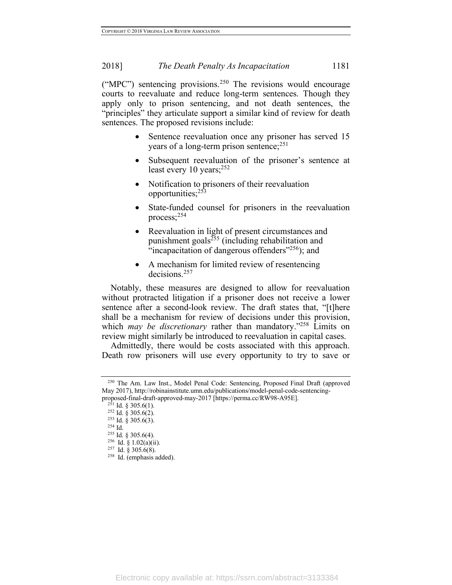("MPC") sentencing provisions.<sup>250</sup> The revisions would encourage courts to reevaluate and reduce long-term sentences. Though they apply only to prison sentencing, and not death sentences, the "principles" they articulate support a similar kind of review for death sentences. The proposed revisions include:

- Sentence reevaluation once any prisoner has served 15 years of a long-term prison sentence; 251
- Subsequent reevaluation of the prisoner's sentence at least every 10 years;<sup>252</sup>
- Notification to prisoners of their reevaluation opportunities; 253
- State-funded counsel for prisoners in the reevaluation process; 254
- Reevaluation in light of present circumstances and punishment goals $^{255}$  (including rehabilitation and "incapacitation of dangerous offenders"<sup>256</sup>); and
- A mechanism for limited review of resentencing decisions.257

Notably, these measures are designed to allow for reevaluation without protracted litigation if a prisoner does not receive a lower sentence after a second-look review. The draft states that, "[t]here shall be a mechanism for review of decisions under this provision, which *may be discretionary* rather than mandatory."258 Limits on review might similarly be introduced to reevaluation in capital cases.

Admittedly, there would be costs associated with this approach. Death row prisoners will use every opportunity to try to save or

<sup>250</sup> The Am. Law Inst., Model Penal Code: Sentencing, Proposed Final Draft (approved May 2017), http://robinainstitute.umn.edu/publications/model-penal-code-sentencingproposed-final-draft-approved-may-2017 [https://perma.cc/RW98-A95E]. <sup>251</sup> Id. § 305.6(1). <sup>252</sup> Id. § 305.6(2).

 $253$  Id. § 305.6(3).

 $^{254}$  Id.  $^{8}$  305.6(4).

<sup>&</sup>lt;sup>256</sup> Id. § 1.02(a)(ii).<br><sup>257</sup> Id. § 305.6(8).

 $258$  Id. (emphasis added).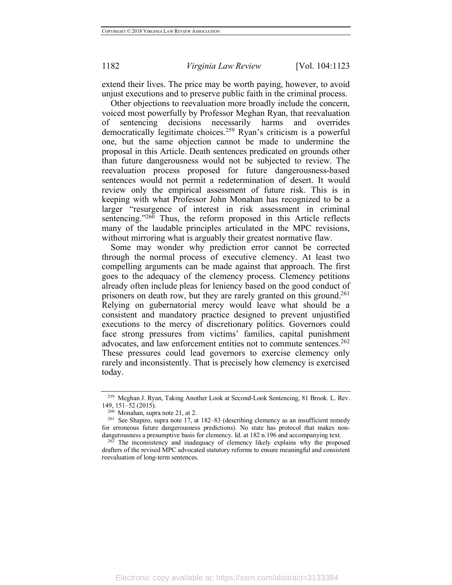extend their lives. The price may be worth paying, however, to avoid unjust executions and to preserve public faith in the criminal process.

Other objections to reevaluation more broadly include the concern, voiced most powerfully by Professor Meghan Ryan, that reevaluation of sentencing decisions necessarily harms and overrides democratically legitimate choices.259 Ryan's criticism is a powerful one, but the same objection cannot be made to undermine the proposal in this Article. Death sentences predicated on grounds other than future dangerousness would not be subjected to review. The reevaluation process proposed for future dangerousness-based sentences would not permit a redetermination of desert. It would review only the empirical assessment of future risk. This is in keeping with what Professor John Monahan has recognized to be a larger "resurgence of interest in risk assessment in criminal sentencing."<sup>260</sup> Thus, the reform proposed in this Article reflects many of the laudable principles articulated in the MPC revisions, without mirroring what is arguably their greatest normative flaw.

Some may wonder why prediction error cannot be corrected through the normal process of executive clemency. At least two compelling arguments can be made against that approach. The first goes to the adequacy of the clemency process. Clemency petitions already often include pleas for leniency based on the good conduct of prisoners on death row, but they are rarely granted on this ground.<sup>261</sup> Relying on gubernatorial mercy would leave what should be a consistent and mandatory practice designed to prevent unjustified executions to the mercy of discretionary politics. Governors could face strong pressures from victims' families, capital punishment advocates, and law enforcement entities not to commute sentences.<sup>262</sup> These pressures could lead governors to exercise clemency only rarely and inconsistently. That is precisely how clemency is exercised today.

<sup>259</sup> Meghan J. Ryan, Taking Another Look at Second-Look Sentencing, 81 Brook. L. Rev. 149, 151–52 (2015).<br><sup>260</sup> Monahan, supra note 21, at 2.

 $261$  See Shapiro, supra note 17, at 182–83 (describing clemency as an insufficient remedy for erroneous future dangerousness predictions). No state has protocol that makes nondangerousness a presumptive basis for clemency. Id. at 182 n.196 and accompanying text.

 $26\overline{2}$  The inconsistency and inadequacy of clemency likely explains why the proposed drafters of the revised MPC advocated statutory reforms to ensure meaningful and consistent reevaluation of long-term sentences.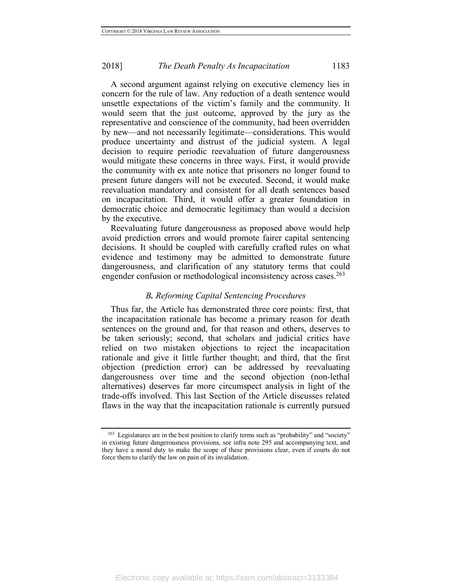A second argument against relying on executive clemency lies in concern for the rule of law. Any reduction of a death sentence would unsettle expectations of the victim's family and the community. It would seem that the just outcome, approved by the jury as the representative and conscience of the community, had been overridden by new—and not necessarily legitimate—considerations. This would produce uncertainty and distrust of the judicial system. A legal decision to require periodic reevaluation of future dangerousness would mitigate these concerns in three ways. First, it would provide the community with ex ante notice that prisoners no longer found to present future dangers will not be executed. Second, it would make reevaluation mandatory and consistent for all death sentences based on incapacitation. Third, it would offer a greater foundation in democratic choice and democratic legitimacy than would a decision by the executive.

Reevaluating future dangerousness as proposed above would help avoid prediction errors and would promote fairer capital sentencing decisions. It should be coupled with carefully crafted rules on what evidence and testimony may be admitted to demonstrate future dangerousness, and clarification of any statutory terms that could engender confusion or methodological inconsistency across cases.<sup>263</sup>

### *B. Reforming Capital Sentencing Procedures*

Thus far, the Article has demonstrated three core points: first, that the incapacitation rationale has become a primary reason for death sentences on the ground and, for that reason and others, deserves to be taken seriously; second, that scholars and judicial critics have relied on two mistaken objections to reject the incapacitation rationale and give it little further thought; and third, that the first objection (prediction error) can be addressed by reevaluating dangerousness over time and the second objection (non-lethal alternatives) deserves far more circumspect analysis in light of the trade-offs involved. This last Section of the Article discusses related flaws in the way that the incapacitation rationale is currently pursued

<sup>&</sup>lt;sup>263</sup> Legislatures are in the best position to clarify terms such as "probability" and "society" in existing future dangerousness provisions, see infra note 295 and accompanying text, and they have a moral duty to make the scope of these provisions clear, even if courts do not force them to clarify the law on pain of its invalidation.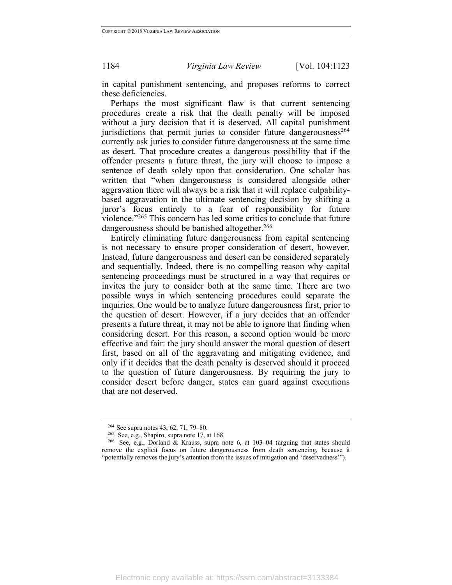in capital punishment sentencing, and proposes reforms to correct these deficiencies.

Perhaps the most significant flaw is that current sentencing procedures create a risk that the death penalty will be imposed without a jury decision that it is deserved. All capital punishment jurisdictions that permit juries to consider future dangerousness<sup>264</sup> currently ask juries to consider future dangerousness at the same time as desert. That procedure creates a dangerous possibility that if the offender presents a future threat, the jury will choose to impose a sentence of death solely upon that consideration. One scholar has written that "when dangerousness is considered alongside other aggravation there will always be a risk that it will replace culpabilitybased aggravation in the ultimate sentencing decision by shifting a juror's focus entirely to a fear of responsibility for future violence."265 This concern has led some critics to conclude that future dangerousness should be banished altogether.<sup>266</sup>

Entirely eliminating future dangerousness from capital sentencing is not necessary to ensure proper consideration of desert, however. Instead, future dangerousness and desert can be considered separately and sequentially. Indeed, there is no compelling reason why capital sentencing proceedings must be structured in a way that requires or invites the jury to consider both at the same time. There are two possible ways in which sentencing procedures could separate the inquiries. One would be to analyze future dangerousness first, prior to the question of desert. However, if a jury decides that an offender presents a future threat, it may not be able to ignore that finding when considering desert. For this reason, a second option would be more effective and fair: the jury should answer the moral question of desert first, based on all of the aggravating and mitigating evidence, and only if it decides that the death penalty is deserved should it proceed to the question of future dangerousness. By requiring the jury to consider desert before danger, states can guard against executions that are not deserved.

<sup>&</sup>lt;sup>264</sup> See supra notes 43, 62, 71, 79–80.<br><sup>265</sup> See, e.g., Shapiro, supra note 17, at 168.

<sup>266</sup> See, e.g., Dorland & Krauss, supra note 6, at 103–04 (arguing that states should remove the explicit focus on future dangerousness from death sentencing, because it "potentially removes the jury's attention from the issues of mitigation and 'deservedness'").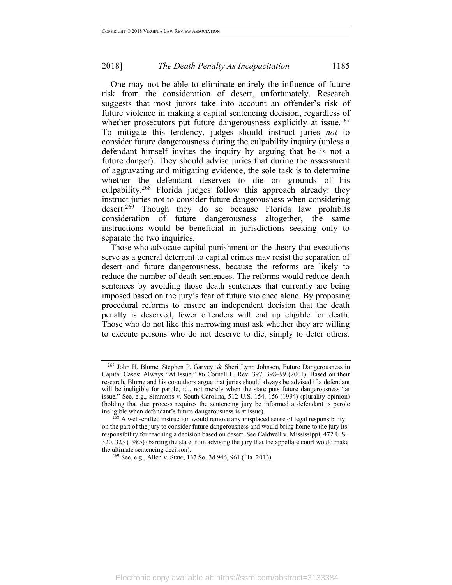One may not be able to eliminate entirely the influence of future risk from the consideration of desert, unfortunately. Research suggests that most jurors take into account an offender's risk of future violence in making a capital sentencing decision, regardless of whether prosecutors put future dangerousness explicitly at issue.<sup>267</sup> To mitigate this tendency, judges should instruct juries *not* to consider future dangerousness during the culpability inquiry (unless a defendant himself invites the inquiry by arguing that he is not a future danger). They should advise juries that during the assessment of aggravating and mitigating evidence, the sole task is to determine whether the defendant deserves to die on grounds of his culpability. <sup>268</sup> Florida judges follow this approach already: they instruct juries not to consider future dangerousness when considering desert.<sup>269</sup> Though they do so because Florida law prohibits consideration of future dangerousness altogether, the same instructions would be beneficial in jurisdictions seeking only to separate the two inquiries.

Those who advocate capital punishment on the theory that executions serve as a general deterrent to capital crimes may resist the separation of desert and future dangerousness, because the reforms are likely to reduce the number of death sentences. The reforms would reduce death sentences by avoiding those death sentences that currently are being imposed based on the jury's fear of future violence alone. By proposing procedural reforms to ensure an independent decision that the death penalty is deserved, fewer offenders will end up eligible for death. Those who do not like this narrowing must ask whether they are willing to execute persons who do not deserve to die, simply to deter others.

<sup>267</sup> John H. Blume, Stephen P. Garvey, & Sheri Lynn Johnson, Future Dangerousness in Capital Cases: Always "At Issue," 86 Cornell L. Rev. 397, 398–99 (2001). Based on their research, Blume and his co-authors argue that juries should always be advised if a defendant will be ineligible for parole, id., not merely when the state puts future dangerousness "at issue." See, e.g., Simmons v. South Carolina, 512 U.S. 154, 156 (1994) (plurality opinion) (holding that due process requires the sentencing jury be informed a defendant is parole ineligible when defendant's future dangerousness is at issue). 268 A well-crafted instruction would remove any misplaced sense of legal responsibility

on the part of the jury to consider future dangerousness and would bring home to the jury its responsibility for reaching a decision based on desert. See Caldwell v. Mississippi, 472 U.S. 320, 323 (1985) (barring the state from advising the jury that the appellate court would make the ultimate sentencing decision). 269 See, e.g., Allen v. State, 137 So. 3d 946, 961 (Fla. 2013).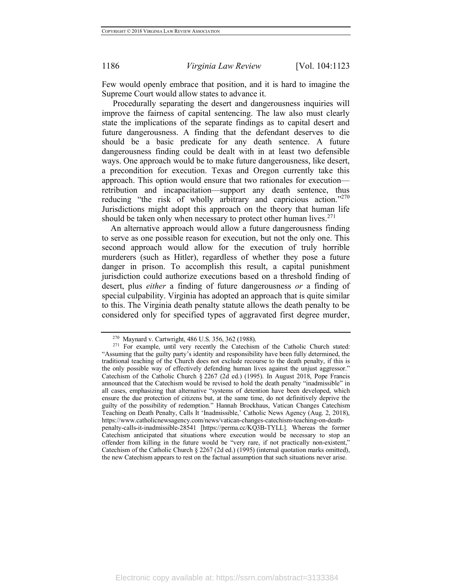Few would openly embrace that position, and it is hard to imagine the Supreme Court would allow states to advance it.

Procedurally separating the desert and dangerousness inquiries will improve the fairness of capital sentencing. The law also must clearly state the implications of the separate findings as to capital desert and future dangerousness. A finding that the defendant deserves to die should be a basic predicate for any death sentence. A future dangerousness finding could be dealt with in at least two defensible ways. One approach would be to make future dangerousness, like desert, a precondition for execution. Texas and Oregon currently take this approach. This option would ensure that two rationales for execution retribution and incapacitation—support any death sentence, thus reducing "the risk of wholly arbitrary and capricious action."<sup>270</sup> Jurisdictions might adopt this approach on the theory that human life should be taken only when necessary to protect other human lives.<sup>271</sup>

An alternative approach would allow a future dangerousness finding to serve as one possible reason for execution, but not the only one. This second approach would allow for the execution of truly horrible murderers (such as Hitler), regardless of whether they pose a future danger in prison. To accomplish this result, a capital punishment jurisdiction could authorize executions based on a threshold finding of desert, plus *either* a finding of future dangerousness *or* a finding of special culpability. Virginia has adopted an approach that is quite similar to this. The Virginia death penalty statute allows the death penalty to be considered only for specified types of aggravated first degree murder,

<sup>270</sup> Maynard v. Cartwright, 486 U.S. 356, 362 (1988).

 $271$  For example, until very recently the Catechism of the Catholic Church stated: "Assuming that the guilty party's identity and responsibility have been fully determined, the traditional teaching of the Church does not exclude recourse to the death penalty, if this is the only possible way of effectively defending human lives against the unjust aggressor." Catechism of the Catholic Church § 2267 (2d ed.) (1995). In August 2018, Pope Francis announced that the Catechism would be revised to hold the death penalty "inadmissible" in all cases, emphasizing that alternative "systems of detention have been developed, which ensure the due protection of citizens but, at the same time, do not definitively deprive the guilty of the possibility of redemption." Hannah Brockhaus, Vatican Changes Catechism Teaching on Death Penalty, Calls It 'Inadmissible,' Catholic News Agency (Aug. 2, 2018), https://www.catholicnewsagency.com/news/vatican-changes-catechism-teaching-on-deathpenalty-calls-it-inadmissible-28541 [https://perma.cc/KQ3B-TYLL]. Whereas the former Catechism anticipated that situations where execution would be necessary to stop an offender from killing in the future would be "very rare, if not practically non-existent," Catechism of the Catholic Church § 2267 (2d ed.) (1995) (internal quotation marks omitted), the new Catechism appears to rest on the factual assumption that such situations never arise.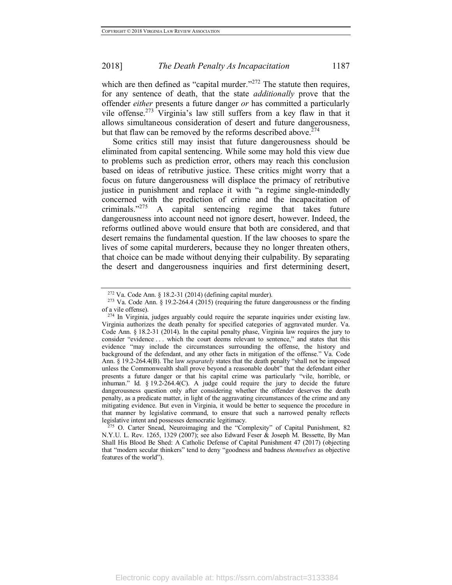which are then defined as "capital murder."<sup>272</sup> The statute then requires, for any sentence of death, that the state *additionally* prove that the offender *either* presents a future danger *or* has committed a particularly vile offense.<sup>273</sup> Virginia's law still suffers from a key flaw in that it allows simultaneous consideration of desert and future dangerousness, but that flaw can be removed by the reforms described above. $274$ 

Some critics still may insist that future dangerousness should be eliminated from capital sentencing. While some may hold this view due to problems such as prediction error, others may reach this conclusion based on ideas of retributive justice. These critics might worry that a focus on future dangerousness will displace the primacy of retributive justice in punishment and replace it with "a regime single-mindedly concerned with the prediction of crime and the incapacitation of criminals."<sup>275</sup> A capital sentencing regime that takes future dangerousness into account need not ignore desert, however. Indeed, the reforms outlined above would ensure that both are considered, and that desert remains the fundamental question. If the law chooses to spare the lives of some capital murderers, because they no longer threaten others, that choice can be made without denying their culpability. By separating the desert and dangerousness inquiries and first determining desert,

<sup>272</sup> Va. Code Ann. § 18.2-31 (2014) (defining capital murder).

 $273$  Va. Code Ann. § 19.2-264.4 (2015) (requiring the future dangerousness or the finding of a vile offense).

<sup>274</sup> In Virginia, judges arguably could require the separate inquiries under existing law. Virginia authorizes the death penalty for specified categories of aggravated murder. Va. Code Ann. § 18.2-31 (2014). In the capital penalty phase, Virginia law requires the jury to consider "evidence . . . which the court deems relevant to sentence," and states that this evidence "may include the circumstances surrounding the offense, the history and background of the defendant, and any other facts in mitigation of the offense." Va. Code Ann. § 19.2-264.4(B). The law *separately* states that the death penalty "shall not be imposed unless the Commonwealth shall prove beyond a reasonable doubt" that the defendant either presents a future danger or that his capital crime was particularly "vile, horrible, or inhuman." Id.  $\S 19.2 - 264.4(C)$ . A judge could require the jury to decide the future dangerousness question only after considering whether the offender deserves the death penalty, as a predicate matter, in light of the aggravating circumstances of the crime and any mitigating evidence. But even in Virginia, it would be better to sequence the procedure in that manner by legislative command, to ensure that such a narrowed penalty reflects legislative intent and possesses democratic legitimacy.

<sup>&</sup>lt;sup>275</sup> O. Carter Snead, Neuroimaging and the "Complexity" of Capital Punishment, 82 N.Y.U. L. Rev. 1265, 1329 (2007); see also Edward Feser & Joseph M. Bessette, By Man Shall His Blood Be Shed: A Catholic Defense of Capital Punishment 47 (2017) (objecting that "modern secular thinkers" tend to deny "goodness and badness *themselves* as objective features of the world").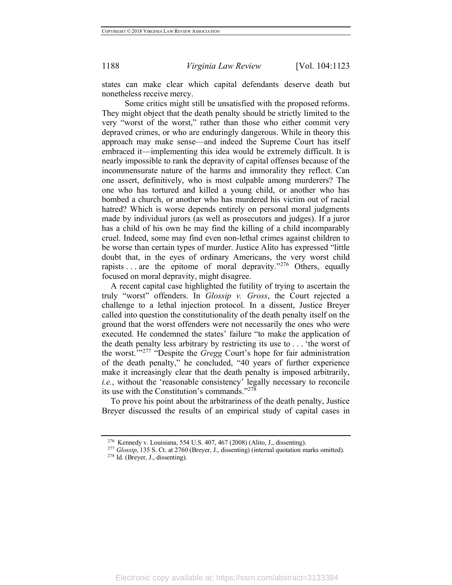states can make clear which capital defendants deserve death but nonetheless receive mercy.

Some critics might still be unsatisfied with the proposed reforms. They might object that the death penalty should be strictly limited to the very "worst of the worst," rather than those who either commit very depraved crimes, or who are enduringly dangerous. While in theory this approach may make sense—and indeed the Supreme Court has itself embraced it—implementing this idea would be extremely difficult. It is nearly impossible to rank the depravity of capital offenses because of the incommensurate nature of the harms and immorality they reflect. Can one assert, definitively, who is most culpable among murderers? The one who has tortured and killed a young child, or another who has bombed a church, or another who has murdered his victim out of racial hatred? Which is worse depends entirely on personal moral judgments made by individual jurors (as well as prosecutors and judges). If a juror has a child of his own he may find the killing of a child incomparably cruel. Indeed, some may find even non-lethal crimes against children to be worse than certain types of murder. Justice Alito has expressed "little doubt that, in the eyes of ordinary Americans, the very worst child rapists . . . are the epitome of moral depravity."<sup>276</sup> Others, equally focused on moral depravity, might disagree.

A recent capital case highlighted the futility of trying to ascertain the truly "worst" offenders. In *Glossip v. Gross*, the Court rejected a challenge to a lethal injection protocol. In a dissent, Justice Breyer called into question the constitutionality of the death penalty itself on the ground that the worst offenders were not necessarily the ones who were executed. He condemned the states' failure "to make the application of the death penalty less arbitrary by restricting its use to . . . 'the worst of the worst.'"<sup>277</sup> "Despite the *Gregg* Court's hope for fair administration of the death penalty," he concluded, "40 years of further experience make it increasingly clear that the death penalty is imposed arbitrarily, *i.e.*, without the 'reasonable consistency' legally necessary to reconcile its use with the Constitution's commands."<sup>278</sup>

To prove his point about the arbitrariness of the death penalty, Justice Breyer discussed the results of an empirical study of capital cases in

<sup>276</sup> Kennedy v. Louisiana, 554 U.S. 407, 467 (2008) (Alito, J., dissenting).

<sup>277</sup> *Glossip*, 135 S. Ct. at 2760 (Breyer, J., dissenting) (internal quotation marks omitted).

<sup>278</sup> Id. (Breyer, J., dissenting).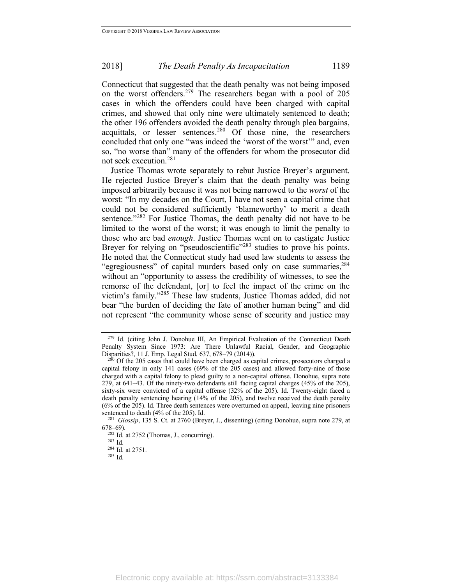Connecticut that suggested that the death penalty was not being imposed on the worst offenders.<sup>279</sup> The researchers began with a pool of 205 cases in which the offenders could have been charged with capital crimes, and showed that only nine were ultimately sentenced to death; the other 196 offenders avoided the death penalty through plea bargains, acquittals, or lesser sentences.<sup>280</sup> Of those nine, the researchers concluded that only one "was indeed the 'worst of the worst'" and, even so, "no worse than" many of the offenders for whom the prosecutor did not seek execution.<sup>281</sup>

Justice Thomas wrote separately to rebut Justice Breyer's argument. He rejected Justice Breyer's claim that the death penalty was being imposed arbitrarily because it was not being narrowed to the *worst* of the worst: "In my decades on the Court, I have not seen a capital crime that could not be considered sufficiently 'blameworthy' to merit a death sentence."<sup>282</sup> For Justice Thomas, the death penalty did not have to be limited to the worst of the worst; it was enough to limit the penalty to those who are bad *enough*. Justice Thomas went on to castigate Justice Breyer for relying on "pseudoscientific"<sup>283</sup> studies to prove his points. He noted that the Connecticut study had used law students to assess the "egregiousness" of capital murders based only on case summaries,<sup>284</sup> without an "opportunity to assess the credibility of witnesses, to see the remorse of the defendant, [or] to feel the impact of the crime on the victim's family."<sup>285</sup> These law students, Justice Thomas added, did not bear "the burden of deciding the fate of another human being" and did not represent "the community whose sense of security and justice may

<sup>279</sup> Id. (citing John J. Donohue III, An Empirical Evaluation of the Connecticut Death Penalty System Since 1973: Are There Unlawful Racial, Gender, and Geographic Disparities?, 11 J. Emp. Legal Stud. 637, 678–79 (2014)).

 $280$  Of the 205 cases that could have been charged as capital crimes, prosecutors charged a capital felony in only 141 cases (69% of the 205 cases) and allowed forty-nine of those charged with a capital felony to plead guilty to a non-capital offense. Donohue, supra note 279, at 641–43. Of the ninety-two defendants still facing capital charges (45% of the 205), sixty-six were convicted of a capital offense (32% of the 205). Id. Twenty-eight faced a death penalty sentencing hearing (14% of the 205), and twelve received the death penalty (6% of the 205). Id. Three death sentences were overturned on appeal, leaving nine prisoners sentenced to death (4% of the 205). Id.

<sup>281</sup> *Glossip*, 135 S. Ct. at 2760 (Breyer, J., dissenting) (citing Donohue, supra note 279, at 678–69).

 $282$  Id. at 2752 (Thomas, J., concurring).

<sup>283</sup> Id.

<sup>284</sup> Id. at 2751.

<sup>285</sup> Id.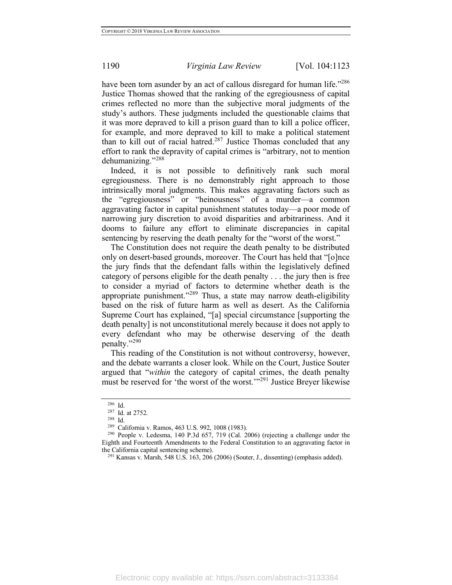have been torn asunder by an act of callous disregard for human life."<sup>286</sup> Justice Thomas showed that the ranking of the egregiousness of capital crimes reflected no more than the subjective moral judgments of the study's authors. These judgments included the questionable claims that it was more depraved to kill a prison guard than to kill a police officer, for example, and more depraved to kill to make a political statement than to kill out of racial hatred.<sup>287</sup> Justice Thomas concluded that any effort to rank the depravity of capital crimes is "arbitrary, not to mention dehumanizing."<sup>288</sup>

Indeed, it is not possible to definitively rank such moral egregiousness. There is no demonstrably right approach to those intrinsically moral judgments. This makes aggravating factors such as the "egregiousness" or "heinousness" of a murder—a common aggravating factor in capital punishment statutes today—a poor mode of narrowing jury discretion to avoid disparities and arbitrariness. And it dooms to failure any effort to eliminate discrepancies in capital sentencing by reserving the death penalty for the "worst of the worst."

The Constitution does not require the death penalty to be distributed only on desert-based grounds, moreover. The Court has held that "[o]nce the jury finds that the defendant falls within the legislatively defined category of persons eligible for the death penalty . . . the jury then is free to consider a myriad of factors to determine whether death is the appropriate punishment."<sup>289</sup> Thus, a state may narrow death-eligibility based on the risk of future harm as well as desert. As the California Supreme Court has explained, "[a] special circumstance [supporting the death penalty] is not unconstitutional merely because it does not apply to every defendant who may be otherwise deserving of the death penalty."<sup>290</sup>

This reading of the Constitution is not without controversy, however, and the debate warrants a closer look. While on the Court, Justice Souter argued that "*within* the category of capital crimes, the death penalty must be reserved for 'the worst of the worst.'"<sup>291</sup> Justice Breyer likewise

 $\frac{286}{287}$  Id. at 2752.<br> $\frac{288}{1d}$  Id.

<sup>289</sup> California v. Ramos, 463 U.S. 992, 1008 (1983).

<sup>290</sup> People v. Ledesma, 140 P.3d 657, 719 (Cal. 2006) (rejecting a challenge under the Eighth and Fourteenth Amendments to the Federal Constitution to an aggravating factor in the California capital sentencing scheme).<br><sup>291</sup> Kansas v. Marsh, 548 U.S. 163, 206 (2006) (Souter, J., dissenting) (emphasis added).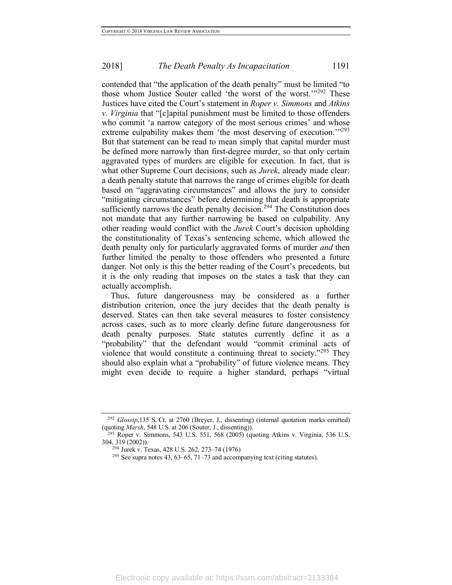contended that "the application of the death penalty" must be limited "to those whom Justice Souter called 'the worst of the worst.'"<sup>292</sup> These Justices have cited the Court's statement in *Roper v. Simmons* and *Atkins v. Virginia* that "[c]apital punishment must be limited to those offenders who commit 'a narrow category of the most serious crimes' and whose extreme culpability makes them 'the most deserving of execution.'"<sup>293</sup> But that statement can be read to mean simply that capital murder must be defined more narrowly than first-degree murder, so that only certain aggravated types of murders are eligible for execution. In fact, that is what other Supreme Court decisions, such as *Jurek*, already made clear: a death penalty statute that narrows the range of crimes eligible for death based on "aggravating circumstances" and allows the jury to consider "mitigating circumstances" before determining that death is appropriate sufficiently narrows the death penalty decision.<sup>294</sup> The Constitution does not mandate that any further narrowing be based on culpability. Any other reading would conflict with the *Jurek* Court's decision upholding the constitutionality of Texas's sentencing scheme, which allowed the death penalty only for particularly aggravated forms of murder *and* then further limited the penalty to those offenders who presented a future danger. Not only is this the better reading of the Court's precedents, but it is the only reading that imposes on the states a task that they can actually accomplish.

Thus, future dangerousness may be considered as a further distribution criterion, once the jury decides that the death penalty is deserved. States can then take several measures to foster consistency across cases, such as to more clearly define future dangerousness for death penalty purposes. State statutes currently define it as a "probability" that the defendant would "commit criminal acts of violence that would constitute a continuing threat to society."<sup>295</sup> They should also explain what a "probability" of future violence means. They might even decide to require a higher standard, perhaps "virtual

<sup>292</sup> *Glossip*,135 S. Ct. at 2760 (Breyer, J., dissenting) (internal quotation marks omitted) (quoting *Marsh*, 548 U.S. at 206 (Souter, J., dissenting)).

 $^{293}$  Roper v. Simmons, 543 U.S. 551, 568 (2005) (quoting Atkins v. Virginia, 536 U.S. 304, 319 (2002)).<br><sup>294</sup> Jurek v. Texas, 428 U.S. 262, 273–74 (1976)

<sup>&</sup>lt;sup>295</sup> See supra notes 43, 63–65, 71–73 and accompanying text (citing statutes).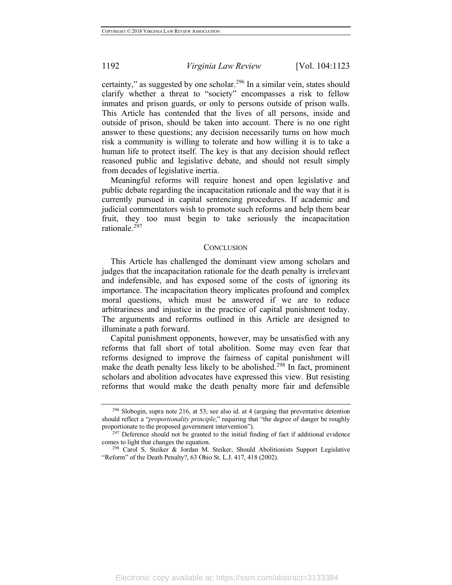certainty," as suggested by one scholar.<sup>296</sup> In a similar vein, states should clarify whether a threat to "society" encompasses a risk to fellow inmates and prison guards, or only to persons outside of prison walls. This Article has contended that the lives of all persons, inside and outside of prison, should be taken into account. There is no one right answer to these questions; any decision necessarily turns on how much risk a community is willing to tolerate and how willing it is to take a human life to protect itself. The key is that any decision should reflect reasoned public and legislative debate, and should not result simply from decades of legislative inertia.

Meaningful reforms will require honest and open legislative and public debate regarding the incapacitation rationale and the way that it is currently pursued in capital sentencing procedures. If academic and judicial commentators wish to promote such reforms and help them bear fruit, they too must begin to take seriously the incapacitation rationale. 297

### **CONCLUSION**

This Article has challenged the dominant view among scholars and judges that the incapacitation rationale for the death penalty is irrelevant and indefensible, and has exposed some of the costs of ignoring its importance. The incapacitation theory implicates profound and complex moral questions, which must be answered if we are to reduce arbitrariness and injustice in the practice of capital punishment today. The arguments and reforms outlined in this Article are designed to illuminate a path forward.

Capital punishment opponents, however, may be unsatisfied with any reforms that fall short of total abolition. Some may even fear that reforms designed to improve the fairness of capital punishment will make the death penalty less likely to be abolished.<sup>298</sup> In fact, prominent scholars and abolition advocates have expressed this view. But resisting reforms that would make the death penalty more fair and defensible

<sup>296</sup> Slobogin, supra note 216, at 53; see also id. at 4 (arguing that preventative detention should reflect a "*proportionality principle*," requiring that "the degree of danger be roughly proportionate to the proposed government intervention").

<sup>&</sup>lt;sup>297</sup> Deference should not be granted to the initial finding of fact if additional evidence comes to light that changes the equation. 298 Carol S. Steiker & Jordan M. Steiker, Should Abolitionists Support Legislative

<sup>&</sup>quot;Reform" of the Death Penalty?, 63 Ohio St. L.J. 417, 418 (2002).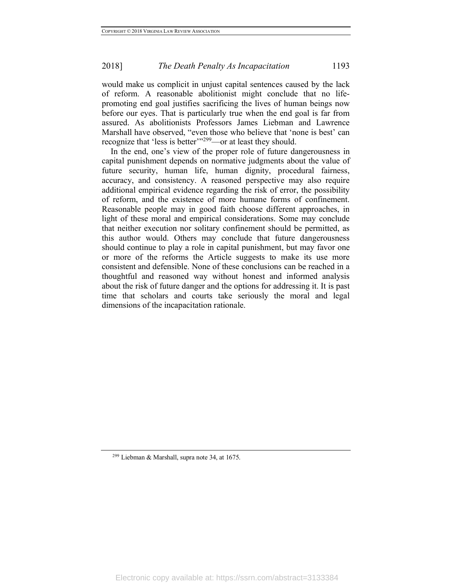would make us complicit in unjust capital sentences caused by the lack of reform. A reasonable abolitionist might conclude that no lifepromoting end goal justifies sacrificing the lives of human beings now before our eyes. That is particularly true when the end goal is far from assured. As abolitionists Professors James Liebman and Lawrence Marshall have observed, "even those who believe that 'none is best' can recognize that 'less is better'<sup>1299</sup> —or at least they should.

In the end, one's view of the proper role of future dangerousness in capital punishment depends on normative judgments about the value of future security, human life, human dignity, procedural fairness, accuracy, and consistency. A reasoned perspective may also require additional empirical evidence regarding the risk of error, the possibility of reform, and the existence of more humane forms of confinement. Reasonable people may in good faith choose different approaches, in light of these moral and empirical considerations. Some may conclude that neither execution nor solitary confinement should be permitted, as this author would. Others may conclude that future dangerousness should continue to play a role in capital punishment, but may favor one or more of the reforms the Article suggests to make its use more consistent and defensible. None of these conclusions can be reached in a thoughtful and reasoned way without honest and informed analysis about the risk of future danger and the options for addressing it. It is past time that scholars and courts take seriously the moral and legal dimensions of the incapacitation rationale.

<sup>299</sup> Liebman & Marshall, supra note 34, at 1675.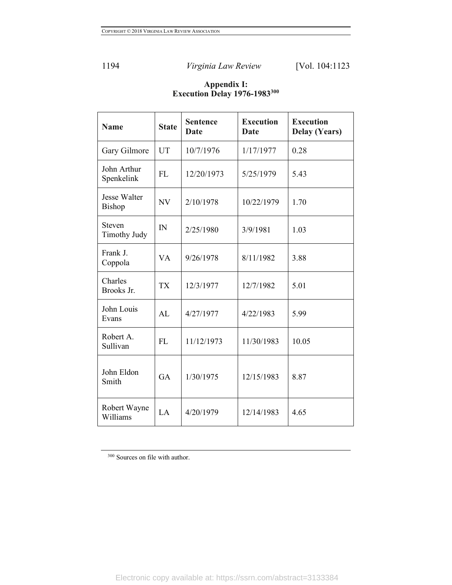## 1194 *Virginia Law Review* [Vol. 104:1123

#### **Appendix I: Execution Delay 1976-1983300**

| <b>Name</b>                          | <b>State</b> | <b>Sentence</b><br>Date | <b>Execution</b><br><b>Date</b> | <b>Execution</b><br><b>Delay (Years)</b> |
|--------------------------------------|--------------|-------------------------|---------------------------------|------------------------------------------|
| Gary Gilmore                         | UT           | 10/7/1976               | 1/17/1977                       | 0.28                                     |
| John Arthur<br>Spenkelink            | <b>FL</b>    | 12/20/1973              | 5/25/1979                       | 5.43                                     |
| <b>Jesse Walter</b><br><b>Bishop</b> | NV           | 2/10/1978               | 10/22/1979                      | 1.70                                     |
| <b>Steven</b><br><b>Timothy Judy</b> | IN           | 2/25/1980               | 3/9/1981                        | 1.03                                     |
| Frank J.<br>Coppola                  | <b>VA</b>    | 9/26/1978               | 8/11/1982                       | 3.88                                     |
| Charles<br>Brooks Jr.                | <b>TX</b>    | 12/3/1977               | 12/7/1982                       | 5.01                                     |
| John Louis<br>Evans                  | AL           | 4/27/1977               | 4/22/1983                       | 5.99                                     |
| Robert A.<br>Sullivan                | FL           | 11/12/1973              | 11/30/1983                      | 10.05                                    |
| John Eldon<br>Smith                  | GA           | 1/30/1975               | 12/15/1983                      | 8.87                                     |
| Robert Wayne<br>Williams             | LA           | 4/20/1979               | 12/14/1983                      | 4.65                                     |

<sup>300</sup> Sources on file with author.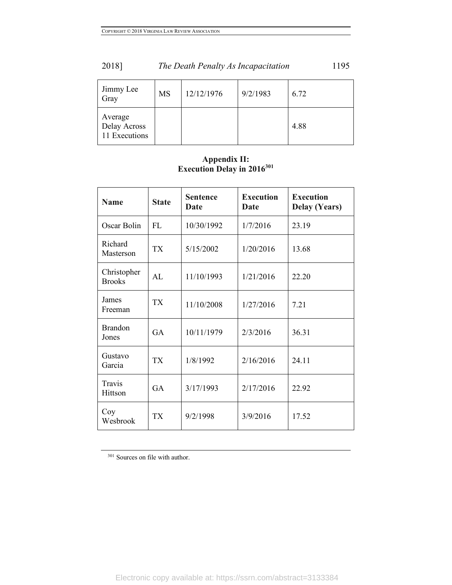| 2018] | The Death Penalty As Incapacitation | 1195 |
|-------|-------------------------------------|------|
|-------|-------------------------------------|------|

| Jimmy Lee<br>Gray                        | <b>MS</b> | 12/12/1976 | 9/2/1983 | 6.72 |
|------------------------------------------|-----------|------------|----------|------|
| Average<br>Delay Across<br>11 Executions |           |            |          | 4.88 |

### **Appendix II: Execution Delay in 2016<sup>301</sup>**

| <b>Name</b>                  | <b>State</b>    | <b>Sentence</b><br>Date | <b>Execution</b><br>Date | <b>Execution</b><br><b>Delay (Years)</b> |
|------------------------------|-----------------|-------------------------|--------------------------|------------------------------------------|
| Oscar Bolin                  | FL              | 10/30/1992              | 1/7/2016                 | 23.19                                    |
| Richard<br>Masterson         | TX              | 5/15/2002               | 1/20/2016                | 13.68                                    |
| Christopher<br><b>Brooks</b> | AL              | 11/10/1993              | 1/21/2016                | 22.20                                    |
| James<br>Freeman             | TX              | 11/10/2008              | 1/27/2016                | 7.21                                     |
| <b>Brandon</b><br>Jones      | GA              | 10/11/1979              | 2/3/2016                 | 36.31                                    |
| Gustavo<br>Garcia            | TX <sup>-</sup> | 1/8/1992                | 2/16/2016                | 24.11                                    |
| Travis<br>Hittson            | <b>GA</b>       | 3/17/1993               | 2/17/2016                | 22.92                                    |
| Coy<br>Wesbrook              | <b>TX</b>       | 9/2/1998                | 3/9/2016                 | 17.52                                    |

 $\overline{301}$  Sources on file with author.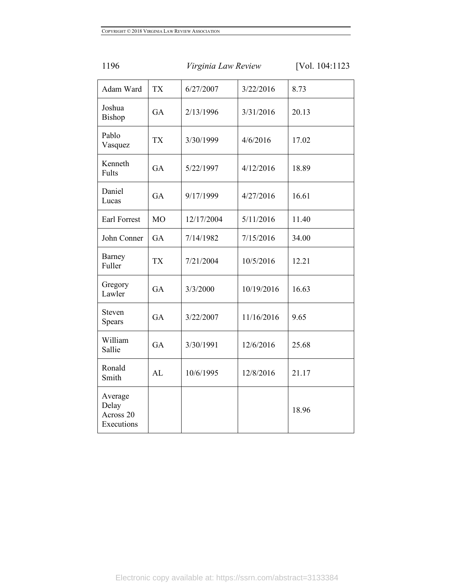|--|--|

# 1196 *Virginia Law Review* [Vol. 104:1123

| Adam Ward                                   | <b>TX</b>      | 6/27/2007  | 3/22/2016  | 8.73  |
|---------------------------------------------|----------------|------------|------------|-------|
| Joshua<br>Bishop                            | GA             | 2/13/1996  | 3/31/2016  | 20.13 |
| Pablo<br>Vasquez                            | <b>TX</b>      | 3/30/1999  | 4/6/2016   | 17.02 |
| Kenneth<br>Fults                            | <b>GA</b>      | 5/22/1997  | 4/12/2016  | 18.89 |
| Daniel<br>Lucas                             | GA             | 9/17/1999  | 4/27/2016  | 16.61 |
| Earl Forrest                                | M <sub>O</sub> | 12/17/2004 | 5/11/2016  | 11.40 |
| John Conner                                 | GA             | 7/14/1982  | 7/15/2016  | 34.00 |
| <b>Barney</b><br>Fuller                     | <b>TX</b>      | 7/21/2004  | 10/5/2016  | 12.21 |
| Gregory<br>Lawler                           | GA             | 3/3/2000   | 10/19/2016 | 16.63 |
| Steven<br><b>Spears</b>                     | GA             | 3/22/2007  | 11/16/2016 | 9.65  |
| William<br>Sallie                           | GA             | 3/30/1991  | 12/6/2016  | 25.68 |
| Ronald<br>Smith                             | AL             | 10/6/1995  | 12/8/2016  | 21.17 |
| Average<br>Delay<br>Across 20<br>Executions |                |            |            | 18.96 |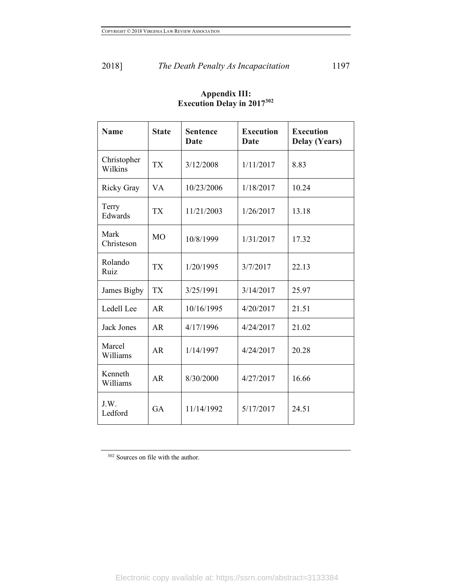## 2018] *The Death Penalty As Incapacitation* 1197

| <b>Name</b>            | <b>State</b>   | <b>Sentence</b><br>Date | <b>Execution</b><br><b>Date</b> | <b>Execution</b><br><b>Delay (Years)</b> |
|------------------------|----------------|-------------------------|---------------------------------|------------------------------------------|
| Christopher<br>Wilkins | <b>TX</b>      | 3/12/2008               | 1/11/2017                       | 8.83                                     |
| <b>Ricky Gray</b>      | <b>VA</b>      | 10/23/2006              | 1/18/2017                       | 10.24                                    |
| Terry<br>Edwards       | <b>TX</b>      | 11/21/2003              | 1/26/2017                       | 13.18                                    |
| Mark<br>Christeson     | M <sub>O</sub> | 10/8/1999               | 1/31/2017                       | 17.32                                    |
| Rolando<br>Ruiz        | <b>TX</b>      | 1/20/1995               | 3/7/2017                        | 22.13                                    |
| James Bigby            | <b>TX</b>      | 3/25/1991               | 3/14/2017                       | 25.97                                    |
| Ledell Lee             | <b>AR</b>      | 10/16/1995              | 4/20/2017                       | 21.51                                    |
| <b>Jack Jones</b>      | AR             | 4/17/1996               | 4/24/2017                       | 21.02                                    |
| Marcel<br>Williams     | AR             | 1/14/1997               | 4/24/2017                       | 20.28                                    |
| Kenneth<br>Williams    | <b>AR</b>      | 8/30/2000               | 4/27/2017                       | 16.66                                    |
| J.W.<br>Ledford        | <b>GA</b>      | 11/14/1992              | 5/17/2017                       | 24.51                                    |

## **Appendix III: Execution Delay in 2017<sup>302</sup>**

<sup>302</sup> Sources on file with the author.